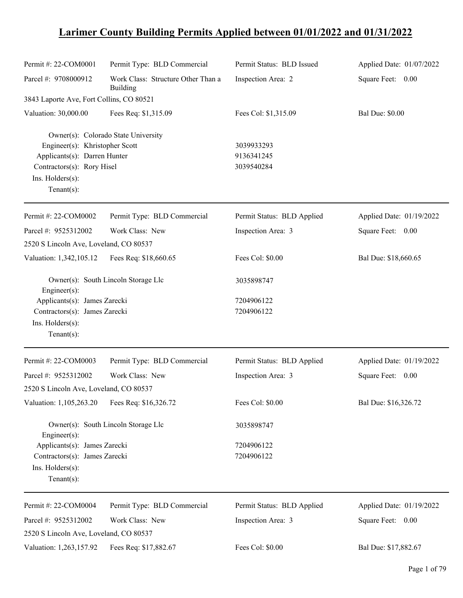## **Larimer County Building Permits Applied between 01/01/2022 and 01/31/2022**

| Permit #: 22-COM0001                                             | Permit Type: BLD Commercial                    | Permit Status: BLD Issued  | Applied Date: 01/07/2022 |
|------------------------------------------------------------------|------------------------------------------------|----------------------------|--------------------------|
| Parcel #: 9708000912                                             | Work Class: Structure Other Than a<br>Building | Inspection Area: 2         | Square Feet: 0.00        |
| 3843 Laporte Ave, Fort Collins, CO 80521                         |                                                |                            |                          |
| Valuation: 30,000.00                                             | Fees Req: \$1,315.09                           | Fees Col: \$1,315.09       | <b>Bal Due: \$0.00</b>   |
|                                                                  | Owner(s): Colorado State University            |                            |                          |
| Engineer(s): Khristopher Scott                                   |                                                | 3039933293                 |                          |
| Applicants(s): Darren Hunter                                     |                                                | 9136341245                 |                          |
| Contractors(s): Rory Hisel<br>Ins. Holders(s):<br>Tenant $(s)$ : |                                                | 3039540284                 |                          |
| Permit #: 22-COM0002                                             | Permit Type: BLD Commercial                    | Permit Status: BLD Applied | Applied Date: 01/19/2022 |
| Parcel #: 9525312002                                             | Work Class: New                                | Inspection Area: 3         | Square Feet: 0.00        |
| 2520 S Lincoln Ave, Loveland, CO 80537                           |                                                |                            |                          |
| Valuation: 1,342,105.12                                          | Fees Req: \$18,660.65                          | Fees Col: \$0.00           | Bal Due: \$18,660.65     |
| Engineer(s):                                                     | Owner(s): South Lincoln Storage Llc            | 3035898747                 |                          |
| Applicants(s): James Zarecki                                     |                                                | 7204906122                 |                          |
| Contractors(s): James Zarecki                                    |                                                | 7204906122                 |                          |
| Ins. Holders(s):                                                 |                                                |                            |                          |
| Tenant $(s)$ :                                                   |                                                |                            |                          |
| Permit #: 22-COM0003                                             | Permit Type: BLD Commercial                    | Permit Status: BLD Applied | Applied Date: 01/19/2022 |
| Parcel #: 9525312002                                             | Work Class: New                                | Inspection Area: 3         | Square Feet: 0.00        |
| 2520 S Lincoln Ave, Loveland, CO 80537                           |                                                |                            |                          |
| Valuation: 1,105,263.20                                          | Fees Req: \$16,326.72                          | Fees Col: \$0.00           | Bal Due: \$16,326.72     |
| Engineer $(s)$ :                                                 | Owner(s): South Lincoln Storage Llc            | 3035898747                 |                          |
| Applicants(s): James Zarecki                                     |                                                | 7204906122                 |                          |
| Contractors(s): James Zarecki                                    |                                                | 7204906122                 |                          |
| Ins. Holders(s):<br>Tenant $(s)$ :                               |                                                |                            |                          |
| Permit #: 22-COM0004                                             | Permit Type: BLD Commercial                    | Permit Status: BLD Applied | Applied Date: 01/19/2022 |
| Parcel #: 9525312002                                             | Work Class: New                                | Inspection Area: 3         | Square Feet: 0.00        |
| 2520 S Lincoln Ave, Loveland, CO 80537                           |                                                |                            |                          |
| Valuation: 1,263,157.92                                          | Fees Req: \$17,882.67                          | Fees Col: \$0.00           | Bal Due: \$17,882.67     |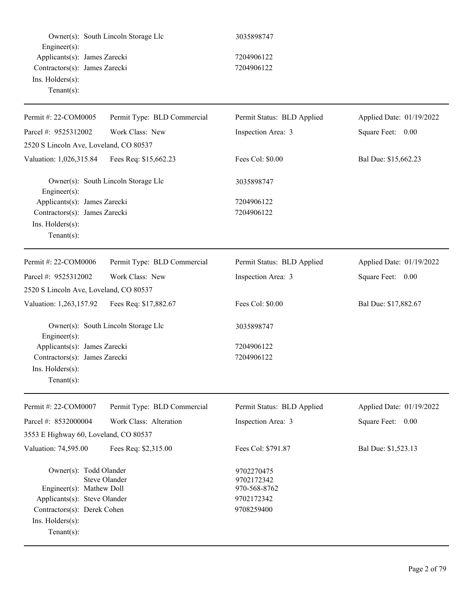| Engineer(s):                                                                                                                                                                   | Owner(s): South Lincoln Storage Llc | 3035898747                                                           |                          |
|--------------------------------------------------------------------------------------------------------------------------------------------------------------------------------|-------------------------------------|----------------------------------------------------------------------|--------------------------|
| Applicants(s): James Zarecki<br>Contractors(s): James Zarecki<br>Ins. Holders(s):<br>$Tenant(s)$ :                                                                             |                                     | 7204906122<br>7204906122                                             |                          |
| Permit #: 22-COM0005                                                                                                                                                           | Permit Type: BLD Commercial         | Permit Status: BLD Applied                                           | Applied Date: 01/19/2022 |
| Parcel #: 9525312002                                                                                                                                                           | Work Class: New                     | Inspection Area: 3                                                   | Square Feet: 0.00        |
| 2520 S Lincoln Ave, Loveland, CO 80537                                                                                                                                         |                                     |                                                                      |                          |
| Valuation: 1,026,315.84                                                                                                                                                        | Fees Req: \$15,662.23               | Fees Col: \$0.00                                                     | Bal Due: \$15,662.23     |
| Engineer $(s)$ :                                                                                                                                                               | Owner(s): South Lincoln Storage Llc | 3035898747                                                           |                          |
| Applicants(s): James Zarecki                                                                                                                                                   |                                     | 7204906122                                                           |                          |
| Contractors(s): James Zarecki<br>Ins. Holders(s):<br>$Tenant(s)$ :                                                                                                             |                                     | 7204906122                                                           |                          |
| Permit #: 22-COM0006                                                                                                                                                           | Permit Type: BLD Commercial         | Permit Status: BLD Applied                                           | Applied Date: 01/19/2022 |
| Parcel #: 9525312002                                                                                                                                                           | Work Class: New                     | Inspection Area: 3                                                   | Square Feet: 0.00        |
| 2520 S Lincoln Ave, Loveland, CO 80537                                                                                                                                         |                                     |                                                                      |                          |
| Valuation: 1,263,157.92                                                                                                                                                        | Fees Req: \$17,882.67               | Fees Col: \$0.00                                                     | Bal Due: \$17,882.67     |
| Engineer(s):                                                                                                                                                                   | Owner(s): South Lincoln Storage Llc | 3035898747                                                           |                          |
| Applicants(s): James Zarecki<br>Contractors(s): James Zarecki<br>Ins. Holders(s):<br>$Tenant(s)$ :                                                                             |                                     | 7204906122<br>7204906122                                             |                          |
| Permit #: 22-COM0007                                                                                                                                                           | Permit Type: BLD Commercial         | Permit Status: BLD Applied                                           | Applied Date: 01/19/2022 |
| Parcel #: 8532000004                                                                                                                                                           | Work Class: Alteration              | Inspection Area: 3                                                   | Square Feet: 0.00        |
| 3553 E Highway 60, Loveland, CO 80537                                                                                                                                          |                                     |                                                                      |                          |
| Valuation: 74,595.00                                                                                                                                                           | Fees Req: \$2,315.00                | Fees Col: \$791.87                                                   | Bal Due: \$1,523.13      |
| Owner(s): Todd Olander<br><b>Steve Olander</b><br>Engineer(s): Mathew Doll<br>Applicants(s): Steve Olander<br>Contractors(s): Derek Cohen<br>Ins. Holders(s):<br>$Tenant(s)$ : |                                     | 9702270475<br>9702172342<br>970-568-8762<br>9702172342<br>9708259400 |                          |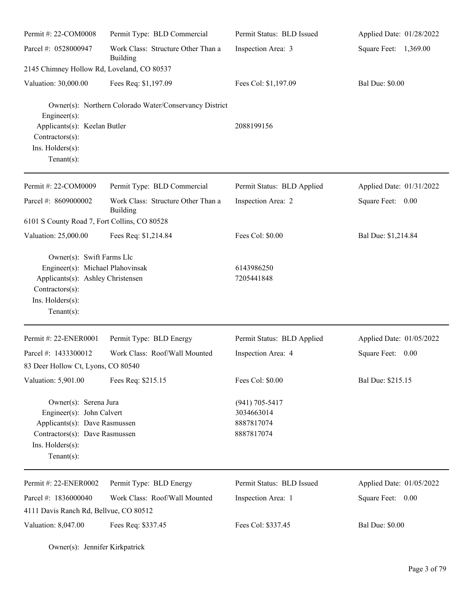| Permit #: 22-COM0008                                                                                                                                        | Permit Type: BLD Commercial                            | Permit Status: BLD Issued                                    | Applied Date: 01/28/2022 |
|-------------------------------------------------------------------------------------------------------------------------------------------------------------|--------------------------------------------------------|--------------------------------------------------------------|--------------------------|
| Parcel #: 0528000947                                                                                                                                        | Work Class: Structure Other Than a<br>Building         | Inspection Area: 3                                           | Square Feet: 1,369.00    |
| 2145 Chimney Hollow Rd, Loveland, CO 80537                                                                                                                  |                                                        |                                                              |                          |
| Valuation: 30,000.00                                                                                                                                        | Fees Req: \$1,197.09                                   | Fees Col: \$1,197.09                                         | <b>Bal Due: \$0.00</b>   |
| Engineer(s):<br>Applicants(s): Keelan Butler<br>Contractors(s):<br>Ins. Holders(s):<br>Tenant $(s)$ :                                                       | Owner(s): Northern Colorado Water/Conservancy District | 2088199156                                                   |                          |
| Permit #: 22-COM0009                                                                                                                                        | Permit Type: BLD Commercial                            | Permit Status: BLD Applied                                   | Applied Date: 01/31/2022 |
| Parcel #: 8609000002                                                                                                                                        | Work Class: Structure Other Than a<br>Building         | Inspection Area: 2                                           | Square Feet: 0.00        |
| 6101 S County Road 7, Fort Collins, CO 80528                                                                                                                |                                                        |                                                              |                          |
| Valuation: 25,000.00                                                                                                                                        | Fees Req: \$1,214.84                                   | Fees Col: \$0.00                                             | Bal Due: \$1,214.84      |
| Owner(s): Swift Farms Llc<br>Engineer(s): Michael Plahovinsak<br>Applicants(s): Ashley Christensen<br>Contractors(s):<br>Ins. Holders(s):<br>Tenant $(s)$ : |                                                        | 6143986250<br>7205441848                                     |                          |
| Permit #: 22-ENER0001                                                                                                                                       | Permit Type: BLD Energy                                | Permit Status: BLD Applied                                   | Applied Date: 01/05/2022 |
| Parcel #: 1433300012                                                                                                                                        | Work Class: Roof/Wall Mounted                          | Inspection Area: 4                                           | Square Feet:<br>0.00     |
| 83 Deer Hollow Ct, Lyons, CO 80540                                                                                                                          |                                                        |                                                              |                          |
| Valuation: 5,901.00                                                                                                                                         | Fees Req: \$215.15                                     | Fees Col: \$0.00                                             | Bal Due: \$215.15        |
| Owner(s): Serena Jura<br>Engineer(s): John Calvert<br>Applicants(s): Dave Rasmussen<br>Contractors(s): Dave Rasmussen<br>Ins. Holders(s):<br>Tenant $(s)$ : |                                                        | $(941) 705 - 5417$<br>3034663014<br>8887817074<br>8887817074 |                          |
| Permit #: 22-ENER0002                                                                                                                                       | Permit Type: BLD Energy                                | Permit Status: BLD Issued                                    | Applied Date: 01/05/2022 |
| Parcel #: 1836000040                                                                                                                                        | Work Class: Roof/Wall Mounted                          | Inspection Area: 1                                           | Square Feet: 0.00        |
| 4111 Davis Ranch Rd, Bellvue, CO 80512                                                                                                                      |                                                        |                                                              |                          |
| Valuation: 8,047.00                                                                                                                                         | Fees Req: \$337.45                                     | Fees Col: \$337.45                                           | <b>Bal Due: \$0.00</b>   |

Owner(s): Jennifer Kirkpatrick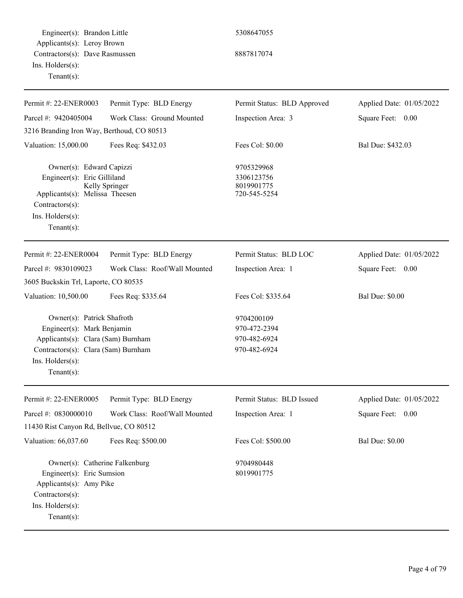Engineer(s): Brandon Little 5308647055 Applicants(s): Leroy Brown Contractors(s): Dave Rasmussen 8887817074 Ins. Holders(s): Tenant(s):

| Permit #: 22-ENER0003                                                                                                                                                       | Permit Type: BLD Energy       | Permit Status: BLD Approved                                | Applied Date: 01/05/2022 |
|-----------------------------------------------------------------------------------------------------------------------------------------------------------------------------|-------------------------------|------------------------------------------------------------|--------------------------|
| Parcel #: 9420405004                                                                                                                                                        | Work Class: Ground Mounted    | Inspection Area: 3                                         | Square Feet:<br>0.00     |
| 3216 Branding Iron Way, Berthoud, CO 80513                                                                                                                                  |                               |                                                            |                          |
| Valuation: 15,000.00                                                                                                                                                        | Fees Req: \$432.03            | Fees Col: \$0.00                                           | Bal Due: \$432.03        |
| Owner(s): Edward Capizzi<br>Engineer(s): Eric Gilliland<br>Applicants(s): Melissa Theesen<br>$Contractors(s)$ :<br>Ins. Holders(s):<br>Tenant $(s)$ :                       | Kelly Springer                | 9705329968<br>3306123756<br>8019901775<br>720-545-5254     |                          |
| Permit #: 22-ENER0004                                                                                                                                                       | Permit Type: BLD Energy       | Permit Status: BLD LOC                                     | Applied Date: 01/05/2022 |
| Parcel #: 9830109023                                                                                                                                                        | Work Class: Roof/Wall Mounted | Inspection Area: 1                                         | Square Feet: 0.00        |
| 3605 Buckskin Trl, Laporte, CO 80535                                                                                                                                        |                               |                                                            |                          |
| Valuation: 10,500.00                                                                                                                                                        | Fees Req: \$335.64            | Fees Col: \$335.64                                         | <b>Bal Due: \$0.00</b>   |
| Owner(s): Patrick Shafroth<br>Engineer(s): Mark Benjamin<br>Applicants(s): Clara (Sam) Burnham<br>Contractors(s): Clara (Sam) Burnham<br>Ins. Holders(s):<br>Tenant $(s)$ : |                               | 9704200109<br>970-472-2394<br>970-482-6924<br>970-482-6924 |                          |
| Permit #: 22-ENER0005                                                                                                                                                       | Permit Type: BLD Energy       | Permit Status: BLD Issued                                  | Applied Date: 01/05/2022 |
| Parcel #: 0830000010                                                                                                                                                        | Work Class: Roof/Wall Mounted | Inspection Area: 1                                         | Square Feet:<br>0.00     |
| 11430 Rist Canyon Rd, Bellvue, CO 80512                                                                                                                                     |                               |                                                            |                          |
| Valuation: 66,037.60                                                                                                                                                        | Fees Req: \$500.00            | Fees Col: \$500.00                                         | <b>Bal Due: \$0.00</b>   |
| Owner(s): Catherine Falkenburg<br>Engineer(s): Eric Sumsion<br>Applicants(s): Amy Pike<br>Contractors(s):<br>Ins. Holders(s):<br>Tenant $(s)$ :                             |                               | 9704980448<br>8019901775                                   |                          |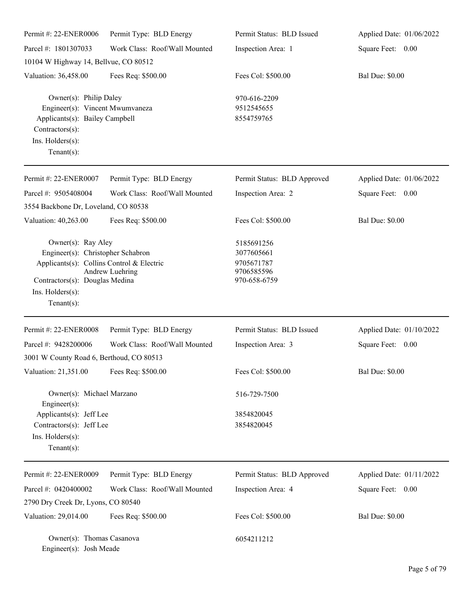| Permit #: 22-ENER0006                                                                                                                                                        | Permit Type: BLD Energy       | Permit Status: BLD Issued                                            | Applied Date: 01/06/2022 |
|------------------------------------------------------------------------------------------------------------------------------------------------------------------------------|-------------------------------|----------------------------------------------------------------------|--------------------------|
| Parcel #: 1801307033                                                                                                                                                         | Work Class: Roof/Wall Mounted | Inspection Area: 1                                                   | Square Feet: 0.00        |
| 10104 W Highway 14, Bellvue, CO 80512                                                                                                                                        |                               |                                                                      |                          |
| Valuation: 36,458.00                                                                                                                                                         | Fees Req: \$500.00            | Fees Col: \$500.00                                                   | <b>Bal Due: \$0.00</b>   |
| Owner(s): Philip Daley<br>Engineer(s): Vincent Mwumvaneza<br>Applicants(s): Bailey Campbell<br>Contractors(s):<br>Ins. Holders(s):<br>Tenant $(s)$ :                         |                               | 970-616-2209<br>9512545655<br>8554759765                             |                          |
| Permit #: 22-ENER0007                                                                                                                                                        | Permit Type: BLD Energy       | Permit Status: BLD Approved                                          | Applied Date: 01/06/2022 |
| Parcel #: 9505408004<br>3554 Backbone Dr, Loveland, CO 80538                                                                                                                 | Work Class: Roof/Wall Mounted | Inspection Area: 2                                                   | Square Feet: 0.00        |
| Valuation: 40,263.00                                                                                                                                                         | Fees Req: \$500.00            | Fees Col: \$500.00                                                   | <b>Bal Due: \$0.00</b>   |
| Owner(s): Ray Aley<br>Engineer(s): Christopher Schabron<br>Applicants(s): Collins Control & Electric<br>Contractors(s): Douglas Medina<br>Ins. Holders(s):<br>Tenant $(s)$ : | Andrew Luehring               | 5185691256<br>3077605661<br>9705671787<br>9706585596<br>970-658-6759 |                          |
| Permit #: 22-ENER0008                                                                                                                                                        | Permit Type: BLD Energy       | Permit Status: BLD Issued                                            | Applied Date: 01/10/2022 |
| Parcel #: 9428200006<br>3001 W County Road 6, Berthoud, CO 80513                                                                                                             | Work Class: Roof/Wall Mounted | Inspection Area: 3                                                   | Square Feet: 0.00        |
| Valuation: 21,351.00                                                                                                                                                         | Fees Req: \$500.00            | Fees Col: \$500.00                                                   | <b>Bal Due: \$0.00</b>   |
| Owner(s): Michael Marzano<br>$Engineering(s)$ :<br>Applicants(s): Jeff Lee<br>Contractors(s): Jeff Lee<br>Ins. Holders(s):                                                   |                               | 516-729-7500<br>3854820045<br>3854820045                             |                          |
| Tenant $(s)$ :                                                                                                                                                               |                               |                                                                      |                          |
| Permit #: 22-ENER0009                                                                                                                                                        | Permit Type: BLD Energy       | Permit Status: BLD Approved                                          | Applied Date: 01/11/2022 |
| Parcel #: 0420400002                                                                                                                                                         | Work Class: Roof/Wall Mounted | Inspection Area: 4                                                   | Square Feet: 0.00        |
| 2790 Dry Creek Dr, Lyons, CO 80540                                                                                                                                           |                               |                                                                      |                          |
| Valuation: 29,014.00                                                                                                                                                         | Fees Req: \$500.00            | Fees Col: \$500.00                                                   | <b>Bal Due: \$0.00</b>   |
| Owner(s): Thomas Casanova<br>Engineer(s): Josh Meade                                                                                                                         |                               | 6054211212                                                           |                          |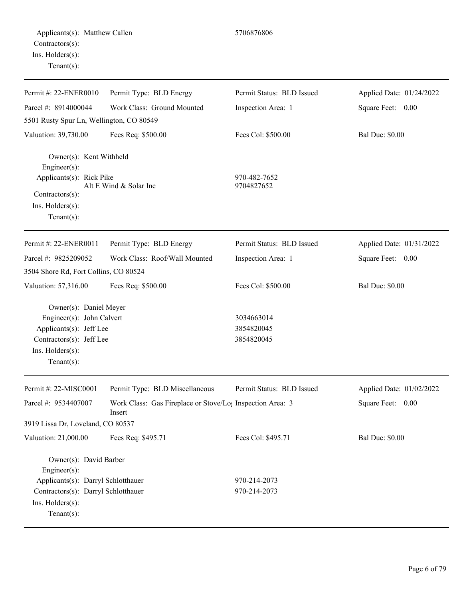| Permit #: 22-ENER0010                                                                                                                                     | Permit Type: BLD Energy                                                         | Permit Status: BLD Issued              | Applied Date: 01/24/2022 |
|-----------------------------------------------------------------------------------------------------------------------------------------------------------|---------------------------------------------------------------------------------|----------------------------------------|--------------------------|
| Parcel #: 8914000044                                                                                                                                      | Work Class: Ground Mounted                                                      | Inspection Area: 1                     | Square Feet: 0.00        |
| 5501 Rusty Spur Ln, Wellington, CO 80549                                                                                                                  |                                                                                 |                                        |                          |
| Valuation: 39,730.00                                                                                                                                      | Fees Req: \$500.00                                                              | Fees Col: \$500.00                     | <b>Bal Due: \$0.00</b>   |
| Owner(s): Kent Withheld<br>Engineer(s):<br>Applicants(s): Rick Pike<br>Contractors(s):<br>$Ins.$ Holders $(s)$ :<br>Tenant $(s)$ :                        | Alt E Wind & Solar Inc                                                          | 970-482-7652<br>9704827652             |                          |
| Permit #: 22-ENER0011                                                                                                                                     | Permit Type: BLD Energy                                                         | Permit Status: BLD Issued              | Applied Date: 01/31/2022 |
| Parcel #: 9825209052                                                                                                                                      | Work Class: Roof/Wall Mounted                                                   | Inspection Area: 1                     | Square Feet: 0.00        |
| 3504 Shore Rd, Fort Collins, CO 80524                                                                                                                     |                                                                                 |                                        |                          |
| Valuation: 57,316.00                                                                                                                                      | Fees Req: \$500.00                                                              | Fees Col: \$500.00                     | <b>Bal Due: \$0.00</b>   |
| Owner(s): Daniel Meyer<br>Engineer(s): John Calvert<br>Applicants(s): Jeff Lee<br>Contractors(s): Jeff Lee<br>Ins. Holders(s):<br>$Tenant(s)$ :           |                                                                                 | 3034663014<br>3854820045<br>3854820045 |                          |
| Permit #: 22-MISC0001                                                                                                                                     | Permit Type: BLD Miscellaneous                                                  | Permit Status: BLD Issued              | Applied Date: 01/02/2022 |
| Parcel #: 9534407007                                                                                                                                      | Work Class: Gas Fireplace or Stove/Lo <sub>1</sub> Inspection Area: 3<br>Insert |                                        | Square Feet:<br>0.00     |
| 3919 Lissa Dr, Loveland, CO 80537                                                                                                                         |                                                                                 |                                        |                          |
| Valuation: 21,000.00                                                                                                                                      | Fees Req: \$495.71                                                              | Fees Col: \$495.71                     | <b>Bal Due: \$0.00</b>   |
| Owner(s): David Barber<br>Engineer(s):<br>Applicants(s): Darryl Schlotthauer<br>Contractors(s): Darryl Schlotthauer<br>Ins. Holders(s):<br>Tenant $(s)$ : |                                                                                 | 970-214-2073<br>970-214-2073           |                          |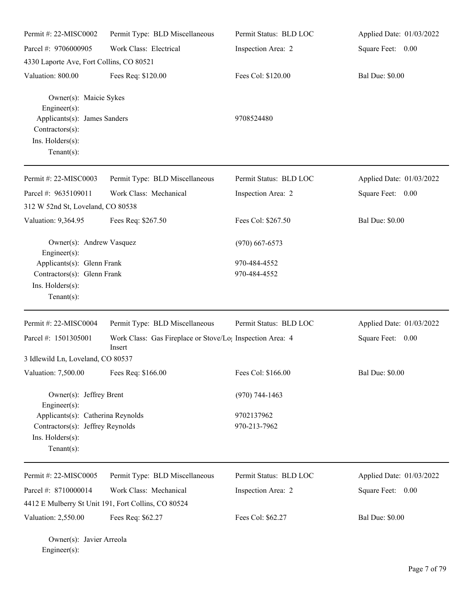| Permit #: 22-MISC0002                                                                                                              | Permit Type: BLD Miscellaneous                                                  | Permit Status: BLD LOC       | Applied Date: 01/03/2022 |
|------------------------------------------------------------------------------------------------------------------------------------|---------------------------------------------------------------------------------|------------------------------|--------------------------|
| Parcel #: 9706000905                                                                                                               | Work Class: Electrical                                                          | Inspection Area: 2           | Square Feet: 0.00        |
| 4330 Laporte Ave, Fort Collins, CO 80521                                                                                           |                                                                                 |                              |                          |
| Valuation: 800.00                                                                                                                  | Fees Req: \$120.00                                                              | Fees Col: \$120.00           | <b>Bal Due: \$0.00</b>   |
| Owner(s): Maicie Sykes<br>Engineer $(s)$ :<br>Applicants(s): James Sanders<br>Contractors(s):<br>Ins. Holders(s):<br>$Tenant(s)$ : |                                                                                 | 9708524480                   |                          |
| Permit #: 22-MISC0003                                                                                                              | Permit Type: BLD Miscellaneous                                                  | Permit Status: BLD LOC       | Applied Date: 01/03/2022 |
| Parcel #: 9635109011                                                                                                               | Work Class: Mechanical                                                          | Inspection Area: 2           | Square Feet: 0.00        |
| 312 W 52nd St, Loveland, CO 80538                                                                                                  |                                                                                 |                              |                          |
| Valuation: 9,364.95                                                                                                                | Fees Req: \$267.50                                                              | Fees Col: \$267.50           | <b>Bal Due: \$0.00</b>   |
| Owner(s): Andrew Vasquez<br>$Engineering(s)$ :                                                                                     |                                                                                 | $(970)$ 667-6573             |                          |
| Applicants(s): Glenn Frank<br>Contractors(s): Glenn Frank<br>Ins. Holders(s):<br>Tenant $(s)$ :                                    |                                                                                 | 970-484-4552<br>970-484-4552 |                          |
| Permit #: 22-MISC0004                                                                                                              | Permit Type: BLD Miscellaneous                                                  | Permit Status: BLD LOC       | Applied Date: 01/03/2022 |
| Parcel #: 1501305001                                                                                                               | Work Class: Gas Fireplace or Stove/Lo <sub>1</sub> Inspection Area: 4<br>Insert |                              | Square Feet: 0.00        |
| 3 Idlewild Ln, Loveland, CO 80537                                                                                                  |                                                                                 |                              |                          |
| Valuation: 7,500.00                                                                                                                | Fees Req: \$166.00                                                              | Fees Col: \$166.00           | <b>Bal Due: \$0.00</b>   |
| Owner(s): Jeffrey Brent                                                                                                            |                                                                                 | $(970) 744 - 1463$           |                          |
| $Engineering(s)$ :<br>Applicants(s): Catherina Reynolds<br>Contractors(s): Jeffrey Reynolds<br>Ins. Holders(s):<br>Tenant $(s)$ :  |                                                                                 | 9702137962<br>970-213-7962   |                          |
| Permit #: 22-MISC0005                                                                                                              | Permit Type: BLD Miscellaneous                                                  | Permit Status: BLD LOC       | Applied Date: 01/03/2022 |
| Parcel #: 8710000014<br>4412 E Mulberry St Unit 191, Fort Collins, CO 80524                                                        | Work Class: Mechanical                                                          | Inspection Area: 2           | Square Feet: 0.00        |
| Valuation: 2,550.00                                                                                                                | Fees Req: \$62.27                                                               | Fees Col: \$62.27            | <b>Bal Due: \$0.00</b>   |

Owner(s): Javier Arreola Engineer(s):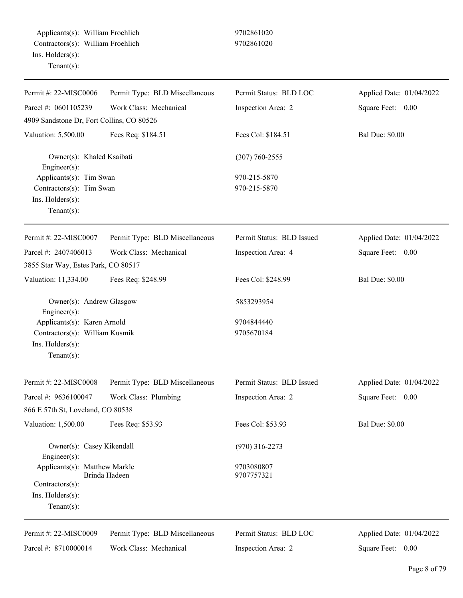| Permit #: 22-MISC0006                                                                              | Permit Type: BLD Miscellaneous | Permit Status: BLD LOC    | Applied Date: 01/04/2022 |
|----------------------------------------------------------------------------------------------------|--------------------------------|---------------------------|--------------------------|
| Parcel #: 0601105239                                                                               | Work Class: Mechanical         | Inspection Area: 2        | Square Feet: 0.00        |
| 4909 Sandstone Dr, Fort Collins, CO 80526                                                          |                                |                           |                          |
| Valuation: 5,500.00                                                                                | Fees Req: \$184.51             | Fees Col: \$184.51        | <b>Bal Due: \$0.00</b>   |
| Owner(s): Khaled Ksaibati                                                                          |                                | $(307) 760 - 2555$        |                          |
| Engineer $(s)$ :<br>Applicants(s): Tim Swan                                                        |                                | 970-215-5870              |                          |
| Contractors(s): Tim Swan                                                                           |                                | 970-215-5870              |                          |
| Ins. Holders(s):<br>Tenant $(s)$ :                                                                 |                                |                           |                          |
| Permit #: 22-MISC0007                                                                              | Permit Type: BLD Miscellaneous | Permit Status: BLD Issued | Applied Date: 01/04/2022 |
| Parcel #: 2407406013                                                                               | Work Class: Mechanical         | Inspection Area: 4        | Square Feet: 0.00        |
| 3855 Star Way, Estes Park, CO 80517                                                                |                                |                           |                          |
| Valuation: 11,334.00                                                                               | Fees Req: \$248.99             | Fees Col: \$248.99        | <b>Bal Due: \$0.00</b>   |
| Owner(s): Andrew Glasgow<br>Engineer(s):                                                           |                                | 5853293954                |                          |
| Applicants(s): Karen Arnold<br>Contractors(s): William Kusmik<br>Ins. Holders(s):<br>$Tenant(s)$ : |                                | 9704844440<br>9705670184  |                          |
| Permit #: 22-MISC0008                                                                              | Permit Type: BLD Miscellaneous | Permit Status: BLD Issued | Applied Date: 01/04/2022 |
| Parcel #: 9636100047                                                                               | Work Class: Plumbing           | Inspection Area: 2        | Square Feet:<br>0.00     |
| 866 E 57th St, Loveland, CO 80538                                                                  |                                |                           |                          |
| Valuation: 1,500.00                                                                                | Fees Req: \$53.93              | Fees Col: \$53.93         | <b>Bal Due: \$0.00</b>   |
| Owner(s): Casey Kikendall<br>Engineer $(s)$ :                                                      |                                | $(970)$ 316-2273          |                          |
| Applicants(s): Matthew Markle                                                                      |                                | 9703080807                |                          |
| Contractors(s):                                                                                    | Brinda Hadeen                  | 9707757321                |                          |
| $Ins.$ Holders $(s)$ :                                                                             |                                |                           |                          |
| Tenant $(s)$ :                                                                                     |                                |                           |                          |
| Permit #: 22-MISC0009                                                                              | Permit Type: BLD Miscellaneous | Permit Status: BLD LOC    | Applied Date: 01/04/2022 |
| Parcel #: 8710000014                                                                               | Work Class: Mechanical         | Inspection Area: 2        | Square Feet: 0.00        |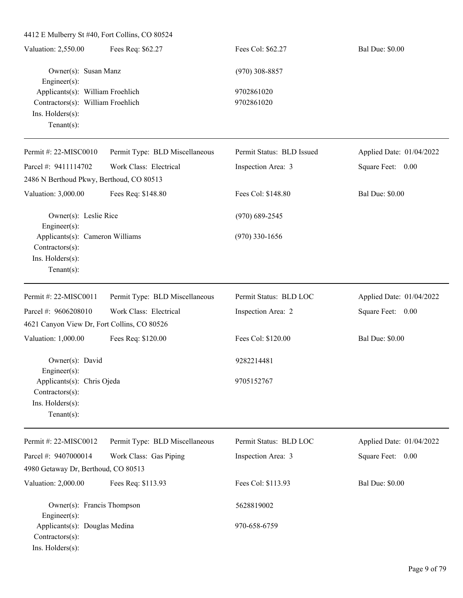4412 E Mulberry St #40, Fort Collins, CO 80524 Valuation: 2,550.00 Fees Req: \$62.27 Fees Col: \$62.27 Bal Due: \$0.00 Owner(s): Susan Manz (970) 308-8857 Engineer(s): Applicants(s): William Froehlich 9702861020 Contractors(s): William Froehlich 9702861020 Ins. Holders(s): Tenant(s): Permit #: 22-MISC0010 Parcel #: 9411114702 Permit Type: BLD Miscellaneous Work Class: Electrical Permit Status: BLD Issued Inspection Area: 3 Applied Date: 01/04/2022 Square Feet: 0.00 2486 N Berthoud Pkwy, Berthoud, CO 80513 Valuation: 3,000.00 Fees Req: \$148.80 Fees Col: \$148.80 Bal Due: \$0.00 Owner(s): Leslie Rice (970) 689-2545 Engineer(s): Applicants(s): Cameron Williams (970) 330-1656 Contractors(s): Ins. Holders(s): Tenant(s): Permit #: 22-MISC0011 Parcel #: 9606208010 Permit Type: BLD Miscellaneous Work Class: Electrical Permit Status: BLD LOC Inspection Area: 2 Applied Date: 01/04/2022 Square Feet: 0.00 4621 Canyon View Dr, Fort Collins, CO 80526 Valuation: 1,000.00 Fees Req: \$120.00 Fees Col: \$120.00 Bal Due: \$0.00 Owner(s): David 9282214481 Engineer(s): Applicants(s): Chris Ojeda 9705152767 Contractors(s): Ins. Holders(s): Tenant(s): Permit #: 22-MISC0012 Parcel #: 9407000014 Permit Type: BLD Miscellaneous Work Class: Gas Piping Permit Status: BLD LOC Inspection Area: 3 Applied Date: 01/04/2022 Square Feet: 0.00 4980 Getaway Dr, Berthoud, CO 80513 Valuation: 2,000.00 Fees Req: \$113.93 Fees Col: \$113.93 Bal Due: \$0.00 Owner(s): Francis Thompson 5628819002 Engineer(s): Applicants(s): Douglas Medina 970-658-6759 Contractors(s): Ins. Holders(s):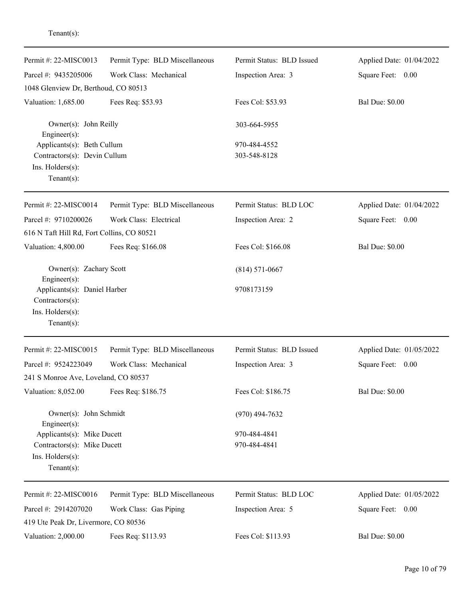| Permit #: 22-MISC0013                        | Permit Type: BLD Miscellaneous | Permit Status: BLD Issued | Applied Date: 01/04/2022 |
|----------------------------------------------|--------------------------------|---------------------------|--------------------------|
| Parcel #: 9435205006                         | Work Class: Mechanical         | Inspection Area: 3        | Square Feet: 0.00        |
| 1048 Glenview Dr, Berthoud, CO 80513         |                                |                           |                          |
| Valuation: 1,685.00                          | Fees Req: \$53.93              | Fees Col: \$53.93         | <b>Bal Due: \$0.00</b>   |
| Engineer(s):                                 | Owner(s): John Reilly          |                           |                          |
| Applicants(s): Beth Cullum                   |                                | 970-484-4552              |                          |
| Contractors(s): Devin Cullum                 |                                | 303-548-8128              |                          |
| Ins. Holders(s):                             |                                |                           |                          |
| $Tenant(s)$ :                                |                                |                           |                          |
| Permit #: 22-MISC0014                        | Permit Type: BLD Miscellaneous | Permit Status: BLD LOC    | Applied Date: 01/04/2022 |
| Parcel #: 9710200026                         | Work Class: Electrical         | Inspection Area: 2        | Square Feet: 0.00        |
| 616 N Taft Hill Rd, Fort Collins, CO 80521   |                                |                           |                          |
| Valuation: 4,800.00                          | Fees Req: \$166.08             | Fees Col: \$166.08        | <b>Bal Due: \$0.00</b>   |
| Owner(s): Zachary Scott                      |                                | $(814) 571 - 0667$        |                          |
| Engineer(s):<br>Applicants(s): Daniel Harber |                                | 9708173159                |                          |
| Contractors(s):                              |                                |                           |                          |
| Ins. Holders(s):                             |                                |                           |                          |
| $Tenant(s)$ :                                |                                |                           |                          |
| Permit #: 22-MISC0015                        | Permit Type: BLD Miscellaneous | Permit Status: BLD Issued | Applied Date: 01/05/2022 |
| Parcel #: 9524223049                         | Work Class: Mechanical         | Inspection Area: 3        | Square Feet: 0.00        |
| 241 S Monroe Ave, Loveland, CO 80537         |                                |                           |                          |
| Valuation: 8,052.00                          | Fees Req: \$186.75             | Fees Col: \$186.75        | <b>Bal Due: \$0.00</b>   |
| Owner(s): John Schmidt<br>Engineer $(s)$ :   |                                | $(970)$ 494-7632          |                          |
| Applicants(s): Mike Ducett                   |                                | 970-484-4841              |                          |
| Contractors(s): Mike Ducett                  |                                | 970-484-4841              |                          |
| Ins. Holders(s):                             |                                |                           |                          |
| $Tenant(s)$ :                                |                                |                           |                          |
| Permit #: 22-MISC0016                        | Permit Type: BLD Miscellaneous | Permit Status: BLD LOC    | Applied Date: 01/05/2022 |
| Parcel #: 2914207020                         | Work Class: Gas Piping         | Inspection Area: 5        | Square Feet: 0.00        |
| 419 Ute Peak Dr, Livermore, CO 80536         |                                |                           |                          |
| Valuation: 2,000.00                          | Fees Req: \$113.93             | Fees Col: \$113.93        | <b>Bal Due: \$0.00</b>   |
|                                              |                                |                           |                          |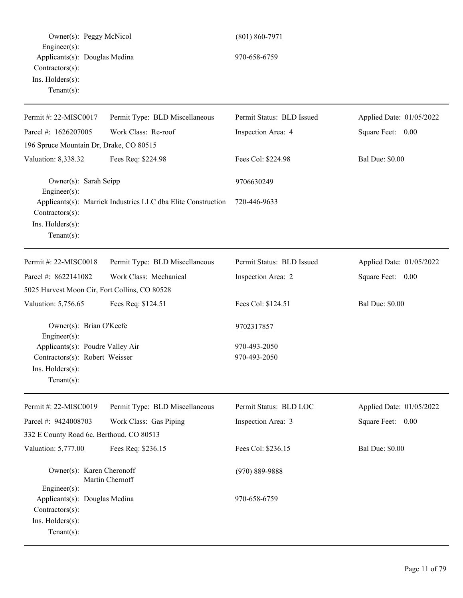| Owner(s): Peggy McNicol                                                                                      |                                                              | $(801) 860 - 7971$        |                          |
|--------------------------------------------------------------------------------------------------------------|--------------------------------------------------------------|---------------------------|--------------------------|
| $Engineering(s)$ :<br>Applicants(s): Douglas Medina<br>Contractors(s):<br>Ins. Holders(s):<br>Tenant $(s)$ : |                                                              | 970-658-6759              |                          |
| Permit #: 22-MISC0017                                                                                        | Permit Type: BLD Miscellaneous                               | Permit Status: BLD Issued | Applied Date: 01/05/2022 |
| Parcel #: 1626207005                                                                                         | Work Class: Re-roof                                          | Inspection Area: 4        | Square Feet: 0.00        |
| 196 Spruce Mountain Dr, Drake, CO 80515                                                                      |                                                              |                           |                          |
| Valuation: 8,338.32                                                                                          | Fees Req: \$224.98                                           | Fees Col: \$224.98        | <b>Bal Due: \$0.00</b>   |
| Owner(s): Sarah Seipp<br>Engineer(s):                                                                        |                                                              | 9706630249                |                          |
| Contractors(s):<br>Ins. Holders(s):<br>Tenant $(s)$ :                                                        | Applicants(s): Marrick Industries LLC dba Elite Construction | 720-446-9633              |                          |
| Permit #: 22-MISC0018                                                                                        | Permit Type: BLD Miscellaneous                               | Permit Status: BLD Issued | Applied Date: 01/05/2022 |
| Parcel #: 8622141082                                                                                         | Work Class: Mechanical                                       | Inspection Area: 2        | Square Feet: 0.00        |
| 5025 Harvest Moon Cir, Fort Collins, CO 80528                                                                |                                                              |                           |                          |
| Valuation: 5,756.65                                                                                          | Fees Req: \$124.51                                           | Fees Col: \$124.51        | <b>Bal Due: \$0.00</b>   |
| Owner(s): Brian O'Keefe<br>Engineer(s):                                                                      |                                                              | 9702317857                |                          |
| Applicants(s): Poudre Valley Air                                                                             |                                                              | 970-493-2050              |                          |
| Contractors(s): Robert Weisser<br>Ins. Holders(s):<br>Tenant $(s)$ :                                         |                                                              | 970-493-2050              |                          |
| Permit #: 22-MISC0019                                                                                        | Permit Type: BLD Miscellaneous                               | Permit Status: BLD LOC    | Applied Date: 01/05/2022 |
| Parcel #: 9424008703                                                                                         | Work Class: Gas Piping                                       | Inspection Area: 3        | Square Feet: 0.00        |
| 332 E County Road 6c, Berthoud, CO 80513                                                                     |                                                              |                           |                          |
| Valuation: 5,777.00                                                                                          | Fees Req: \$236.15                                           | Fees Col: \$236.15        | <b>Bal Due: \$0.00</b>   |
| Owner(s): Karen Cheronoff<br>Engineer(s):                                                                    | Martin Chernoff                                              | $(970) 889 - 9888$        |                          |
| Applicants(s): Douglas Medina<br>Contractors(s):<br>Ins. Holders(s):<br>Tenant $(s)$ :                       |                                                              | 970-658-6759              |                          |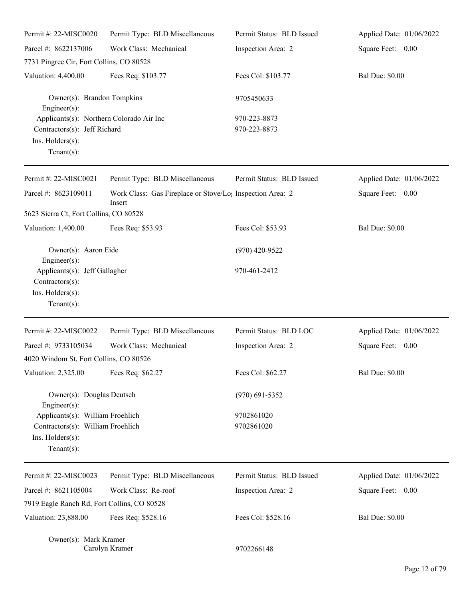| Permit #: 22-MISC0020                                                                                          | Permit Type: BLD Miscellaneous                                                  | Permit Status: BLD Issued    | Applied Date: 01/06/2022 |
|----------------------------------------------------------------------------------------------------------------|---------------------------------------------------------------------------------|------------------------------|--------------------------|
| Parcel #: 8622137006                                                                                           | Work Class: Mechanical                                                          | Inspection Area: 2           | Square Feet: 0.00        |
| 7731 Pingree Cir, Fort Collins, CO 80528                                                                       |                                                                                 |                              |                          |
| Valuation: 4,400.00                                                                                            | Fees Req: \$103.77                                                              | Fees Col: \$103.77           | <b>Bal Due: \$0.00</b>   |
| Owner(s): Brandon Tompkins<br>$Engineering(s)$ :                                                               |                                                                                 | 9705450633                   |                          |
| Applicants(s): Northern Colorado Air Inc<br>Contractors(s): Jeff Richard<br>Ins. Holders(s):<br>Tenant $(s)$ : |                                                                                 | 970-223-8873<br>970-223-8873 |                          |
| Permit #: 22-MISC0021                                                                                          | Permit Type: BLD Miscellaneous                                                  | Permit Status: BLD Issued    | Applied Date: 01/06/2022 |
| Parcel #: 8623109011                                                                                           | Work Class: Gas Fireplace or Stove/Lo <sub>1</sub> Inspection Area: 2<br>Insert |                              | Square Feet: 0.00        |
| 5623 Sierra Ct, Fort Collins, CO 80528                                                                         |                                                                                 |                              |                          |
| Valuation: 1,400.00                                                                                            | Fees Req: \$53.93                                                               | Fees Col: \$53.93            | <b>Bal Due: \$0.00</b>   |
| Owner(s): Aaron Eide<br>Engineer $(s)$ :                                                                       |                                                                                 | $(970)$ 420-9522             |                          |
| Applicants(s): Jeff Gallagher<br>Contractors(s):<br>Ins. Holders(s):<br>$Tenant(s)$ :                          |                                                                                 | 970-461-2412                 |                          |
| Permit #: 22-MISC0022                                                                                          | Permit Type: BLD Miscellaneous                                                  | Permit Status: BLD LOC       | Applied Date: 01/06/2022 |
| Parcel #: 9733105034                                                                                           | Work Class: Mechanical                                                          | Inspection Area: 2           | Square Feet:<br>0.00     |
| 4020 Windom St, Fort Collins, CO 80526                                                                         |                                                                                 |                              |                          |
| Valuation: 2,325.00                                                                                            | Fees Req: \$62.27                                                               | Fees Col: \$62.27            | <b>Bal Due: \$0.00</b>   |
| Owner(s): Douglas Deutsch<br>Engineer(s):                                                                      |                                                                                 | $(970)$ 691-5352             |                          |
| Applicants(s): William Froehlich<br>Contractors(s): William Froehlich<br>Ins. Holders(s):<br>Tenant $(s)$ :    |                                                                                 | 9702861020<br>9702861020     |                          |
| Permit #: 22-MISC0023                                                                                          | Permit Type: BLD Miscellaneous                                                  | Permit Status: BLD Issued    | Applied Date: 01/06/2022 |
| Parcel #: 8621105004                                                                                           | Work Class: Re-roof                                                             | Inspection Area: 2           | Square Feet: 0.00        |
| 7919 Eagle Ranch Rd, Fort Collins, CO 80528                                                                    |                                                                                 |                              |                          |
| Valuation: 23,888.00                                                                                           | Fees Req: \$528.16                                                              | Fees Col: \$528.16           | <b>Bal Due: \$0.00</b>   |
| Owner(s): Mark Kramer                                                                                          | Carolyn Kramer                                                                  | 9702266148                   |                          |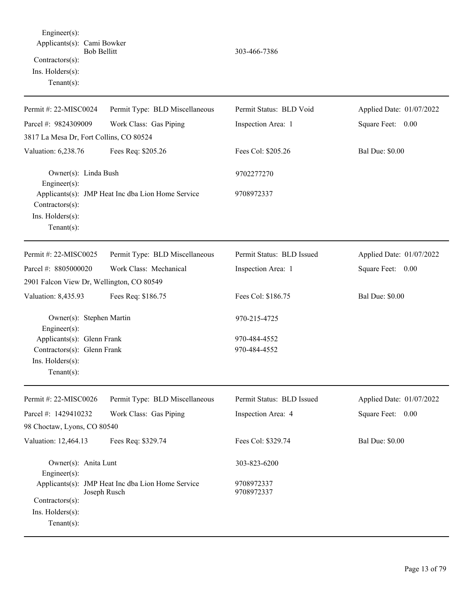Engineer(s): Applicants(s): Cami Bowker Bob Bellitt 303-466-7386 Contractors(s): Ins. Holders(s): Tenant(s): Permit #: 22-MISC0024 Parcel #: 9824309009 Permit Type: BLD Miscellaneous Work Class: Gas Piping Permit Status: BLD Void Inspection Area: 1 Applied Date: 01/07/2022 Square Feet: 0.00 3817 La Mesa Dr, Fort Collins, CO 80524 Valuation: 6,238.76 Fees Req: \$205.26 Fees Col: \$205.26 Bal Due: \$0.00 Owner(s): Linda Bush 9702277270 Engineer(s): Applicants(s): JMP Heat Inc dba Lion Home Service 9708972337 Contractors(s): Ins. Holders(s): Tenant(s): Permit #: 22-MISC0025 Parcel #: 8805000020 Permit Type: BLD Miscellaneous Work Class: Mechanical Permit Status: BLD Issued Inspection Area: 1 Applied Date: 01/07/2022 Square Feet: 0.00 2901 Falcon View Dr, Wellington, CO 80549 Valuation: 8,435.93 Fees Req: \$186.75 Fees Col: \$186.75 Bal Due: \$0.00 Owner(s): Stephen Martin 970-215-4725 Engineer(s): Applicants(s): Glenn Frank 970-484-4552 Contractors(s): Glenn Frank 970-484-4552 Ins. Holders(s): Tenant(s): Permit #: 22-MISC0026 Parcel #: 1429410232 Permit Type: BLD Miscellaneous Work Class: Gas Piping Permit Status: BLD Issued Inspection Area: 4 Applied Date: 01/07/2022 Square Feet: 0.00 98 Choctaw, Lyons, CO 80540 Valuation: 12,464.13 Fees Req: \$329.74 Fees Col: \$329.74 Bal Due: \$0.00 Owner(s): Anita Lunt 303-823-6200 Engineer(s): Applicants(s): JMP Heat Inc dba Lion Home Service 9708972337 Joseph Rusch 9708972337 Contractors(s): Ins. Holders(s): Tenant(s):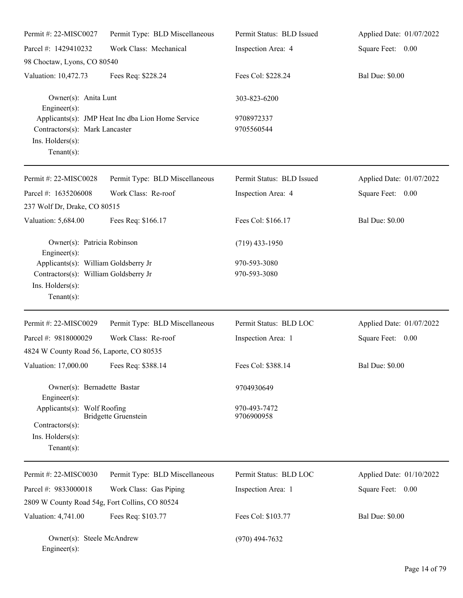| Permit #: 22-MISC0027                                                                                               | Permit Type: BLD Miscellaneous                    | Permit Status: BLD Issued    | Applied Date: 01/07/2022 |
|---------------------------------------------------------------------------------------------------------------------|---------------------------------------------------|------------------------------|--------------------------|
| Parcel #: 1429410232                                                                                                | Work Class: Mechanical                            | Inspection Area: 4           | Square Feet: 0.00        |
| 98 Choctaw, Lyons, CO 80540                                                                                         |                                                   |                              |                          |
| Valuation: 10,472.73                                                                                                | Fees Req: \$228.24                                | Fees Col: \$228.24           | <b>Bal Due: \$0.00</b>   |
| Owner(s): Anita Lunt<br>Engineer $(s)$ :                                                                            |                                                   | 303-823-6200                 |                          |
| Contractors(s): Mark Lancaster<br>Ins. Holders(s):<br>Tenant $(s)$ :                                                | Applicants(s): JMP Heat Inc dba Lion Home Service | 9708972337<br>9705560544     |                          |
| Permit #: 22-MISC0028                                                                                               | Permit Type: BLD Miscellaneous                    | Permit Status: BLD Issued    | Applied Date: 01/07/2022 |
| Parcel #: 1635206008                                                                                                | Work Class: Re-roof                               | Inspection Area: 4           | Square Feet: 0.00        |
| 237 Wolf Dr, Drake, CO 80515                                                                                        |                                                   |                              |                          |
| Valuation: 5,684.00                                                                                                 | Fees Req: \$166.17                                | Fees Col: \$166.17           | <b>Bal Due: \$0.00</b>   |
| Owner(s): Patricia Robinson<br>Engineer $(s)$ :                                                                     |                                                   | $(719)$ 433-1950             |                          |
| Applicants(s): William Goldsberry Jr<br>Contractors(s): William Goldsberry Jr<br>Ins. Holders(s):<br>Tenant $(s)$ : |                                                   | 970-593-3080<br>970-593-3080 |                          |
| Permit #: 22-MISC0029                                                                                               | Permit Type: BLD Miscellaneous                    | Permit Status: BLD LOC       | Applied Date: 01/07/2022 |
| Parcel #: 9818000029<br>4824 W County Road 56, Laporte, CO 80535                                                    | Work Class: Re-roof                               | Inspection Area: 1           | Square Feet: 0.00        |
| Valuation: 17,000.00                                                                                                | Fees Req: \$388.14                                | Fees Col: \$388.14           | <b>Bal Due: \$0.00</b>   |
| Owner(s): Bernadette Bastar<br>Engineer $(s)$ :                                                                     |                                                   | 9704930649                   |                          |
| Applicants(s): Wolf Roofing<br>Contractors(s):<br>Ins. Holders(s):<br>Tenant $(s)$ :                                | <b>Bridgette Gruenstein</b>                       | 970-493-7472<br>9706900958   |                          |
| Permit #: 22-MISC0030                                                                                               | Permit Type: BLD Miscellaneous                    | Permit Status: BLD LOC       | Applied Date: 01/10/2022 |
| Parcel #: 9833000018<br>2809 W County Road 54g, Fort Collins, CO 80524                                              | Work Class: Gas Piping                            | Inspection Area: 1           | Square Feet: 0.00        |
| Valuation: 4,741.00                                                                                                 | Fees Req: \$103.77                                | Fees Col: \$103.77           | <b>Bal Due: \$0.00</b>   |
| Owner(s): Steele McAndrew                                                                                           |                                                   | $(970)$ 494-7632             |                          |

Engineer(s):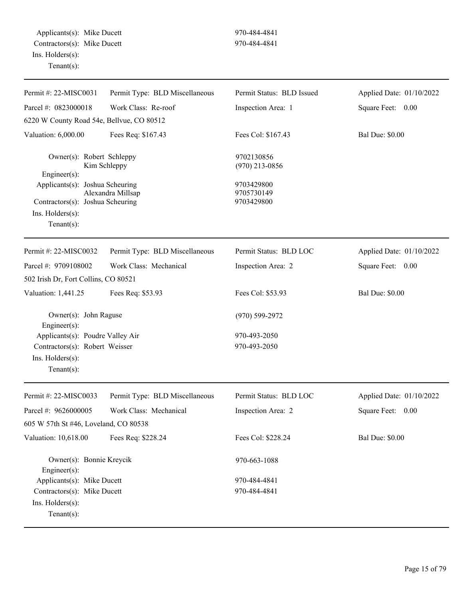Applicants(s): Mike Ducett 970-484-4841 Contractors(s): Mike Ducett 970-484-4841 Ins. Holders(s): Tenant(s):

| Permit #: 22-MISC0031                                                                                                                                        | Permit Type: BLD Miscellaneous    | Permit Status: BLD Issued                                                | Applied Date: 01/10/2022 |
|--------------------------------------------------------------------------------------------------------------------------------------------------------------|-----------------------------------|--------------------------------------------------------------------------|--------------------------|
| Parcel #: 0823000018                                                                                                                                         | Work Class: Re-roof               | Inspection Area: 1                                                       | Square Feet: 0.00        |
| 6220 W County Road 54e, Bellvue, CO 80512                                                                                                                    |                                   |                                                                          |                          |
| Valuation: 6,000.00                                                                                                                                          | Fees Req: \$167.43                | Fees Col: \$167.43                                                       | <b>Bal Due: \$0.00</b>   |
| Owner(s): Robert Schleppy<br>Engineer(s):<br>Applicants(s): Joshua Scheuring<br>Contractors(s): Joshua Scheuring<br>$Ins.$ Holders $(s)$ :<br>Tenant $(s)$ : | Kim Schleppy<br>Alexandra Millsap | 9702130856<br>$(970)$ 213-0856<br>9703429800<br>9705730149<br>9703429800 |                          |
| Permit #: 22-MISC0032                                                                                                                                        | Permit Type: BLD Miscellaneous    | Permit Status: BLD LOC                                                   | Applied Date: 01/10/2022 |
| Parcel #: 9709108002                                                                                                                                         | Work Class: Mechanical            | Inspection Area: 2                                                       | Square Feet: 0.00        |
| 502 Irish Dr, Fort Collins, CO 80521                                                                                                                         |                                   |                                                                          |                          |
| Valuation: 1,441.25                                                                                                                                          | Fees Req: \$53.93                 | Fees Col: \$53.93                                                        | <b>Bal Due: \$0.00</b>   |
| Owner(s): John Raguse<br>Engineer(s):                                                                                                                        |                                   | $(970) 599 - 2972$                                                       |                          |
| Applicants(s): Poudre Valley Air<br>Contractors(s): Robert Weisser<br>Ins. Holders(s):<br>Tenant $(s)$ :                                                     |                                   | 970-493-2050<br>970-493-2050                                             |                          |
| Permit #: 22-MISC0033                                                                                                                                        | Permit Type: BLD Miscellaneous    | Permit Status: BLD LOC                                                   | Applied Date: 01/10/2022 |
| Parcel #: 9626000005                                                                                                                                         | Work Class: Mechanical            | Inspection Area: 2                                                       | Square Feet: 0.00        |
| 605 W 57th St #46, Loveland, CO 80538                                                                                                                        |                                   |                                                                          |                          |
| Valuation: 10,618.00                                                                                                                                         | Fees Req: \$228.24                | Fees Col: \$228.24                                                       | <b>Bal Due: \$0.00</b>   |
| Owner(s): Bonnie Kreycik<br>$Engineering(s)$ :                                                                                                               |                                   | 970-663-1088                                                             |                          |
| Applicants(s): Mike Ducett                                                                                                                                   |                                   | 970-484-4841                                                             |                          |
| Contractors(s): Mike Ducett                                                                                                                                  |                                   | 970-484-4841                                                             |                          |
| Ins. Holders(s):<br>Tenant $(s)$ :                                                                                                                           |                                   |                                                                          |                          |
|                                                                                                                                                              |                                   |                                                                          |                          |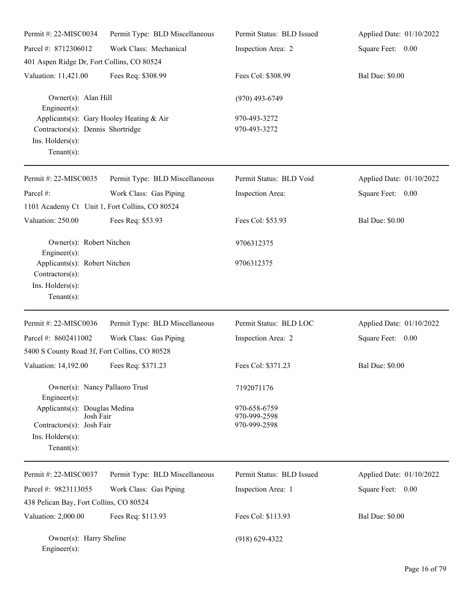| Permit #: 22-MISC0034                                                                                               | Permit Type: BLD Miscellaneous | Permit Status: BLD Issued                    | Applied Date: 01/10/2022 |
|---------------------------------------------------------------------------------------------------------------------|--------------------------------|----------------------------------------------|--------------------------|
| Parcel #: 8712306012                                                                                                | Work Class: Mechanical         | Inspection Area: 2                           | Square Feet: 0.00        |
| 401 Aspen Ridge Dr, Fort Collins, CO 80524                                                                          |                                |                                              |                          |
| Valuation: 11,421.00                                                                                                | Fees Req: \$308.99             | Fees Col: \$308.99                           | <b>Bal Due: \$0.00</b>   |
| Owner(s): Alan Hill<br>Engineer(s):                                                                                 |                                | $(970)$ 493-6749                             |                          |
| Applicants(s): Gary Hooley Heating & Air<br>Contractors(s): Dennis Shortridge<br>Ins. Holders(s):<br>Tenant $(s)$ : |                                | 970-493-3272<br>970-493-3272                 |                          |
| Permit #: 22-MISC0035                                                                                               | Permit Type: BLD Miscellaneous | Permit Status: BLD Void                      | Applied Date: 01/10/2022 |
| Parcel #:                                                                                                           | Work Class: Gas Piping         | Inspection Area:                             | Square Feet: 0.00        |
| 1101 Academy Ct Unit 1, Fort Collins, CO 80524                                                                      |                                |                                              |                          |
| Valuation: 250.00                                                                                                   | Fees Req: \$53.93              | Fees Col: \$53.93                            | <b>Bal Due: \$0.00</b>   |
| Owner(s): Robert Nitchen<br>Engineer(s):                                                                            |                                | 9706312375                                   |                          |
| Applicants(s): Robert Nitchen<br>Contractors(s):<br>Ins. Holders(s):<br>Tenant $(s)$ :                              |                                | 9706312375                                   |                          |
| Permit #: 22-MISC0036                                                                                               | Permit Type: BLD Miscellaneous | Permit Status: BLD LOC                       | Applied Date: 01/10/2022 |
| Parcel #: 8602411002                                                                                                | Work Class: Gas Piping         | Inspection Area: 2                           | Square Feet: 0.00        |
| 5400 S County Road 3f, Fort Collins, CO 80528                                                                       |                                |                                              |                          |
| Valuation: 14,192.00 Fees Req: \$371.23                                                                             |                                | Fees Col: \$371.23                           | <b>Bal Due: \$0.00</b>   |
| Owner(s): Nancy Pallaoro Trust<br>Engineer(s):                                                                      |                                | 7192071176                                   |                          |
| Applicants(s): Douglas Medina<br>Josh Fair<br>Contractors(s): Josh Fair<br>Ins. Holders(s):<br>Tenant $(s)$ :       |                                | 970-658-6759<br>970-999-2598<br>970-999-2598 |                          |
| Permit #: 22-MISC0037                                                                                               | Permit Type: BLD Miscellaneous | Permit Status: BLD Issued                    | Applied Date: 01/10/2022 |
| Parcel #: 9823113055                                                                                                | Work Class: Gas Piping         | Inspection Area: 1                           | Square Feet: 0.00        |
| 438 Pelican Bay, Fort Collins, CO 80524                                                                             |                                |                                              |                          |
| Valuation: 2,000.00                                                                                                 | Fees Req: \$113.93             | Fees Col: \$113.93                           | <b>Bal Due: \$0.00</b>   |
| Owner(s): Harry Sheline<br>Engineer(s):                                                                             |                                | $(918) 629 - 4322$                           |                          |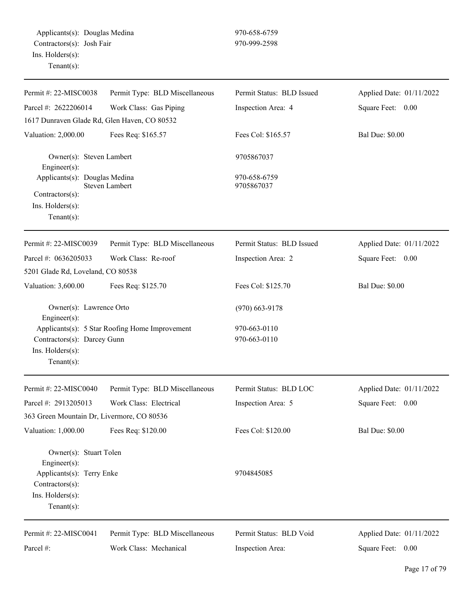| Permit #: 22-MISC0038                                                             | Permit Type: BLD Miscellaneous                 | Permit Status: BLD Issued    | Applied Date: 01/11/2022 |
|-----------------------------------------------------------------------------------|------------------------------------------------|------------------------------|--------------------------|
| Parcel #: 2622206014                                                              | Work Class: Gas Piping                         | Inspection Area: 4           | Square Feet: 0.00        |
| 1617 Dunraven Glade Rd, Glen Haven, CO 80532                                      |                                                |                              |                          |
| Valuation: 2,000.00                                                               | Fees Req: \$165.57                             | Fees Col: \$165.57           | <b>Bal Due: \$0.00</b>   |
| Owner(s): Steven Lambert<br>Engineer(s):                                          |                                                | 9705867037                   |                          |
| Applicants(s): Douglas Medina                                                     | Steven Lambert                                 | 970-658-6759<br>9705867037   |                          |
| Contractors(s):<br>Ins. Holders(s):<br>$Tenant(s)$ :                              |                                                |                              |                          |
| Permit #: 22-MISC0039                                                             | Permit Type: BLD Miscellaneous                 | Permit Status: BLD Issued    | Applied Date: 01/11/2022 |
| Parcel #: 0636205033                                                              | Work Class: Re-roof                            | Inspection Area: 2           | Square Feet:<br>$0.00\,$ |
| 5201 Glade Rd, Loveland, CO 80538                                                 |                                                |                              |                          |
| Valuation: 3,600.00                                                               | Fees Req: \$125.70                             | Fees Col: \$125.70           | <b>Bal Due: \$0.00</b>   |
| Owner(s): Lawrence Orto<br>Engineer(s):                                           |                                                | $(970)$ 663-9178             |                          |
| Contractors(s): Darcey Gunn<br>Ins. Holders(s):<br>$Tenant(s)$ :                  | Applicants(s): 5 Star Roofing Home Improvement | 970-663-0110<br>970-663-0110 |                          |
| Permit #: 22-MISC0040                                                             | Permit Type: BLD Miscellaneous                 | Permit Status: BLD LOC       | Applied Date: 01/11/2022 |
| Parcel #: 2913205013<br>363 Green Mountain Dr, Livermore, CO 80536                | Work Class: Electrical                         | Inspection Area: 5           | Square Feet:<br>0.00     |
| Valuation: 1,000.00                                                               | Fees Req: \$120.00                             | Fees Col: \$120.00           | <b>Bal Due: \$0.00</b>   |
| Owner(s): Stuart Tolen<br>Engineer(s):                                            |                                                |                              |                          |
| Applicants(s): Terry Enke<br>Contractors(s):<br>Ins. Holders(s):<br>$Tenant(s)$ : |                                                | 9704845085                   |                          |
| Permit #: 22-MISC0041                                                             | Permit Type: BLD Miscellaneous                 | Permit Status: BLD Void      | Applied Date: 01/11/2022 |
| Parcel #:                                                                         | Work Class: Mechanical                         | Inspection Area:             | Square Feet: 0.00        |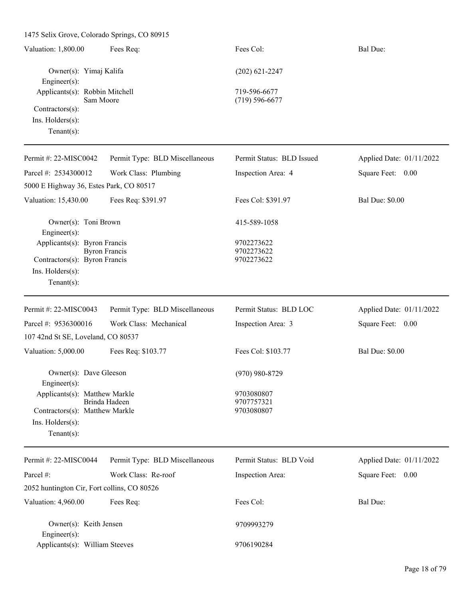1475 Selix Grove, Colorado Springs, CO 80915 Valuation: 1,800.00 Fees Req: Fees Col: Fees Col: Bal Due: Owner(s): Yimaj Kalifa (202) 621-2247 Engineer(s): Applicants(s): Robbin Mitchell 719-596-6677 Sam Moore (719) 596-6677 Contractors(s): Ins. Holders(s): Tenant(s): Permit #: 22-MISC0042 Parcel #: 2534300012 Permit Type: BLD Miscellaneous Work Class: Plumbing Permit Status: BLD Issued Inspection Area: 4 Applied Date: 01/11/2022 Square Feet: 0.00 5000 E Highway 36, Estes Park, CO 80517 Valuation: 15,430.00 Fees Req: \$391.97 Fees Col: \$391.97 Bal Due: \$0.00 Owner(s): Toni Brown 415-589-1058 Engineer(s): Applicants(s): Byron Francis 9702273622 Byron Francis 9702273622 Contractors(s): Byron Francis 9702273622 Ins. Holders(s): Tenant(s): Permit #: 22-MISC0043 Parcel #: 9536300016 Permit Type: BLD Miscellaneous Work Class: Mechanical Permit Status: BLD LOC Inspection Area: 3 Applied Date: 01/11/2022 Square Feet: 0.00 107 42nd St SE, Loveland, CO 80537 Valuation: 5,000.00 Fees Req: \$103.77 Fees Col: \$103.77 Bal Due: \$0.00 Owner(s): Dave Gleeson (970) 980-8729 Engineer(s): Applicants(s): Matthew Markle 9703080807 Brinda Hadeen 9707757321 Contractors(s): Matthew Markle 9703080807 Ins. Holders(s): Tenant(s): Permit #: 22-MISC0044 Parcel #: Permit Type: BLD Miscellaneous Work Class: Re-roof Permit Status: BLD Void Inspection Area: Applied Date: 01/11/2022 Square Feet: 0.00 2052 huntington Cir, Fort collins, CO 80526 Valuation: 4,960.00 Fees Req: Fees Col: Fees Col: Bal Due: Owner(s): Keith Jensen 9709993279 Engineer(s): Applicants(s): William Steeves 9706190284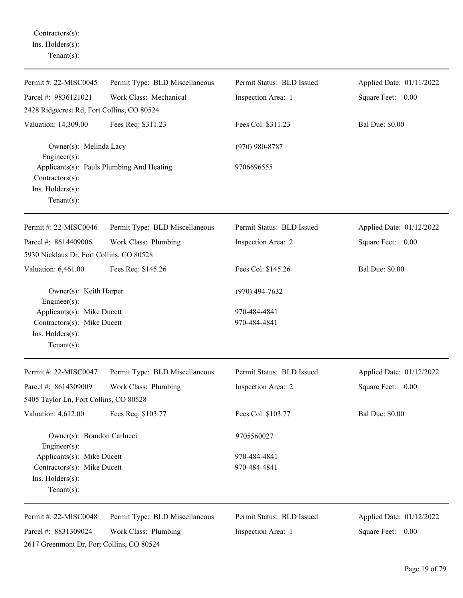Contractors(s): Ins. Holders(s): Tenant(s):

| Permit #: 22-MISC0045                                                                           | Permit Type: BLD Miscellaneous            | Permit Status: BLD Issued    | Applied Date: 01/11/2022 |
|-------------------------------------------------------------------------------------------------|-------------------------------------------|------------------------------|--------------------------|
| Parcel #: 9836121021                                                                            | Work Class: Mechanical                    | Inspection Area: 1           | Square Feet: 0.00        |
| 2428 Ridgecrest Rd, Fort Collins, CO 80524                                                      |                                           |                              |                          |
| Valuation: 14,309.00                                                                            | Fees Req: \$311.23                        | Fees Col: \$311.23           | <b>Bal Due: \$0.00</b>   |
| Owner(s): Melinda Lacy<br>Engineer(s):                                                          |                                           | $(970)$ 980-8787             |                          |
| Contractors(s):                                                                                 | Applicants(s): Pauls Plumbing And Heating | 9706696555                   |                          |
| Ins. Holders(s):<br>Tenant $(s)$ :                                                              |                                           |                              |                          |
| Permit #: 22-MISC0046                                                                           | Permit Type: BLD Miscellaneous            | Permit Status: BLD Issued    | Applied Date: 01/12/2022 |
| Parcel #: 8614409006<br>5930 Nicklaus Dr, Fort Collins, CO 80528                                | Work Class: Plumbing                      | Inspection Area: 2           | Square Feet: 0.00        |
| Valuation: 6,461.00                                                                             | Fees Req: \$145.26                        | Fees Col: \$145.26           | <b>Bal Due: \$0.00</b>   |
| Owner(s): Keith Harper<br>Engineer(s):                                                          |                                           | $(970)$ 494-7632             |                          |
| Applicants(s): Mike Ducett<br>Contractors(s): Mike Ducett<br>Ins. Holders(s):<br>Tenant $(s)$ : |                                           | 970-484-4841<br>970-484-4841 |                          |
| Permit #: 22-MISC0047                                                                           | Permit Type: BLD Miscellaneous            | Permit Status: BLD Issued    | Applied Date: 01/12/2022 |
| Parcel #: 8614309009                                                                            | Work Class: Plumbing                      | Inspection Area: 2           | Square Feet: 0.00        |
| 5405 Taylor Ln, Fort Collins, CO 80528                                                          |                                           |                              |                          |
| Valuation: 4,612.00                                                                             | Fees Req: \$103.77                        | Fees Col: \$103.77           | <b>Bal Due: \$0.00</b>   |
| Owner(s): Brandon Carlucci<br>Engineer(s):                                                      |                                           | 9705560027                   |                          |
| Applicants(s): Mike Ducett                                                                      |                                           | 970-484-4841                 |                          |
| Contractors(s): Mike Ducett<br>Ins. Holders(s):<br>Tenant $(s)$ :                               |                                           | 970-484-4841                 |                          |
| Permit #: 22-MISC0048                                                                           | Permit Type: BLD Miscellaneous            | Permit Status: BLD Issued    | Applied Date: 01/12/2022 |
| Parcel #: 8831309024<br>2617 Greenmont Dr, Fort Collins, CO 80524                               | Work Class: Plumbing                      | Inspection Area: 1           | Square Feet: 0.00        |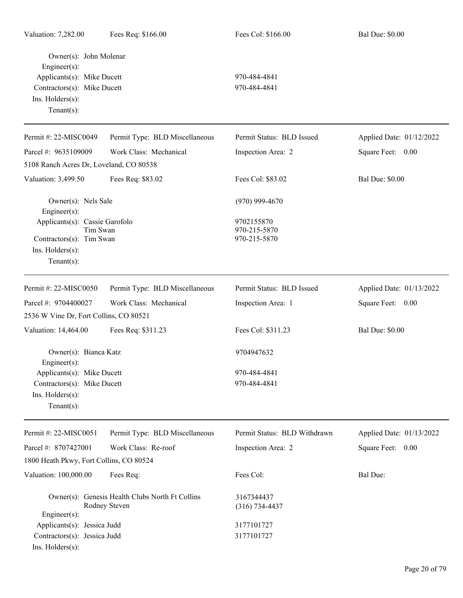| Owner(s): John Molenar<br>Engineer(s):<br>Applicants(s): Mike Ducett<br>Contractors(s): Mike Ducett<br>Ins. Holders(s):<br>Tenant $(s)$ : |                                                                  | 970-484-4841<br>970-484-4841               |                          |
|-------------------------------------------------------------------------------------------------------------------------------------------|------------------------------------------------------------------|--------------------------------------------|--------------------------|
| Permit #: 22-MISC0049                                                                                                                     | Permit Type: BLD Miscellaneous                                   | Permit Status: BLD Issued                  | Applied Date: 01/12/2022 |
| Parcel #: 9635109009                                                                                                                      | Work Class: Mechanical                                           | Inspection Area: 2                         | Square Feet: 0.00        |
| 5108 Ranch Acres Dr, Loveland, CO 80538                                                                                                   |                                                                  |                                            |                          |
| Valuation: 3,499.50                                                                                                                       | Fees Req: \$83.02                                                | Fees Col: \$83.02                          | <b>Bal Due: \$0.00</b>   |
| Owner(s): Nels Sale<br>Engineer(s):                                                                                                       |                                                                  | $(970)$ 999-4670                           |                          |
| Applicants(s): Cassie Garofolo<br>Tim Swan<br>Contractors(s): Tim Swan<br>Ins. Holders(s):<br>Tenant $(s)$ :                              |                                                                  | 9702155870<br>970-215-5870<br>970-215-5870 |                          |
| Permit #: 22-MISC0050                                                                                                                     | Permit Type: BLD Miscellaneous                                   | Permit Status: BLD Issued                  | Applied Date: 01/13/2022 |
| Parcel #: 9704400027                                                                                                                      | Work Class: Mechanical                                           | Inspection Area: 1                         | Square Feet: 0.00        |
| 2536 W Vine Dr, Fort Collins, CO 80521                                                                                                    |                                                                  |                                            |                          |
| Valuation: 14,464.00                                                                                                                      | Fees Req: \$311.23                                               | Fees Col: \$311.23                         | <b>Bal Due: \$0.00</b>   |
| Owner(s): Bianca Katz<br>Engineer $(s)$ :                                                                                                 |                                                                  | 9704947632                                 |                          |
| Applicants(s): Mike Ducett                                                                                                                |                                                                  | 970-484-4841                               |                          |
| Contractors(s): Mike Ducett                                                                                                               |                                                                  | 970-484-4841                               |                          |
| Ins. $H$ olders $(s)$ :<br>Tenant $(s)$ :                                                                                                 |                                                                  |                                            |                          |
| Permit#: 22-MISC0051                                                                                                                      | Permit Type: BLD Miscellaneous                                   | Permit Status: BLD Withdrawn               | Applied Date: 01/13/2022 |
| Parcel #: 8707427001                                                                                                                      | Work Class: Re-roof                                              | Inspection Area: 2                         | Square Feet: 0.00        |
| 1800 Heath Pkwy, Fort Collins, CO 80524                                                                                                   |                                                                  |                                            |                          |
| Valuation: 100,000.00                                                                                                                     | Fees Req:                                                        | Fees Col:                                  | <b>Bal Due:</b>          |
| Engineer(s):                                                                                                                              | Owner(s): Genesis Health Clubs North Ft Collins<br>Rodney Steven | 3167344437<br>$(316) 734 - 4437$           |                          |
| Applicants(s): Jessica Judd                                                                                                               |                                                                  | 3177101727                                 |                          |
| Contractors(s): Jessica Judd<br>Ins. Holders(s):                                                                                          |                                                                  | 3177101727                                 |                          |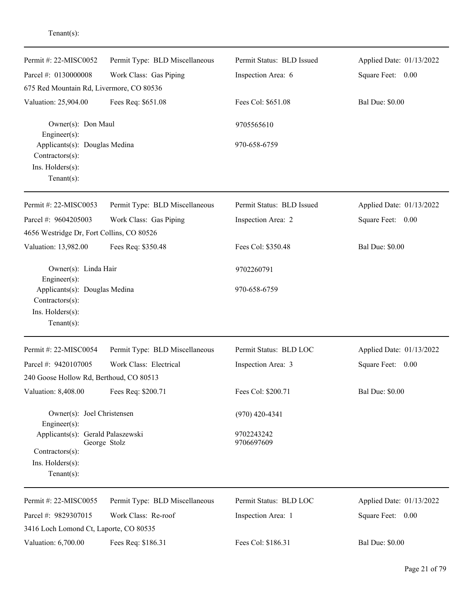| Permit #: 22-MISC0052                                                                      | Permit Type: BLD Miscellaneous | Permit Status: BLD Issued | Applied Date: 01/13/2022 |
|--------------------------------------------------------------------------------------------|--------------------------------|---------------------------|--------------------------|
| Parcel #: 0130000008                                                                       | Work Class: Gas Piping         | Inspection Area: 6        | Square Feet: 0.00        |
| 675 Red Mountain Rd, Livermore, CO 80536                                                   |                                |                           |                          |
| Valuation: 25,904.00                                                                       | Fees Req: \$651.08             | Fees Col: \$651.08        | <b>Bal Due: \$0.00</b>   |
| Owner(s): Don Maul<br>Engineer(s):                                                         |                                | 9705565610                |                          |
| Applicants(s): Douglas Medina<br>Contractors(s):<br>Ins. Holders(s):<br>Tenant $(s)$ :     |                                | 970-658-6759              |                          |
|                                                                                            |                                |                           |                          |
| Permit #: 22-MISC0053                                                                      | Permit Type: BLD Miscellaneous | Permit Status: BLD Issued | Applied Date: 01/13/2022 |
| Parcel #: 9604205003                                                                       | Work Class: Gas Piping         | Inspection Area: 2        | Square Feet: 0.00        |
| 4656 Westridge Dr, Fort Collins, CO 80526                                                  |                                |                           |                          |
| Valuation: 13,982.00                                                                       | Fees Req: \$350.48             | Fees Col: \$350.48        | <b>Bal Due: \$0.00</b>   |
| Owner(s): Linda Hair<br>Engineer(s):                                                       |                                | 9702260791                |                          |
| Applicants(s): Douglas Medina<br>Contractors(s):<br>Ins. Holders(s):<br>Tenant $(s)$ :     |                                | 970-658-6759              |                          |
| Permit #: 22-MISC0054                                                                      | Permit Type: BLD Miscellaneous | Permit Status: BLD LOC    | Applied Date: 01/13/2022 |
| Parcel #: 9420107005                                                                       | Work Class: Electrical         | Inspection Area: 3        | Square Feet:<br>$0.00\,$ |
| 240 Goose Hollow Rd, Berthoud, CO 80513                                                    |                                |                           |                          |
| Valuation: 8,408.00                                                                        | Fees Req: \$200.71             | Fees Col: \$200.71        | <b>Bal Due: \$0.00</b>   |
| Owner(s): Joel Christensen<br>Engineer(s):                                                 |                                | $(970)$ 420-4341          |                          |
| Applicants(s): Gerald Palaszewski<br>Contractors(s):<br>Ins. Holders(s):<br>Tenant $(s)$ : | George Stolz                   | 9702243242<br>9706697609  |                          |
|                                                                                            |                                |                           |                          |
| Permit #: 22-MISC0055                                                                      | Permit Type: BLD Miscellaneous | Permit Status: BLD LOC    | Applied Date: 01/13/2022 |
| Parcel #: 9829307015                                                                       | Work Class: Re-roof            | Inspection Area: 1        | Square Feet: 0.00        |
| 3416 Loch Lomond Ct, Laporte, CO 80535                                                     |                                |                           |                          |
| Valuation: 6,700.00                                                                        | Fees Req: \$186.31             | Fees Col: \$186.31        | <b>Bal Due: \$0.00</b>   |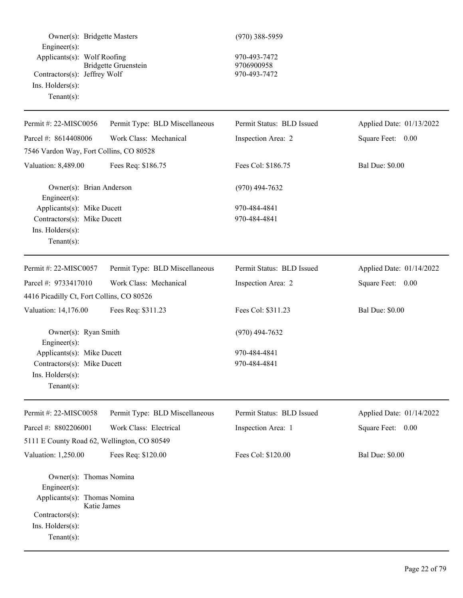| Owner(s): Bridgette Masters                                                                                                                     |                                | $(970)$ 388-5959                                 |                          |
|-------------------------------------------------------------------------------------------------------------------------------------------------|--------------------------------|--------------------------------------------------|--------------------------|
| Engineer(s):<br>Applicants(s): Wolf Roofing<br>Contractors(s): Jeffrey Wolf<br>$Ins.$ Holders $(s)$ :<br>Tenant $(s)$ :                         | <b>Bridgette Gruenstein</b>    | 970-493-7472<br>9706900958<br>970-493-7472       |                          |
| Permit #: 22-MISC0056                                                                                                                           | Permit Type: BLD Miscellaneous | Permit Status: BLD Issued                        | Applied Date: 01/13/2022 |
| Parcel #: 8614408006                                                                                                                            | Work Class: Mechanical         | Inspection Area: 2                               | Square Feet: 0.00        |
| 7546 Vardon Way, Fort Collins, CO 80528                                                                                                         |                                |                                                  |                          |
| Valuation: 8,489.00                                                                                                                             | Fees Req: \$186.75             | Fees Col: \$186.75                               | <b>Bal Due: \$0.00</b>   |
| Owner(s): Brian Anderson<br>Engineer(s):                                                                                                        |                                | $(970)$ 494-7632                                 |                          |
| Applicants(s): Mike Ducett<br>Contractors(s): Mike Ducett                                                                                       |                                | 970-484-4841<br>970-484-4841                     |                          |
| Ins. Holders(s):<br>$Tenant(s)$ :                                                                                                               |                                |                                                  |                          |
| Permit #: 22-MISC0057                                                                                                                           | Permit Type: BLD Miscellaneous | Permit Status: BLD Issued                        | Applied Date: 01/14/2022 |
| Parcel #: 9733417010                                                                                                                            | Work Class: Mechanical         | Inspection Area: 2                               | Square Feet: 0.00        |
| 4416 Picadilly Ct, Fort Collins, CO 80526                                                                                                       |                                |                                                  |                          |
| Valuation: 14,176.00                                                                                                                            | Fees Req: \$311.23             | Fees Col: \$311.23                               | <b>Bal Due: \$0.00</b>   |
| Owner(s): Ryan Smith<br>Engineer(s):<br>Applicants(s): Mike Ducett<br>Contractors(s): Mike Ducett                                               |                                | $(970)$ 494-7632<br>970-484-4841<br>970-484-4841 |                          |
| $Ins.$ Holders $(s)$ :<br>$Tenant(s)$ :                                                                                                         |                                |                                                  |                          |
| Permit #: 22-MISC0058                                                                                                                           | Permit Type: BLD Miscellaneous | Permit Status: BLD Issued                        | Applied Date: 01/14/2022 |
| Parcel #: 8802206001                                                                                                                            | Work Class: Electrical         | Inspection Area: 1                               | Square Feet: 0.00        |
| 5111 E County Road 62, Wellington, CO 80549                                                                                                     |                                |                                                  |                          |
| Valuation: 1,250.00                                                                                                                             | Fees Req: \$120.00             | Fees Col: \$120.00                               | <b>Bal Due: \$0.00</b>   |
| Owner(s): Thomas Nomina<br>Engineer(s):<br>Applicants(s): Thomas Nomina<br>Katie James<br>Contractors(s):<br>Ins. Holders(s):<br>Tenant $(s)$ : |                                |                                                  |                          |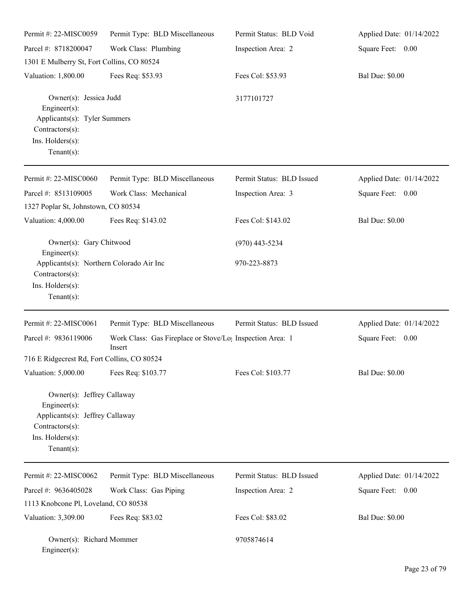| Permit #: 22-MISC0059                                                                                                                  | Permit Type: BLD Miscellaneous                                                  | Permit Status: BLD Void   | Applied Date: 01/14/2022 |
|----------------------------------------------------------------------------------------------------------------------------------------|---------------------------------------------------------------------------------|---------------------------|--------------------------|
| Parcel #: 8718200047                                                                                                                   | Work Class: Plumbing                                                            | Inspection Area: 2        | Square Feet: 0.00        |
| 1301 E Mulberry St, Fort Collins, CO 80524                                                                                             |                                                                                 |                           |                          |
| Valuation: 1,800.00                                                                                                                    | Fees Req: \$53.93                                                               | Fees Col: \$53.93         | <b>Bal Due: \$0.00</b>   |
| Owner(s): Jessica Judd<br>Engineer(s):<br>Applicants(s): Tyler Summers<br>Contractors(s):<br>Ins. Holders(s):<br>$Tenant(s)$ :         |                                                                                 | 3177101727                |                          |
| Permit #: 22-MISC0060                                                                                                                  | Permit Type: BLD Miscellaneous                                                  | Permit Status: BLD Issued | Applied Date: 01/14/2022 |
| Parcel #: 8513109005                                                                                                                   | Work Class: Mechanical                                                          | Inspection Area: 3        | Square Feet: 0.00        |
| 1327 Poplar St, Johnstown, CO 80534                                                                                                    |                                                                                 |                           |                          |
| Valuation: 4,000.00                                                                                                                    | Fees Req: \$143.02                                                              | Fees Col: \$143.02        | <b>Bal Due: \$0.00</b>   |
| Owner(s): Gary Chitwood<br>Engineer(s):                                                                                                |                                                                                 | $(970)$ 443-5234          |                          |
| Applicants(s): Northern Colorado Air Inc<br>Contractors(s):<br>Ins. Holders(s):<br>$Tenant(s)$ :                                       |                                                                                 | 970-223-8873              |                          |
| Permit #: 22-MISC0061                                                                                                                  | Permit Type: BLD Miscellaneous                                                  | Permit Status: BLD Issued | Applied Date: 01/14/2022 |
| Parcel #: 9836119006                                                                                                                   | Work Class: Gas Fireplace or Stove/Lo <sub>1</sub> Inspection Area: 1<br>Insert |                           | Square Feet: 0.00        |
| 716 E Ridgecrest Rd, Fort Collins, CO 80524                                                                                            |                                                                                 |                           |                          |
| Valuation: 5,000.00                                                                                                                    | Fees Req: \$103.77                                                              | Fees Col: \$103.77        | <b>Bal Due: \$0.00</b>   |
| Owner(s): Jeffrey Callaway<br>Engineer(s):<br>Applicants(s): Jeffrey Callaway<br>Contractors(s):<br>Ins. Holders(s):<br>Tenant $(s)$ : |                                                                                 |                           |                          |
| Permit #: 22-MISC0062                                                                                                                  | Permit Type: BLD Miscellaneous                                                  | Permit Status: BLD Issued | Applied Date: 01/14/2022 |
| Parcel #: 9636405028                                                                                                                   | Work Class: Gas Piping                                                          | Inspection Area: 2        | Square Feet: 0.00        |
| 1113 Knobcone Pl, Loveland, CO 80538                                                                                                   |                                                                                 |                           |                          |
| Valuation: 3,309.00                                                                                                                    | Fees Req: \$83.02                                                               | Fees Col: \$83.02         | <b>Bal Due: \$0.00</b>   |
| Owner(s): Richard Mommer<br>Engineer(s):                                                                                               |                                                                                 | 9705874614                |                          |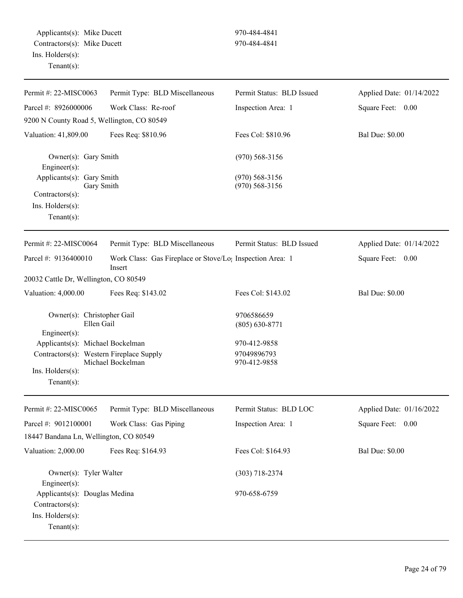Applicants(s): Mike Ducett 970-484-4841 Contractors(s): Mike Ducett 970-484-4841 Ins. Holders(s): Tenant(s):

| Permit #: 22-MISC0063                                    | Permit Type: BLD Miscellaneous                                                  | Permit Status: BLD Issued            | Applied Date: 01/14/2022 |
|----------------------------------------------------------|---------------------------------------------------------------------------------|--------------------------------------|--------------------------|
| Parcel #: 8926000006                                     | Work Class: Re-roof                                                             | Inspection Area: 1                   | Square Feet: 0.00        |
| 9200 N County Road 5, Wellington, CO 80549               |                                                                                 |                                      |                          |
| Valuation: 41,809.00                                     | Fees Req: \$810.96                                                              | Fees Col: \$810.96                   | <b>Bal Due: \$0.00</b>   |
| Owner(s): Gary Smith<br>Engineer $(s)$ :                 |                                                                                 | $(970)$ 568-3156                     |                          |
| Applicants(s): Gary Smith<br>Gary Smith                  |                                                                                 | $(970)$ 568-3156<br>$(970)$ 568-3156 |                          |
| Contractors(s):                                          |                                                                                 |                                      |                          |
| Ins. Holders(s):                                         |                                                                                 |                                      |                          |
| $Tenant(s)$ :                                            |                                                                                 |                                      |                          |
| Permit #: 22-MISC0064                                    | Permit Type: BLD Miscellaneous                                                  | Permit Status: BLD Issued            | Applied Date: 01/14/2022 |
| Parcel #: 9136400010                                     | Work Class: Gas Fireplace or Stove/Lo <sub>1</sub> Inspection Area: 1<br>Insert |                                      | Square Feet: 0.00        |
| 20032 Cattle Dr, Wellington, CO 80549                    |                                                                                 |                                      |                          |
| Valuation: 4,000.00                                      | Fees Req: \$143.02                                                              | Fees Col: \$143.02                   | <b>Bal Due: \$0.00</b>   |
| Owner(s): Christopher Gail<br>Ellen Gail<br>Engineer(s): |                                                                                 | 9706586659<br>$(805) 630 - 8771$     |                          |
| Applicants(s): Michael Bockelman                         |                                                                                 | 970-412-9858                         |                          |
| Contractors(s): Western Fireplace Supply                 | Michael Bockelman                                                               | 97049896793<br>970-412-9858          |                          |
| $Ins.$ Holders $(s)$ :                                   |                                                                                 |                                      |                          |
| $Tenant(s)$ :                                            |                                                                                 |                                      |                          |
| Permit #: 22-MISC0065                                    | Permit Type: BLD Miscellaneous                                                  | Permit Status: BLD LOC               | Applied Date: 01/16/2022 |
| Parcel #: 9012100001                                     | Work Class: Gas Piping                                                          | Inspection Area: 1                   | Square Feet: 0.00        |
| 18447 Bandana Ln, Wellington, CO 80549                   |                                                                                 |                                      |                          |
| Valuation: 2,000.00                                      | Fees Req: \$164.93                                                              | Fees Col: \$164.93                   | <b>Bal Due: \$0.00</b>   |
| Owner(s): Tyler Walter<br>Engineer(s):                   |                                                                                 | $(303)$ 718-2374                     |                          |
| Applicants(s): Douglas Medina<br>Contractors(s):         |                                                                                 | 970-658-6759                         |                          |
| Ins. Holders(s):<br>Tenant $(s)$ :                       |                                                                                 |                                      |                          |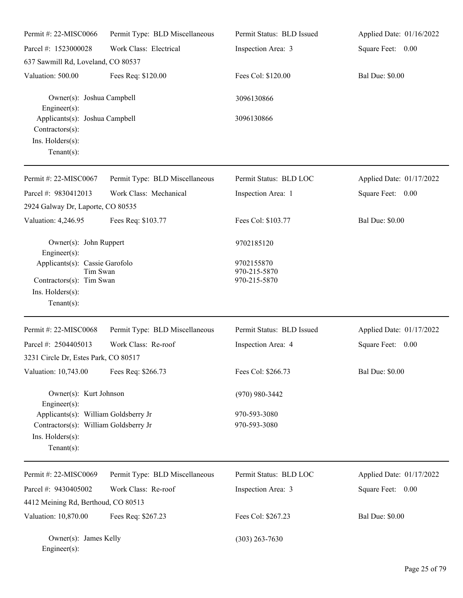| Permit #: 22-MISC0066                                                                                              | Permit Type: BLD Miscellaneous | Permit Status: BLD Issued                  | Applied Date: 01/16/2022 |
|--------------------------------------------------------------------------------------------------------------------|--------------------------------|--------------------------------------------|--------------------------|
| Parcel #: 1523000028                                                                                               | Work Class: Electrical         | Inspection Area: 3                         | Square Feet: 0.00        |
| 637 Sawmill Rd, Loveland, CO 80537                                                                                 |                                |                                            |                          |
| Valuation: 500.00                                                                                                  | Fees Req: \$120.00             | Fees Col: \$120.00                         | <b>Bal Due: \$0.00</b>   |
| Owner(s): Joshua Campbell<br>$Engineering(s)$ :                                                                    |                                | 3096130866                                 |                          |
| Applicants(s): Joshua Campbell<br>Contractors(s):<br>Ins. Holders(s):<br>Tenant $(s)$ :                            |                                | 3096130866                                 |                          |
| Permit #: 22-MISC0067                                                                                              | Permit Type: BLD Miscellaneous | Permit Status: BLD LOC                     | Applied Date: 01/17/2022 |
| Parcel #: 9830412013<br>2924 Galway Dr, Laporte, CO 80535                                                          | Work Class: Mechanical         | Inspection Area: 1                         | Square Feet: 0.00        |
| Valuation: 4,246.95                                                                                                | Fees Req: \$103.77             | Fees Col: \$103.77                         | <b>Bal Due: \$0.00</b>   |
| Owner(s): John Ruppert<br>$Engineering(s)$ :                                                                       |                                | 9702185120                                 |                          |
| Applicants(s): Cassie Garofolo<br>Tim Swan<br>Contractors(s): Tim Swan<br>Ins. Holders(s):<br>Tenant $(s)$ :       |                                | 9702155870<br>970-215-5870<br>970-215-5870 |                          |
| Permit #: 22-MISC0068                                                                                              | Permit Type: BLD Miscellaneous | Permit Status: BLD Issued                  | Applied Date: 01/17/2022 |
| Parcel #: 2504405013                                                                                               | Work Class: Re-roof            | Inspection Area: 4                         | Square Feet: 0.00        |
| 3231 Circle Dr, Estes Park, CO 80517                                                                               |                                |                                            |                          |
| Valuation: 10,743.00                                                                                               | Fees Req: \$266.73             | Fees Col: \$266.73                         | <b>Bal Due: \$0.00</b>   |
| Owner(s): Kurt Johnson<br>Engineer(s):                                                                             |                                | $(970)$ 980-3442                           |                          |
| Applicants(s): William Goldsberry Jr<br>Contractors(s): William Goldsberry Jr<br>Ins. Holders(s):<br>$Tenant(s)$ : |                                | 970-593-3080<br>970-593-3080               |                          |
| Permit #: 22-MISC0069                                                                                              | Permit Type: BLD Miscellaneous | Permit Status: BLD LOC                     | Applied Date: 01/17/2022 |
| Parcel #: 9430405002                                                                                               | Work Class: Re-roof            | Inspection Area: 3                         | Square Feet: 0.00        |
| 4412 Meining Rd, Berthoud, CO 80513                                                                                |                                |                                            |                          |
| Valuation: 10,870.00                                                                                               | Fees Req: \$267.23             | Fees Col: \$267.23                         | <b>Bal Due: \$0.00</b>   |
| Owner(s): James Kelly<br>$Engineer(s)$ :                                                                           |                                | $(303)$ 263-7630                           |                          |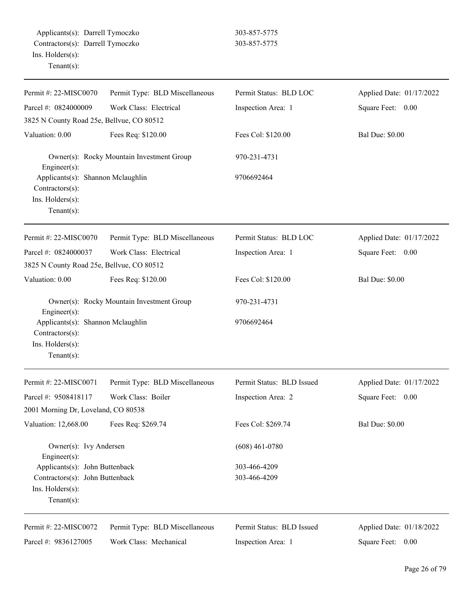| Permit #: 22-MISC0070                                                                      | Permit Type: BLD Miscellaneous            | Permit Status: BLD LOC    | Applied Date: 01/17/2022 |
|--------------------------------------------------------------------------------------------|-------------------------------------------|---------------------------|--------------------------|
| Parcel #: 0824000009                                                                       | Work Class: Electrical                    | Inspection Area: 1        | Square Feet: 0.00        |
| 3825 N County Road 25e, Bellvue, CO 80512                                                  |                                           |                           |                          |
| Valuation: 0.00                                                                            | Fees Req: \$120.00                        | Fees Col: \$120.00        | <b>Bal Due: \$0.00</b>   |
| Engineer(s):                                                                               | Owner(s): Rocky Mountain Investment Group | 970-231-4731              |                          |
| Applicants(s): Shannon Mclaughlin<br>Contractors(s):<br>Ins. Holders(s):<br>Tenant $(s)$ : |                                           | 9706692464                |                          |
| Permit #: 22-MISC0070                                                                      | Permit Type: BLD Miscellaneous            | Permit Status: BLD LOC    | Applied Date: 01/17/2022 |
| Parcel #: 0824000037                                                                       | Work Class: Electrical                    | Inspection Area: 1        | Square Feet:<br>0.00     |
| 3825 N County Road 25e, Bellvue, CO 80512                                                  |                                           |                           |                          |
| Valuation: 0.00                                                                            | Fees Req: \$120.00                        | Fees Col: \$120.00        | <b>Bal Due: \$0.00</b>   |
| Owner(s): Rocky Mountain Investment Group<br>Engineer(s):                                  |                                           | 970-231-4731              |                          |
| Applicants(s): Shannon Mclaughlin<br>Contractors(s):<br>Ins. Holders(s):<br>$Tenant(s)$ :  |                                           | 9706692464                |                          |
| Permit #: 22-MISC0071                                                                      | Permit Type: BLD Miscellaneous            | Permit Status: BLD Issued | Applied Date: 01/17/2022 |
| Parcel #: 9508418117                                                                       | Work Class: Boiler                        | Inspection Area: 2        | Square Feet:<br>0.00     |
| 2001 Morning Dr, Loveland, CO 80538                                                        |                                           |                           |                          |
| Valuation: 12,668.00                                                                       | Fees Req: \$269.74                        | Fees Col: \$269.74        | <b>Bal Due: \$0.00</b>   |
| Owner(s): Ivy Andersen<br>Engineer(s):                                                     |                                           | $(608)$ 461-0780          |                          |
| Applicants(s): John Buttenback                                                             |                                           | 303-466-4209              |                          |
| Contractors(s): John Buttenback<br>Ins. Holders(s):<br>$Tenant(s)$ :                       |                                           | 303-466-4209              |                          |
| Permit #: 22-MISC0072                                                                      | Permit Type: BLD Miscellaneous            | Permit Status: BLD Issued | Applied Date: 01/18/2022 |
| Parcel #: 9836127005                                                                       | Work Class: Mechanical                    | Inspection Area: 1        | Square Feet:<br>0.00     |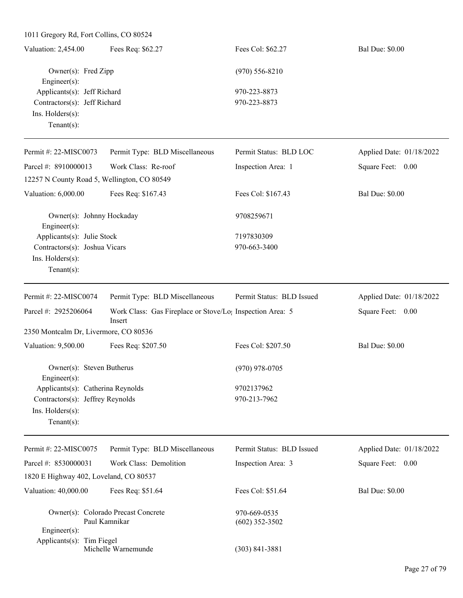1011 Gregory Rd, Fort Collins, CO 80524

| Valuation: 2,454.00          | Fees Req: \$62.27 | Fees Col: \$62.27 | <b>Bal Due: \$0.00</b> |
|------------------------------|-------------------|-------------------|------------------------|
| Owner(s): Fred Zipp          |                   | $(970)$ 556-8210  |                        |
| Engineer $(s)$ :             |                   |                   |                        |
| Applicants(s): Jeff Richard  |                   | 970-223-8873      |                        |
| Contractors(s): Jeff Richard |                   | 970-223-8873      |                        |
| $Ins.$ Holders $(s)$ :       |                   |                   |                        |
| Tenant $(s)$ :               |                   |                   |                        |

| Permit #: 22-MISC0073                              | Permit Type: BLD Miscellaneous | Permit Status: BLD LOC    | Applied Date: 01/18/2022 |
|----------------------------------------------------|--------------------------------|---------------------------|--------------------------|
| Parcel #: 8910000013                               | Work Class: Re-roof            | Inspection Area: 1        | Square Feet: 0.00        |
| 12257 N County Road 5, Wellington, CO 80549        |                                |                           |                          |
| Valuation: 6,000.00                                | Fees Req: \$167.43             | Fees Col: \$167.43        | <b>Bal Due: \$0.00</b>   |
| Owner(s): Johnny Hockaday                          |                                | 9708259671                |                          |
| Engineer $(s)$ :<br>Applicants $(s)$ : Julie Stock |                                | 7197830309                |                          |
| Contractors(s): Joshua Vicars                      |                                | 970-663-3400              |                          |
| $Ins.$ Holders $(s)$ :                             |                                |                           |                          |
| Tenant $(s)$ :                                     |                                |                           |                          |
| Permit #: $22-MISCO074$                            | Permit Type: BLD Miscellaneous | Permit Status: BLD Issued | Applied Date: 01/18/2022 |

| Parcel #: $2925206064$                                  | Insert             | Work Class: Gas Fireplace or Stove/Lo; Inspection Area: 5 | 0.00<br>Square Feet:   |
|---------------------------------------------------------|--------------------|-----------------------------------------------------------|------------------------|
| 2350 Montcalm Dr, Livermore, CO 80536                   |                    |                                                           |                        |
| Valuation: 9,500.00                                     | Fees Req: \$207.50 | Fees Col: \$207.50                                        | <b>Bal Due: \$0.00</b> |
| Owner(s): Steven Butherus                               |                    | $(970)$ 978-0705                                          |                        |
| $Engineering(s)$ :<br>Applicants(s): Catherina Reynolds |                    | 9702137962                                                |                        |
| Contractors(s): Jeffrey Reynolds                        |                    | 970-213-7962                                              |                        |
| $Ins.$ Holders $(s)$ :                                  |                    |                                                           |                        |
| $Tenant(s)$ :                                           |                    |                                                           |                        |
|                                                         |                    |                                                           |                        |

| Permit #: $22-MISCO075$       | Permit Type: BLD Miscellaneous                       | Permit Status: BLD Issued        | Applied Date: 01/18/2022 |
|-------------------------------|------------------------------------------------------|----------------------------------|--------------------------|
| Parcel #: $8530000031$        | Work Class: Demolition                               | Inspection Area: 3               | Square Feet: 0.00        |
|                               | 1820 E Highway 402, Loveland, CO 80537               |                                  |                          |
| Valuation: 40,000.00          | Fees Req: \$51.64                                    | Fees Col: \$51.64                | <b>Bal Due: \$0.00</b>   |
|                               | Owner(s): Colorado Precast Concrete<br>Paul Kamnikar | 970-669-0535<br>$(602)$ 352-3502 |                          |
| $Engineering(s)$ :            |                                                      |                                  |                          |
| Applicants $(s)$ : Tim Fiegel | Michelle Warnemunde                                  | (303) 841-3881                   |                          |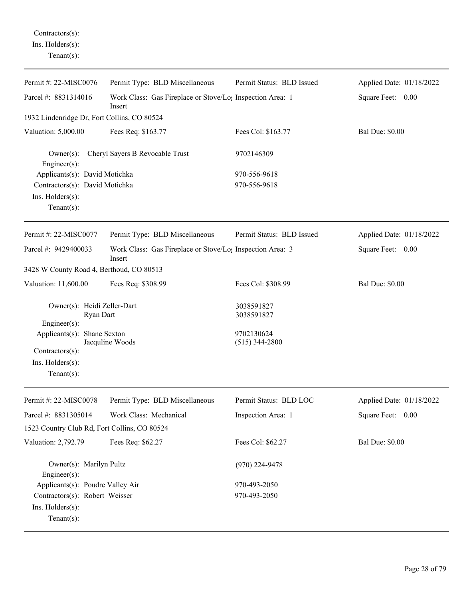Contractors(s): Ins. Holders(s): Tenant(s):

| Permit #: 22-MISC0076                                                                | Permit Type: BLD Miscellaneous                                                  | Permit Status: BLD Issued      | Applied Date: 01/18/2022 |
|--------------------------------------------------------------------------------------|---------------------------------------------------------------------------------|--------------------------------|--------------------------|
| Parcel #: 8831314016                                                                 | Work Class: Gas Fireplace or Stove/Lo <sub>1</sub> Inspection Area: 1<br>Insert |                                | Square Feet: 0.00        |
| 1932 Lindenridge Dr, Fort Collins, CO 80524                                          |                                                                                 |                                |                          |
| Valuation: 5,000.00                                                                  | Fees Req: \$163.77                                                              | Fees Col: \$163.77             | <b>Bal Due: \$0.00</b>   |
| $Owner(s)$ :<br>Engineer(s):                                                         | Cheryl Sayers B Revocable Trust                                                 | 9702146309                     |                          |
| Applicants(s): David Motichka                                                        |                                                                                 | 970-556-9618                   |                          |
| Contractors(s): David Motichka<br>Ins. Holders(s):<br>Tenant $(s)$ :                 |                                                                                 | 970-556-9618                   |                          |
| Permit #: 22-MISC0077                                                                | Permit Type: BLD Miscellaneous                                                  | Permit Status: BLD Issued      | Applied Date: 01/18/2022 |
| Parcel #: 9429400033                                                                 | Work Class: Gas Fireplace or Stove/Lo <sub>1</sub> Inspection Area: 3<br>Insert |                                | Square Feet: 0.00        |
| 3428 W County Road 4, Berthoud, CO 80513                                             |                                                                                 |                                |                          |
| Valuation: 11,600.00                                                                 | Fees Req: \$308.99                                                              | Fees Col: \$308.99             | <b>Bal Due: \$0.00</b>   |
| Owner(s): Heidi Zeller-Dart<br>Ryan Dart<br>Engineer(s):                             |                                                                                 | 3038591827<br>3038591827       |                          |
| Applicants(s): Shane Sexton<br>Contractors(s):<br>Ins. Holders(s):<br>Tenant $(s)$ : | Jacquline Woods                                                                 | 9702130624<br>$(515)$ 344-2800 |                          |
| Permit #: 22-MISC0078                                                                | Permit Type: BLD Miscellaneous                                                  | Permit Status: BLD LOC         | Applied Date: 01/18/2022 |
| Parcel #: 8831305014                                                                 | Work Class: Mechanical                                                          | Inspection Area: 1             | Square Feet: 0.00        |
| 1523 Country Club Rd, Fort Collins, CO 80524                                         |                                                                                 |                                |                          |
| Valuation: 2,792.79                                                                  | Fees Req: \$62.27                                                               | Fees Col: \$62.27              | <b>Bal Due: \$0.00</b>   |
| Owner(s): Marilyn Pultz<br>$Engineering(s)$ :                                        |                                                                                 | $(970)$ 224-9478               |                          |
| Applicants(s): Poudre Valley Air                                                     |                                                                                 | 970-493-2050                   |                          |
| Contractors(s): Robert Weisser<br>Ins. Holders(s):<br>Tenant $(s)$ :                 |                                                                                 | 970-493-2050                   |                          |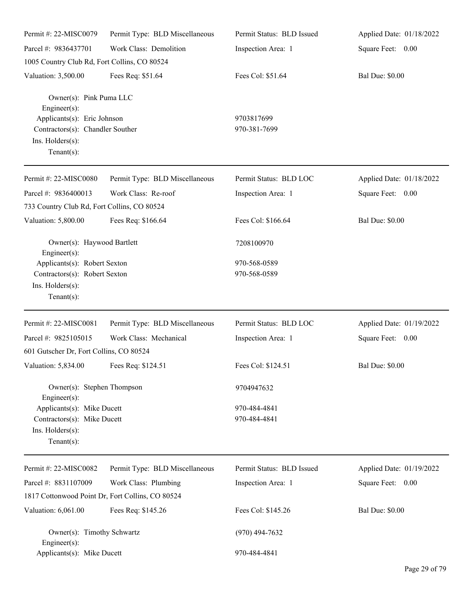| Permit #: 22-MISC0079                                                                                                          | Permit Type: BLD Miscellaneous | Permit Status: BLD Issued    | Applied Date: 01/18/2022 |
|--------------------------------------------------------------------------------------------------------------------------------|--------------------------------|------------------------------|--------------------------|
| Parcel #: 9836437701                                                                                                           | Work Class: Demolition         | Inspection Area: 1           | Square Feet: 0.00        |
| 1005 Country Club Rd, Fort Collins, CO 80524                                                                                   |                                |                              |                          |
| Valuation: 3,500.00                                                                                                            | Fees Req: \$51.64              | Fees Col: \$51.64            | <b>Bal Due: \$0.00</b>   |
| Owner(s): Pink Puma LLC<br>Engineer(s):<br>Applicants(s): Eric Johnson<br>Contractors(s): Chandler Souther<br>Ins. Holders(s): |                                | 9703817699<br>970-381-7699   |                          |
| $Tenant(s)$ :                                                                                                                  |                                |                              |                          |
| Permit #: 22-MISC0080                                                                                                          | Permit Type: BLD Miscellaneous | Permit Status: BLD LOC       | Applied Date: 01/18/2022 |
| Parcel #: 9836400013                                                                                                           | Work Class: Re-roof            | Inspection Area: 1           | Square Feet: 0.00        |
| 733 Country Club Rd, Fort Collins, CO 80524                                                                                    |                                |                              |                          |
| Valuation: 5,800.00                                                                                                            | Fees Req: \$166.64             | Fees Col: \$166.64           | <b>Bal Due: \$0.00</b>   |
| Owner(s): Haywood Bartlett<br>Engineer(s):                                                                                     |                                | 7208100970                   |                          |
| Applicants(s): Robert Sexton<br>Contractors(s): Robert Sexton<br>Ins. Holders(s):<br>Tenant $(s)$ :                            |                                | 970-568-0589<br>970-568-0589 |                          |
| Permit #: 22-MISC0081                                                                                                          | Permit Type: BLD Miscellaneous | Permit Status: BLD LOC       | Applied Date: 01/19/2022 |
| Parcel #: 9825105015                                                                                                           | Work Class: Mechanical         | Inspection Area: 1           | Square Feet: 0.00        |
| 601 Gutscher Dr, Fort Collins, CO 80524                                                                                        |                                |                              |                          |
| Valuation: 5,834.00                                                                                                            | Fees Req: \$124.51             | Fees Col: \$124.51           | <b>Bal Due: \$0.00</b>   |
| Owner(s): Stephen Thompson<br>Engineer $(s)$ :                                                                                 |                                | 9704947632                   |                          |
| Applicants(s): Mike Ducett<br>Contractors(s): Mike Ducett<br>Ins. Holders(s):<br>Tenant $(s)$ :                                |                                | 970-484-4841<br>970-484-4841 |                          |
| Permit #: 22-MISC0082                                                                                                          | Permit Type: BLD Miscellaneous | Permit Status: BLD Issued    | Applied Date: 01/19/2022 |
| Parcel #: 8831107009                                                                                                           | Work Class: Plumbing           | Inspection Area: 1           | Square Feet: 0.00        |
| 1817 Cottonwood Point Dr, Fort Collins, CO 80524                                                                               |                                |                              |                          |
| Valuation: 6,061.00                                                                                                            | Fees Req: \$145.26             | Fees Col: \$145.26           | <b>Bal Due: \$0.00</b>   |
| Owner(s): Timothy Schwartz<br>Engineer(s):                                                                                     |                                | $(970)$ 494-7632             |                          |
| Applicants(s): Mike Ducett                                                                                                     |                                | 970-484-4841                 |                          |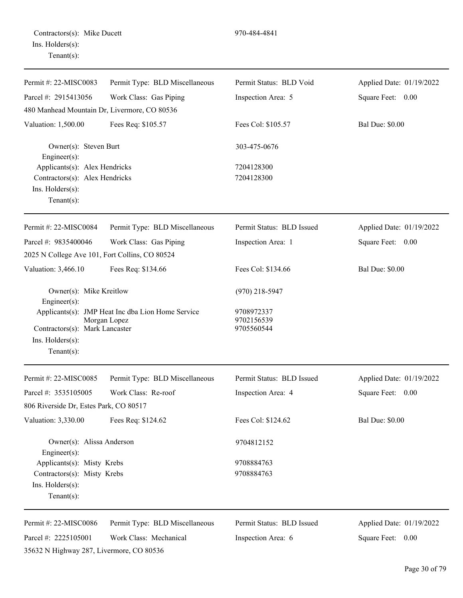Contractors(s): Mike Ducett 970-484-4841 Ins. Holders(s): Tenant(s):

| Permit #: 22-MISC0083                                                      | Permit Type: BLD Miscellaneous                                    | Permit Status: BLD Void                | Applied Date: 01/19/2022 |
|----------------------------------------------------------------------------|-------------------------------------------------------------------|----------------------------------------|--------------------------|
| Parcel #: 2915413056                                                       | Work Class: Gas Piping                                            | Inspection Area: 5                     | Square Feet: 0.00        |
| 480 Manhead Mountain Dr, Livermore, CO 80536                               |                                                                   |                                        |                          |
| Valuation: 1,500.00                                                        | Fees Req: \$105.57                                                | Fees Col: \$105.57                     | <b>Bal Due: \$0.00</b>   |
| Owner(s): Steven Burt<br>Engineer $(s)$ :                                  |                                                                   | 303-475-0676                           |                          |
| Applicants(s): Alex Hendricks                                              |                                                                   | 7204128300                             |                          |
| Contractors(s): Alex Hendricks<br>$Ins.$ Holders $(s)$ :<br>Tenant $(s)$ : |                                                                   | 7204128300                             |                          |
| Permit #: 22-MISC0084                                                      | Permit Type: BLD Miscellaneous                                    | Permit Status: BLD Issued              | Applied Date: 01/19/2022 |
| Parcel #: 9835400046                                                       | Work Class: Gas Piping                                            | Inspection Area: 1                     | Square Feet: 0.00        |
| 2025 N College Ave 101, Fort Collins, CO 80524                             |                                                                   |                                        |                          |
| Valuation: 3,466.10                                                        | Fees Req: \$134.66                                                | Fees Col: \$134.66                     | <b>Bal Due: \$0.00</b>   |
| Owner(s): Mike Kreitlow<br>$Engineering(s)$ :                              |                                                                   | $(970)$ 218-5947                       |                          |
| Contractors(s): Mark Lancaster<br>Ins. Holders(s):<br>Tenant $(s)$ :       | Applicants(s): JMP Heat Inc dba Lion Home Service<br>Morgan Lopez | 9708972337<br>9702156539<br>9705560544 |                          |
| Permit #: 22-MISC0085                                                      | Permit Type: BLD Miscellaneous                                    | Permit Status: BLD Issued              | Applied Date: 01/19/2022 |
| Parcel #: 3535105005                                                       | Work Class: Re-roof                                               | Inspection Area: 4                     | Square Feet: 0.00        |
| 806 Riverside Dr, Estes Park, CO 80517                                     |                                                                   |                                        |                          |
| Valuation: 3,330.00                                                        | Fees Req: \$124.62                                                | Fees Col: \$124.62                     | <b>Bal Due: \$0.00</b>   |
| Owner(s): Alissa Anderson<br>$Engineering(s)$ :                            |                                                                   | 9704812152                             |                          |
| Applicants(s): Misty Krebs                                                 |                                                                   | 9708884763                             |                          |
| Contractors(s): Misty Krebs<br>Ins. Holders(s):<br>Tenant $(s)$ :          |                                                                   | 9708884763                             |                          |
| Permit #: 22-MISC0086                                                      | Permit Type: BLD Miscellaneous                                    | Permit Status: BLD Issued              | Applied Date: 01/19/2022 |
| Parcel #: 2225105001                                                       | Work Class: Mechanical                                            | Inspection Area: 6                     | Square Feet: 0.00        |
| 35632 N Highway 287, Livermore, CO 80536                                   |                                                                   |                                        |                          |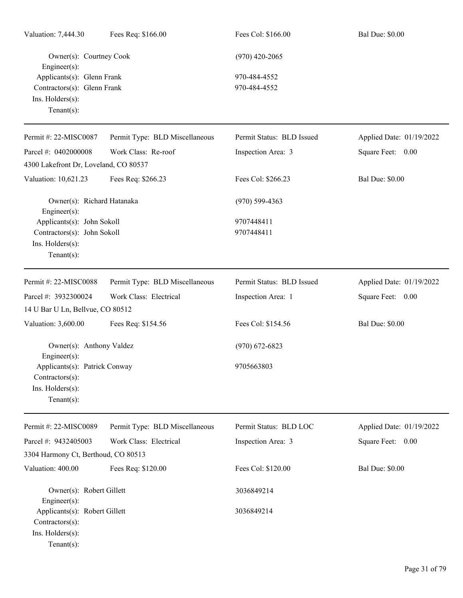| Valuation: 7,444.30                                                  | Fees Req: \$166.00             | Fees Col: \$166.00        | <b>Bal Due: \$0.00</b>   |
|----------------------------------------------------------------------|--------------------------------|---------------------------|--------------------------|
| Owner(s): Courtney Cook<br>Engineer(s):                              |                                | $(970)$ 420-2065          |                          |
| Applicants(s): Glenn Frank                                           |                                | 970-484-4552              |                          |
| Contractors(s): Glenn Frank                                          |                                | 970-484-4552              |                          |
| Ins. Holders(s):<br>$Tenant(s)$ :                                    |                                |                           |                          |
| Permit #: 22-MISC0087                                                | Permit Type: BLD Miscellaneous | Permit Status: BLD Issued | Applied Date: 01/19/2022 |
| Parcel #: 0402000008                                                 | Work Class: Re-roof            | Inspection Area: 3        | Square Feet: 0.00        |
| 4300 Lakefront Dr, Loveland, CO 80537                                |                                |                           |                          |
| Valuation: 10,621.23                                                 | Fees Req: \$266.23             | Fees Col: \$266.23        | <b>Bal Due: \$0.00</b>   |
| Owner(s): Richard Hatanaka<br>Engineer(s):                           |                                | $(970)$ 599-4363          |                          |
| Applicants(s): John Sokoll                                           |                                | 9707448411                |                          |
| Contractors(s): John Sokoll                                          |                                | 9707448411                |                          |
| Ins. Holders(s):<br>Tenant $(s)$ :                                   |                                |                           |                          |
| Permit #: 22-MISC0088                                                | Permit Type: BLD Miscellaneous | Permit Status: BLD Issued | Applied Date: 01/19/2022 |
| Parcel #: 3932300024                                                 | Work Class: Electrical         | Inspection Area: 1        | Square Feet: 0.00        |
| 14 U Bar U Ln, Bellvue, CO 80512                                     |                                |                           |                          |
| Valuation: 3,600.00                                                  | Fees Req: \$154.56             | Fees Col: \$154.56        | <b>Bal Due: \$0.00</b>   |
| Owner(s): Anthony Valdez<br>$Engineering(s)$ :                       |                                | $(970)$ 672-6823          |                          |
| Applicants(s): Patrick Conway<br>Contractors(s):                     |                                | 9705663803                |                          |
| Ins. Holders(s):<br>$Tenant(s)$ :                                    |                                |                           |                          |
| Permit #: 22-MISC0089                                                | Permit Type: BLD Miscellaneous | Permit Status: BLD LOC    | Applied Date: 01/19/2022 |
| Parcel #: 9432405003                                                 | Work Class: Electrical         | Inspection Area: 3        | Square Feet: 0.00        |
| 3304 Harmony Ct, Berthoud, CO 80513                                  |                                |                           |                          |
| Valuation: 400.00                                                    | Fees Req: \$120.00             | Fees Col: \$120.00        | <b>Bal Due: \$0.00</b>   |
| Owner(s): Robert Gillett<br>Engineer(s):                             |                                | 3036849214                |                          |
| Applicants(s): Robert Gillett<br>Contractors(s):<br>Ins. Holders(s): |                                | 3036849214                |                          |
| $Tenant(s)$ :                                                        |                                |                           |                          |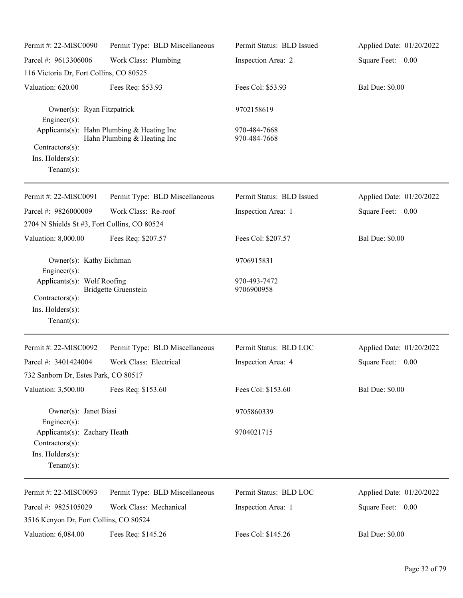| Permit #: 22-MISC0090                                                                | Permit Type: BLD Miscellaneous                                            | Permit Status: BLD Issued    | Applied Date: 01/20/2022 |
|--------------------------------------------------------------------------------------|---------------------------------------------------------------------------|------------------------------|--------------------------|
| Parcel #: 9613306006                                                                 | Work Class: Plumbing                                                      | Inspection Area: 2           | Square Feet: 0.00        |
| 116 Victoria Dr, Fort Collins, CO 80525                                              |                                                                           |                              |                          |
| Valuation: 620.00                                                                    | Fees Req: \$53.93                                                         | Fees Col: \$53.93            | <b>Bal Due: \$0.00</b>   |
| Owner(s): Ryan Fitzpatrick<br>Engineer(s):                                           |                                                                           | 9702158619                   |                          |
| Contractors(s):<br>Ins. Holders(s):                                                  | Applicants(s): Hahn Plumbing & Heating Inc<br>Hahn Plumbing & Heating Inc | 970-484-7668<br>970-484-7668 |                          |
| Tenant $(s)$ :                                                                       |                                                                           |                              |                          |
| Permit #: 22-MISC0091                                                                | Permit Type: BLD Miscellaneous                                            | Permit Status: BLD Issued    | Applied Date: 01/20/2022 |
| Parcel #: 9826000009                                                                 | Work Class: Re-roof                                                       | Inspection Area: 1           | Square Feet: 0.00        |
| 2704 N Shields St #3, Fort Collins, CO 80524                                         |                                                                           |                              |                          |
| Valuation: 8,000.00                                                                  | Fees Req: \$207.57                                                        | Fees Col: \$207.57           | <b>Bal Due: \$0.00</b>   |
| Owner(s): Kathy Eichman<br>$Engineering(s)$ :                                        |                                                                           | 9706915831                   |                          |
| Applicants(s): Wolf Roofing<br>Contractors(s):<br>Ins. Holders(s):<br>Tenant $(s)$ : | <b>Bridgette Gruenstein</b>                                               | 970-493-7472<br>9706900958   |                          |
| Permit #: 22-MISC0092                                                                | Permit Type: BLD Miscellaneous                                            | Permit Status: BLD LOC       | Applied Date: 01/20/2022 |
| Parcel #: 3401424004                                                                 | Work Class: Electrical                                                    | Inspection Area: 4           | Square Feet: 0.00        |
| 732 Sanborn Dr, Estes Park, CO 80517                                                 |                                                                           |                              |                          |
| Valuation: 3,500.00                                                                  | Fees Req: \$153.60                                                        | Fees Col: \$153.60           | <b>Bal Due: \$0.00</b>   |
| Owner(s): Janet Biasi<br>Engineer(s):                                                |                                                                           | 9705860339                   |                          |
| Applicants(s): Zachary Heath<br>Contractors(s):<br>Ins. Holders(s):<br>$Tenant(s)$ : |                                                                           | 9704021715                   |                          |
| Permit #: 22-MISC0093                                                                | Permit Type: BLD Miscellaneous                                            | Permit Status: BLD LOC       | Applied Date: 01/20/2022 |
| Parcel #: 9825105029<br>3516 Kenyon Dr, Fort Collins, CO 80524                       | Work Class: Mechanical                                                    | Inspection Area: 1           | Square Feet: 0.00        |
| Valuation: 6,084.00                                                                  | Fees Req: \$145.26                                                        | Fees Col: \$145.26           | <b>Bal Due: \$0.00</b>   |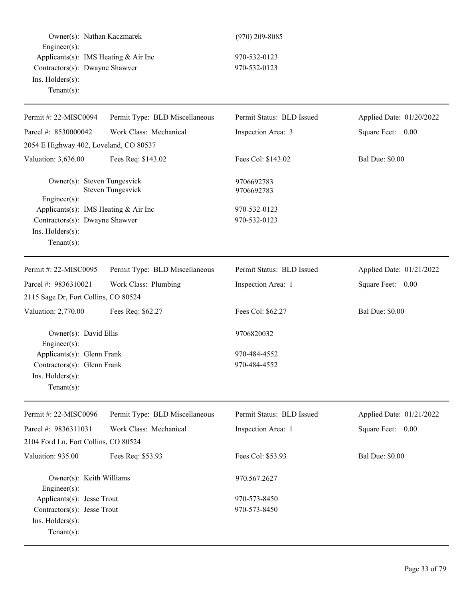| Owner(s): Nathan Kaczmarek<br>Engineer(s):<br>Applicants(s): IMS Heating $& Air Inc$<br>Contractors(s): Dwayne Shawver |                                | $(970)$ 209-8085<br>970-532-0123 |                          |  |
|------------------------------------------------------------------------------------------------------------------------|--------------------------------|----------------------------------|--------------------------|--|
|                                                                                                                        |                                |                                  |                          |  |
|                                                                                                                        |                                | Ins. Holders(s):                 |                          |  |
| Tenant $(s)$ :                                                                                                         |                                |                                  |                          |  |
|                                                                                                                        |                                |                                  |                          |  |
| Permit #: 22-MISC0094                                                                                                  | Permit Type: BLD Miscellaneous | Permit Status: BLD Issued        | Applied Date: 01/20/2022 |  |
| Parcel #: 8530000042                                                                                                   | Work Class: Mechanical         | Inspection Area: 3               | Square Feet: 0.00        |  |
| 2054 E Highway 402, Loveland, CO 80537                                                                                 |                                |                                  |                          |  |
| Valuation: 3,636.00                                                                                                    | Fees Req: \$143.02             | Fees Col: \$143.02               | <b>Bal Due: \$0.00</b>   |  |
| Owner(s): Steven Tungesvick                                                                                            | <b>Steven Tungesvick</b>       | 9706692783<br>9706692783         |                          |  |
| Engineer(s):                                                                                                           |                                |                                  |                          |  |
| Applicants(s): IMS Heating $& Air Inc$                                                                                 |                                | 970-532-0123                     |                          |  |
| Contractors(s): Dwayne Shawver<br>Ins. Holders(s):                                                                     |                                | 970-532-0123                     |                          |  |
| Tenant $(s)$ :                                                                                                         |                                |                                  |                          |  |
|                                                                                                                        |                                |                                  |                          |  |
| Permit #: 22-MISC0095                                                                                                  | Permit Type: BLD Miscellaneous | Permit Status: BLD Issued        | Applied Date: 01/21/2022 |  |
| Parcel #: 9836310021                                                                                                   | Work Class: Plumbing           | Inspection Area: 1               | Square Feet: 0.00        |  |
| 2115 Sage Dr, Fort Collins, CO 80524                                                                                   |                                |                                  |                          |  |
| Valuation: 2,770.00                                                                                                    | Fees Req: \$62.27              | Fees Col: \$62.27                | <b>Bal Due: \$0.00</b>   |  |
| Owner(s): David Ellis                                                                                                  |                                | 9706820032                       |                          |  |
| Engineer $(s)$ :                                                                                                       |                                |                                  |                          |  |
| Applicants(s): Glenn Frank                                                                                             |                                | 970-484-4552                     |                          |  |
| Contractors(s): Glenn Frank                                                                                            |                                | 970-484-4552                     |                          |  |
| Ins. Holders(s):                                                                                                       |                                |                                  |                          |  |
| Tenant $(s)$ :                                                                                                         |                                |                                  |                          |  |
| Permit #: 22-MISC0096                                                                                                  | Permit Type: BLD Miscellaneous | Permit Status: BLD Issued        | Applied Date: 01/21/2022 |  |
| Parcel #: 9836311031                                                                                                   | Work Class: Mechanical         | Inspection Area: 1               | Square Feet: 0.00        |  |
| 2104 Ford Ln, Fort Collins, CO 80524                                                                                   |                                |                                  |                          |  |
| Valuation: 935.00                                                                                                      | Fees Req: \$53.93              | Fees Col: \$53.93                | <b>Bal Due: \$0.00</b>   |  |
| Owner(s): Keith Williams                                                                                               |                                | 970.567.2627                     |                          |  |
| Engineer(s):                                                                                                           |                                |                                  |                          |  |
| Applicants(s): Jesse Trout                                                                                             |                                | 970-573-8450                     |                          |  |
| Contractors(s): Jesse Trout                                                                                            |                                | 970-573-8450                     |                          |  |
| Ins. Holders(s):                                                                                                       |                                |                                  |                          |  |
| Tenant $(s)$ :                                                                                                         |                                |                                  |                          |  |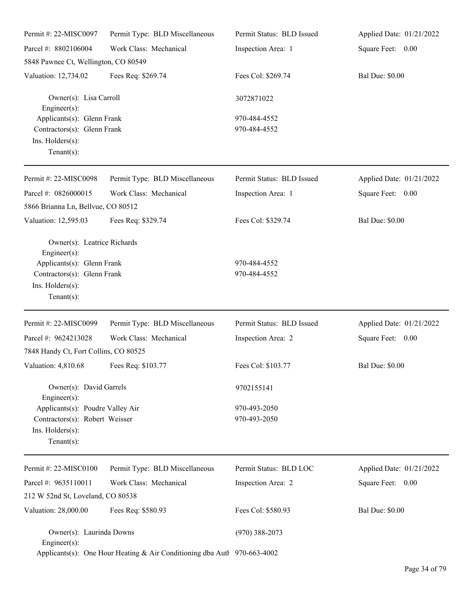| Permit #: 22-MISC0097                                                                                                                                | Permit Type: BLD Miscellaneous | Permit Status: BLD Issued    | Applied Date: 01/21/2022 |
|------------------------------------------------------------------------------------------------------------------------------------------------------|--------------------------------|------------------------------|--------------------------|
| Parcel #: 8802106004                                                                                                                                 | Work Class: Mechanical         | Inspection Area: 1           | Square Feet: 0.00        |
| 5848 Pawnee Ct, Wellington, CO 80549                                                                                                                 |                                |                              |                          |
| Valuation: 12,734.02                                                                                                                                 | Fees Req: \$269.74             | Fees Col: \$269.74           | <b>Bal Due: \$0.00</b>   |
| Owner(s): Lisa Carroll<br>Engineer(s):                                                                                                               |                                | 3072871022                   |                          |
| Applicants(s): Glenn Frank<br>Contractors(s): Glenn Frank<br>Ins. Holders(s):<br>Tenant $(s)$ :                                                      |                                | 970-484-4552<br>970-484-4552 |                          |
| Permit #: 22-MISC0098                                                                                                                                | Permit Type: BLD Miscellaneous | Permit Status: BLD Issued    | Applied Date: 01/21/2022 |
| Parcel #: 0826000015<br>5866 Brianna Ln, Bellvue, CO 80512                                                                                           | Work Class: Mechanical         | Inspection Area: 1           | Square Feet: 0.00        |
| Valuation: 12,595.03                                                                                                                                 | Fees Req: \$329.74             | Fees Col: \$329.74           | <b>Bal Due: \$0.00</b>   |
| Owner(s): Leatrice Richards<br>$Engineering(s)$ :<br>Applicants(s): Glenn Frank<br>Contractors(s): Glenn Frank<br>Ins. Holders(s):<br>Tenant $(s)$ : |                                | 970-484-4552<br>970-484-4552 |                          |
| Permit #: 22-MISC0099                                                                                                                                | Permit Type: BLD Miscellaneous | Permit Status: BLD Issued    | Applied Date: 01/21/2022 |
| Parcel #: 9624213028                                                                                                                                 | Work Class: Mechanical         | Inspection Area: 2           | Square Feet: 0.00        |
| 7848 Handy Ct, Fort Collins, CO 80525                                                                                                                |                                |                              |                          |
| Valuation: 4,810.68 Fees Req: \$103.77                                                                                                               |                                | Fees Col: \$103.77           | <b>Bal Due: \$0.00</b>   |
| Owner(s): David Garrels<br>$Engineering(s)$ :                                                                                                        |                                | 9702155141                   |                          |
| Applicants(s): Poudre Valley Air<br>Contractors(s): Robert Weisser<br>Ins. Holders(s):<br>Tenant $(s)$ :                                             |                                | 970-493-2050<br>970-493-2050 |                          |
| Permit #: 22-MISC0100                                                                                                                                | Permit Type: BLD Miscellaneous | Permit Status: BLD LOC       | Applied Date: 01/21/2022 |
| Parcel #: 9635110011                                                                                                                                 | Work Class: Mechanical         | Inspection Area: 2           | Square Feet: 0.00        |
| 212 W 52nd St, Loveland, CO 80538                                                                                                                    |                                |                              |                          |
| Valuation: 28,000.00                                                                                                                                 | Fees Req: \$580.93             | Fees Col: \$580.93           | <b>Bal Due: \$0.00</b>   |
| Owner(s): Laurinda Downs<br>$Engineering(s)$ :                                                                                                       |                                | $(970)$ 388-2073             |                          |
| Applicants(s): One Hour Heating & Air Conditioning dba Autl 970-663-4002                                                                             |                                |                              |                          |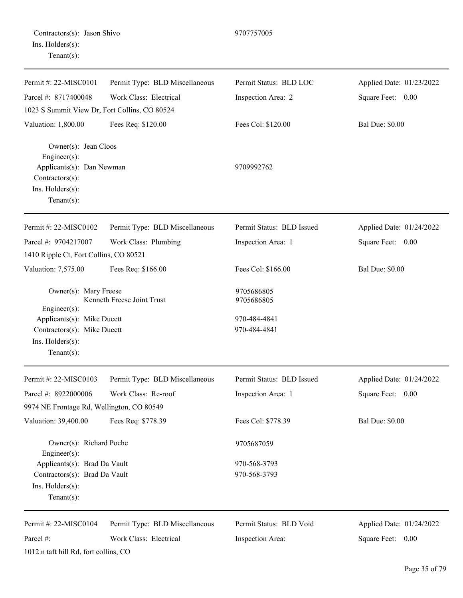Permit #: 22-MISC0101 Parcel #: 8717400048 Permit Type: BLD Miscellaneous Work Class: Electrical Permit Status: BLD LOC Inspection Area: 2 Applied Date: 01/23/2022 Square Feet: 0.00 1023 S Summit View Dr, Fort Collins, CO 80524 Valuation: 1,800.00 Fees Req: \$120.00 Fees Col: \$120.00 Bal Due: \$0.00 Owner(s): Jean Cloos Engineer(s): Applicants(s): Dan Newman 9709992762 Contractors(s): Ins. Holders(s): Tenant(s): Permit #: 22-MISC0102 Parcel #: 9704217007 Permit Type: BLD Miscellaneous Work Class: Plumbing Permit Status: BLD Issued Inspection Area: 1 Applied Date: 01/24/2022 Square Feet: 0.00 1410 Ripple Ct, Fort Collins, CO 80521 Valuation: 7,575.00 Fees Req: \$166.00 Fees Col: \$166.00 Bal Due: \$0.00 Owner(s): Mary Freese 9705686805 Kenneth Freese Joint Trust 9705686805 Engineer(s): Applicants(s): Mike Ducett 970-484-4841 Contractors(s): Mike Ducett 970-484-4841 Ins. Holders(s): Tenant(s): Permit #: 22-MISC0103 Parcel #: 8922000006 Permit Type: BLD Miscellaneous Work Class: Re-roof Permit Status: BLD Issued Inspection Area: 1 Applied Date: 01/24/2022 Square Feet: 0.00 9974 NE Frontage Rd, Wellington, CO 80549 Valuation: 39,400.00 Fees Req: \$778.39 Fees Col: \$778.39 Bal Due: \$0.00 Owner(s): Richard Poche 9705687059 Engineer(s): Applicants(s): Brad Da Vault 970-568-3793 Contractors(s): Brad Da Vault 970-568-3793 Ins. Holders(s):

Tenant(s):

Permit #: 22-MISC0104 Parcel #: Permit Type: BLD Miscellaneous Work Class: Electrical 1012 n taft hill Rd, fort collins, CO

Permit Status: BLD Void

Inspection Area:

Applied Date: 01/24/2022 Square Feet: 0.00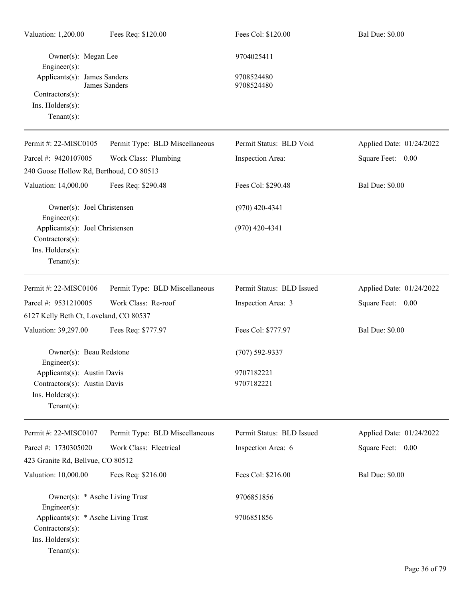| Valuation: 1,200.00                                                                              | Fees Req: \$120.00             | Fees Col: \$120.00        | <b>Bal Due: \$0.00</b>   |
|--------------------------------------------------------------------------------------------------|--------------------------------|---------------------------|--------------------------|
| Owner(s): Megan Lee<br>Engineer(s):                                                              |                                | 9704025411                |                          |
| Applicants(s): James Sanders<br>Contractors(s):<br>Ins. Holders(s):<br>$Tenant(s)$ :             | James Sanders                  | 9708524480<br>9708524480  |                          |
| Permit #: 22-MISC0105                                                                            | Permit Type: BLD Miscellaneous | Permit Status: BLD Void   | Applied Date: 01/24/2022 |
| Parcel #: 9420107005                                                                             | Work Class: Plumbing           | Inspection Area:          | Square Feet: 0.00        |
| 240 Goose Hollow Rd, Berthoud, CO 80513                                                          |                                |                           |                          |
| Valuation: 14,000.00                                                                             | Fees Req: \$290.48             | Fees Col: \$290.48        | <b>Bal Due: \$0.00</b>   |
| Owner(s): Joel Christensen<br>Engineer(s):                                                       |                                | $(970)$ 420-4341          |                          |
| Applicants(s): Joel Christensen<br>Contractors(s):<br>Ins. Holders(s):<br>$Tenant(s)$ :          |                                | $(970)$ 420-4341          |                          |
| Permit #: 22-MISC0106                                                                            | Permit Type: BLD Miscellaneous | Permit Status: BLD Issued | Applied Date: 01/24/2022 |
| Parcel #: 9531210005                                                                             | Work Class: Re-roof            | Inspection Area: 3        | Square Feet: 0.00        |
| 6127 Kelly Beth Ct, Loveland, CO 80537                                                           |                                |                           |                          |
| Valuation: 39,297.00                                                                             | Fees Req: \$777.97             | Fees Col: \$777.97        | <b>Bal Due: \$0.00</b>   |
| Owner(s): Beau Redstone<br>$Engineering(s)$ :                                                    |                                | $(707) 592 - 9337$        |                          |
| Applicants(s): Austin Davis<br>Contractors(s): Austin Davis<br>Ins. Holders(s):<br>$Tenant(s)$ : |                                | 9707182221<br>9707182221  |                          |
| Permit #: 22-MISC0107                                                                            | Permit Type: BLD Miscellaneous | Permit Status: BLD Issued | Applied Date: 01/24/2022 |
| Parcel #: 1730305020                                                                             | Work Class: Electrical         | Inspection Area: 6        | Square Feet: 0.00        |
| 423 Granite Rd, Bellvue, CO 80512                                                                |                                |                           |                          |
| Valuation: 10,000.00                                                                             | Fees Req: \$216.00             | Fees Col: \$216.00        | <b>Bal Due: \$0.00</b>   |
| Owner(s): * Asche Living Trust<br>Engineer(s):                                                   |                                | 9706851856                |                          |
| Applicants(s): * Asche Living Trust<br>Contractors(s):<br>Ins. Holders(s):<br>$Tenant(s)$ :      |                                | 9706851856                |                          |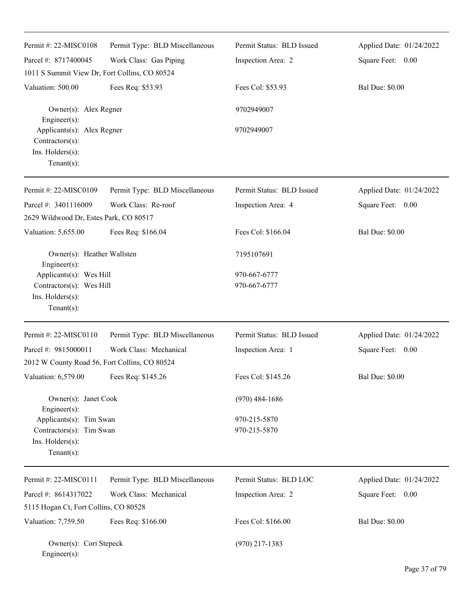| Permit #: 22-MISC0108<br>Parcel #: 8717400045                                            | Permit Type: BLD Miscellaneous<br>Work Class: Gas Piping | Permit Status: BLD Issued<br>Inspection Area: 2 | Applied Date: 01/24/2022<br>Square Feet: 0.00 |
|------------------------------------------------------------------------------------------|----------------------------------------------------------|-------------------------------------------------|-----------------------------------------------|
| 1011 S Summit View Dr, Fort Collins, CO 80524                                            |                                                          |                                                 |                                               |
| Valuation: 500.00                                                                        | Fees Req: \$53.93                                        | Fees Col: \$53.93                               | <b>Bal Due: \$0.00</b>                        |
| Owner(s): Alex Regner<br>Engineer(s):                                                    |                                                          | 9702949007                                      |                                               |
| Applicants(s): Alex Regner<br>Contractors(s):<br>Ins. Holders(s):<br>$Tenant(s)$ :       |                                                          | 9702949007                                      |                                               |
| Permit #: 22-MISC0109                                                                    | Permit Type: BLD Miscellaneous                           | Permit Status: BLD Issued                       | Applied Date: 01/24/2022                      |
| Parcel #: 3401116009                                                                     | Work Class: Re-roof                                      | Inspection Area: 4                              | Square Feet: 0.00                             |
| 2629 Wildwood Dr, Estes Park, CO 80517                                                   |                                                          |                                                 |                                               |
| Valuation: 5,655.00                                                                      | Fees Req: \$166.04                                       | Fees Col: \$166.04                              | <b>Bal Due: \$0.00</b>                        |
| Owner(s): Heather Wallsten<br>Engineer(s):                                               |                                                          | 7195107691                                      |                                               |
| Applicants(s): Wes Hill                                                                  |                                                          | 970-667-6777                                    |                                               |
| Contractors(s): Wes Hill<br>Ins. Holders(s):<br>$Tenant(s)$ :                            |                                                          | 970-667-6777                                    |                                               |
| Permit #: 22-MISC0110                                                                    | Permit Type: BLD Miscellaneous                           | Permit Status: BLD Issued                       | Applied Date: 01/24/2022                      |
| Parcel #: 9815000011                                                                     | Work Class: Mechanical                                   | Inspection Area: 1                              | Square Feet: 0.00                             |
| 2012 W County Road 56, Fort Collins, CO 80524                                            |                                                          |                                                 |                                               |
| Valuation: 6,579.00                                                                      | Fees Req: \$145.26                                       | Fees Col: \$145.26                              | <b>Bal Due: \$0.00</b>                        |
| Owner(s): Janet Cook<br>Engineer(s):                                                     |                                                          | $(970)$ 484-1686                                |                                               |
| Applicants(s): Tim Swan<br>Contractors(s): Tim Swan<br>Ins. Holders(s):<br>$Tenant(s)$ : |                                                          | 970-215-5870<br>970-215-5870                    |                                               |
| Permit #: 22-MISC0111                                                                    | Permit Type: BLD Miscellaneous                           | Permit Status: BLD LOC                          | Applied Date: 01/24/2022                      |
| Parcel #: 8614317022                                                                     | Work Class: Mechanical                                   | Inspection Area: 2                              | Square Feet: 0.00                             |
| 5115 Hogan Ct, Fort Collins, CO 80528                                                    |                                                          |                                                 |                                               |
| Valuation: 7,759.50                                                                      | Fees Req: \$166.00                                       | Fees Col: \$166.00                              | <b>Bal Due: \$0.00</b>                        |
| Owner(s): Cori Stepeck<br>Engineer(s):                                                   |                                                          | $(970)$ 217-1383                                |                                               |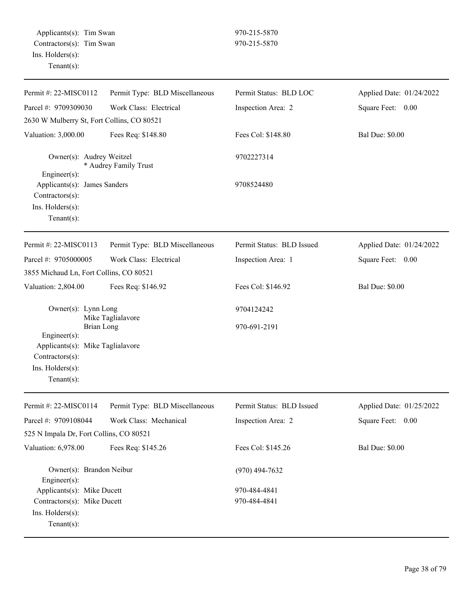| Permit #: 22-MISC0112                                                                                                         | Permit Type: BLD Miscellaneous | Permit Status: BLD LOC       | Applied Date: 01/24/2022 |
|-------------------------------------------------------------------------------------------------------------------------------|--------------------------------|------------------------------|--------------------------|
| Parcel #: 9709309030                                                                                                          | Work Class: Electrical         | Inspection Area: 2           | Square Feet: 0.00        |
| 2630 W Mulberry St, Fort Collins, CO 80521                                                                                    |                                |                              |                          |
| Valuation: 3,000.00                                                                                                           | Fees Req: \$148.80             | Fees Col: \$148.80           | <b>Bal Due: \$0.00</b>   |
| Owner(s): Audrey Weitzel<br>$Engineering(s)$ :                                                                                | * Audrey Family Trust          | 9702227314                   |                          |
| Applicants(s): James Sanders<br>Contractors(s):<br>Ins. Holders(s):<br>Tenant $(s)$ :                                         |                                | 9708524480                   |                          |
| Permit #: 22-MISC0113                                                                                                         | Permit Type: BLD Miscellaneous | Permit Status: BLD Issued    | Applied Date: 01/24/2022 |
| Parcel #: 9705000005                                                                                                          | Work Class: Electrical         | Inspection Area: 1           | Square Feet: 0.00        |
| 3855 Michaud Ln, Fort Collins, CO 80521                                                                                       |                                |                              |                          |
| Valuation: 2,804.00                                                                                                           | Fees Req: \$146.92             | Fees Col: \$146.92           | <b>Bal Due: \$0.00</b>   |
| Owner(s): Lynn Long                                                                                                           | Mike Taglialavore              | 9704124242                   |                          |
| Brian Long<br>$Engineering(s)$ :<br>Applicants(s): Mike Taglialavore<br>Contractors(s):<br>Ins. Holders(s):<br>Tenant $(s)$ : |                                | 970-691-2191                 |                          |
| Permit #: 22-MISC0114                                                                                                         | Permit Type: BLD Miscellaneous | Permit Status: BLD Issued    | Applied Date: 01/25/2022 |
| Parcel #: 9709108044                                                                                                          | Work Class: Mechanical         | Inspection Area: 2           | Square Feet: 0.00        |
| 525 N Impala Dr, Fort Collins, CO 80521                                                                                       |                                |                              |                          |
| Valuation: 6,978.00                                                                                                           | Fees Req: \$145.26             | Fees Col: \$145.26           | <b>Bal Due: \$0.00</b>   |
| Owner(s): Brandon Neibur<br>Engineer $(s)$ :                                                                                  |                                | $(970)$ 494-7632             |                          |
| Applicants(s): Mike Ducett<br>Contractors(s): Mike Ducett<br>Ins. Holders(s):<br>Tenant $(s)$ :                               |                                | 970-484-4841<br>970-484-4841 |                          |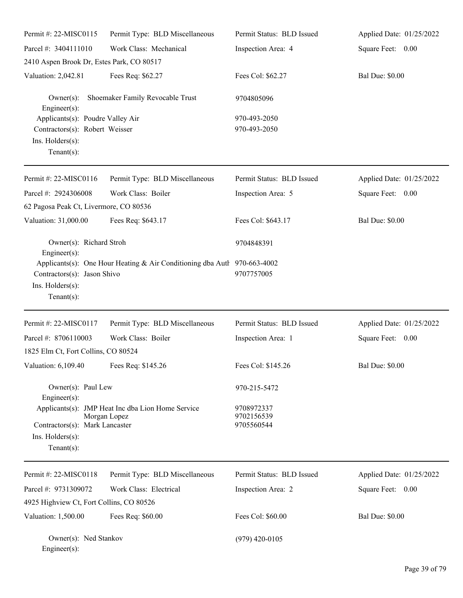| Permit #: 22-MISC0115                                                                                   | Permit Type: BLD Miscellaneous                                           | Permit Status: BLD Issued              | Applied Date: 01/25/2022 |
|---------------------------------------------------------------------------------------------------------|--------------------------------------------------------------------------|----------------------------------------|--------------------------|
| Parcel #: 3404111010                                                                                    | Work Class: Mechanical                                                   | Inspection Area: 4                     | Square Feet: 0.00        |
| 2410 Aspen Brook Dr, Estes Park, CO 80517                                                               |                                                                          |                                        |                          |
| Valuation: 2,042.81                                                                                     | Fees Req: \$62.27                                                        | Fees Col: \$62.27                      | <b>Bal Due: \$0.00</b>   |
| $Owner(s)$ :<br>$Engineering(s)$ :                                                                      | Shoemaker Family Revocable Trust                                         | 9704805096                             |                          |
| Applicants(s): Poudre Valley Air<br>Contractors(s): Robert Weisser<br>Ins. Holders(s):<br>$Tenant(s)$ : |                                                                          | 970-493-2050<br>970-493-2050           |                          |
| Permit #: 22-MISC0116                                                                                   | Permit Type: BLD Miscellaneous                                           | Permit Status: BLD Issued              | Applied Date: 01/25/2022 |
| Parcel #: 2924306008<br>62 Pagosa Peak Ct, Livermore, CO 80536                                          | Work Class: Boiler                                                       | Inspection Area: 5                     | Square Feet: 0.00        |
| Valuation: 31,000.00                                                                                    | Fees Req: \$643.17                                                       | Fees Col: \$643.17                     | <b>Bal Due: \$0.00</b>   |
| Owner(s): Richard Stroh<br>$Engineering(s)$ :                                                           |                                                                          | 9704848391                             |                          |
| Contractors(s): Jason Shivo<br>Ins. Holders(s):<br>$Tenant(s)$ :                                        | Applicants(s): One Hour Heating & Air Conditioning dba Autl 970-663-4002 | 9707757005                             |                          |
| Permit #: 22-MISC0117                                                                                   | Permit Type: BLD Miscellaneous                                           | Permit Status: BLD Issued              | Applied Date: 01/25/2022 |
| Parcel #: 8706110003                                                                                    | Work Class: Boiler                                                       | Inspection Area: 1                     | Square Feet: 0.00        |
| 1825 Elm Ct, Fort Collins, CO 80524                                                                     |                                                                          |                                        |                          |
| Valuation: 6,109.40                                                                                     | Fees Req: \$145.26                                                       | Fees Col: \$145.26                     | <b>Bal Due: \$0.00</b>   |
| Owner(s): Paul Lew<br>$Engineering(s)$ :                                                                |                                                                          | 970-215-5472                           |                          |
| Contractors(s): Mark Lancaster<br>$Ins.$ Holders $(s)$ :<br>$Tenant(s)$ :                               | Applicants(s): JMP Heat Inc dba Lion Home Service<br>Morgan Lopez        | 9708972337<br>9702156539<br>9705560544 |                          |
| Permit #: 22-MISC0118                                                                                   | Permit Type: BLD Miscellaneous                                           | Permit Status: BLD Issued              | Applied Date: 01/25/2022 |
| Parcel #: 9731309072                                                                                    | Work Class: Electrical                                                   | Inspection Area: 2                     | Square Feet: 0.00        |
| 4925 Highview Ct, Fort Collins, CO 80526                                                                |                                                                          |                                        |                          |
| Valuation: 1,500.00                                                                                     | Fees Req: \$60.00                                                        | Fees Col: \$60.00                      | <b>Bal Due: \$0.00</b>   |
| Owner(s): Ned Stankov<br>Engineer(s):                                                                   |                                                                          | $(979)$ 420-0105                       |                          |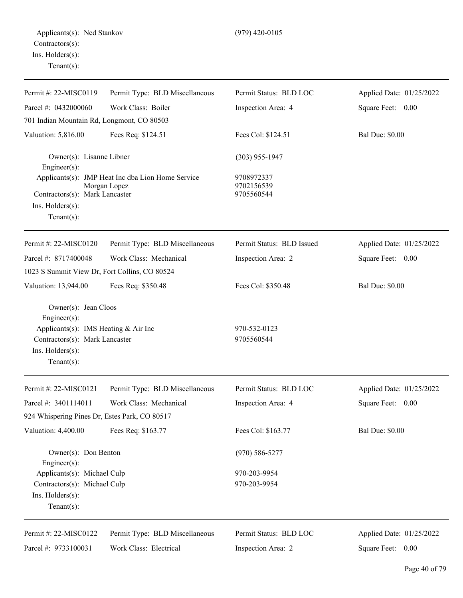| Permit #: 22-MISC0119                         | Permit Type: BLD Miscellaneous                                    | Permit Status: BLD LOC                 | Applied Date: 01/25/2022 |
|-----------------------------------------------|-------------------------------------------------------------------|----------------------------------------|--------------------------|
| Parcel #: 0432000060                          | Work Class: Boiler                                                | Inspection Area: 4                     | 0.00<br>Square Feet:     |
| 701 Indian Mountain Rd, Longmont, CO 80503    |                                                                   |                                        |                          |
| Valuation: 5,816.00                           | Fees Req: \$124.51                                                | Fees Col: \$124.51                     | <b>Bal Due: \$0.00</b>   |
| Owner(s): Lisanne Libner<br>Engineer $(s)$ :  |                                                                   | $(303)$ 955-1947                       |                          |
| Contractors(s): Mark Lancaster                | Applicants(s): JMP Heat Inc dba Lion Home Service<br>Morgan Lopez | 9708972337<br>9702156539<br>9705560544 |                          |
| $Ins.$ Holders $(s)$ :<br>Tenant $(s)$ :      |                                                                   |                                        |                          |
| Permit #: 22-MISC0120                         | Permit Type: BLD Miscellaneous                                    | Permit Status: BLD Issued              | Applied Date: 01/25/2022 |
| Parcel #: 8717400048                          | Work Class: Mechanical                                            | Inspection Area: 2                     | Square Feet: 0.00        |
| 1023 S Summit View Dr, Fort Collins, CO 80524 |                                                                   |                                        |                          |
| Valuation: 13,944.00                          | Fees Req: \$350.48                                                | Fees Col: \$350.48                     | <b>Bal Due: \$0.00</b>   |
| Owner(s): Jean Cloos<br>Engineer $(s)$ :      |                                                                   |                                        |                          |
| Applicants(s): IMS Heating & Air Inc          |                                                                   | 970-532-0123                           |                          |

Contractors(s): Mark Lancaster 9705560544 Ins. Holders(s): Tenant(s):

Permit #: 22-MISC0121 Parcel #: 3401114011 Permit Type: BLD Miscellaneous Work Class: Mechanical Permit Status: BLD LOC Inspection Area: 4 Applied Date: 01/25/2022 Square Feet: 0.00 924 Whispering Pines Dr, Estes Park, CO 80517 Valuation: 4,400.00 Fees Req: \$163.77 Fees Col: \$163.77 Bal Due: \$0.00 Owner(s): Don Benton (970) 586-5277 Engineer(s): Applicants(s): Michael Culp 970-203-9954 Contractors(s): Michael Culp 970-203-9954 Ins. Holders(s): Tenant(s): Permit #: 22-MISC0122 Permit Type: BLD Miscellaneous Permit Status: BLD LOC Applied Date: 01/25/2022

Parcel #: 9733100031 Work Class: Electrical

Inspection Area: 2

Square Feet: 0.00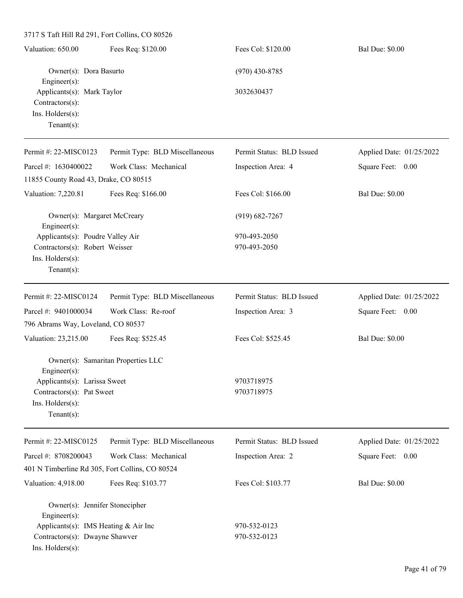3717 S Taft Hill Rd 291, Fort Collins, CO 80526 Valuation: 650.00 Fees Req: \$120.00 Fees Col: \$120.00 Bal Due: \$0.00 Owner(s): Dora Basurto (970) 430-8785 Engineer(s): Applicants(s): Mark Taylor 3032630437 Contractors(s): Ins. Holders(s): Tenant(s): Permit #: 22-MISC0123 Parcel #: 1630400022 Permit Type: BLD Miscellaneous Work Class: Mechanical Permit Status: BLD Issued Inspection Area: 4 Applied Date: 01/25/2022 Square Feet: 0.00 11855 County Road 43, Drake, CO 80515 Valuation: 7,220.81 Fees Req: \$166.00 Fees Col: \$166.00 Bal Due: \$0.00 Owner(s): Margaret McCreary (919) 682-7267 Engineer(s): Applicants(s): Poudre Valley Air 970-493-2050 Contractors(s): Robert Weisser 970-493-2050 Ins. Holders(s): Tenant(s): Permit #: 22-MISC0124 Parcel #: 9401000034 Permit Type: BLD Miscellaneous Work Class: Re-roof Permit Status: BLD Issued Inspection Area: 3 Applied Date: 01/25/2022 Square Feet: 0.00 796 Abrams Way, Loveland, CO 80537 Valuation: 23,215.00 Fees Req: \$525.45 Fees Col: \$525.45 Bal Due: \$0.00 Owner(s): Samaritan Properties LLC Engineer(s): Applicants(s): Larissa Sweet 9703718975 Contractors(s): Pat Sweet 9703718975 Ins. Holders(s): Tenant(s): Permit #: 22-MISC0125 Permit Type: BLD Miscellaneous  $A: \mathbf{A} \to \mathbf{A}$  01/25/2022

| Permit #: $22-MISCO125$                         | Permit Type: BLD Miscellaneous | Permit Status: BLD Issued | Applied Date: 01/25/2022 |
|-------------------------------------------------|--------------------------------|---------------------------|--------------------------|
| Parcel #: $8708200043$                          | Work Class: Mechanical         | Inspection Area: 2        | Square Feet:<br>0.00     |
| 401 N Timberline Rd 305, Fort Collins, CO 80524 |                                |                           |                          |
| Valuation: 4,918.00                             | Fees Req: \$103.77             | Fees Col: \$103.77        | <b>Bal Due: \$0.00</b>   |
| Owner(s): Jennifer Stonecipher                  |                                |                           |                          |
| $Engineering(s)$ :                              |                                |                           |                          |
| Applicants(s): IMS Heating $& Air Inc$          |                                | 970-532-0123              |                          |
| Contractors(s): Dwayne Shawver                  |                                | 970-532-0123              |                          |
| $Ins.$ Holders $(s)$ :                          |                                |                           |                          |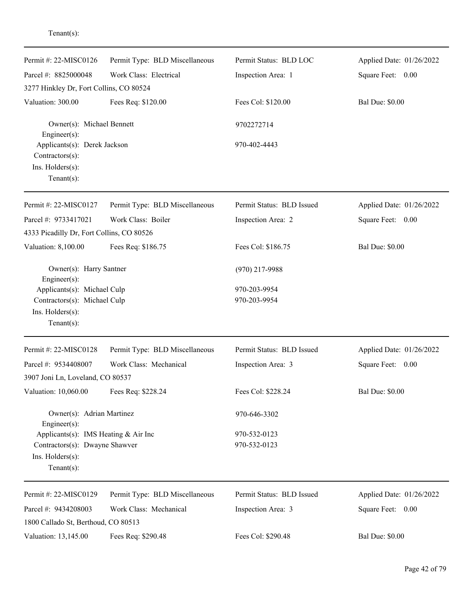| Permit #: $22-MISCO126$<br>Parcel #: 8825000048                                       | Permit Type: BLD Miscellaneous<br>Work Class: Electrical | Permit Status: BLD LOC<br>Inspection Area: 1 | Applied Date: 01/26/2022<br>Square Feet: 0.00 |
|---------------------------------------------------------------------------------------|----------------------------------------------------------|----------------------------------------------|-----------------------------------------------|
| 3277 Hinkley Dr, Fort Collins, CO 80524                                               |                                                          |                                              |                                               |
| Valuation: 300.00                                                                     | Fees Req: \$120.00                                       | Fees Col: \$120.00                           | <b>Bal Due: \$0.00</b>                        |
| Owner(s): Michael Bennett<br>$Engineering(s)$ :                                       |                                                          | 9702272714                                   |                                               |
| Applicants(s): Derek Jackson<br>Contractors(s):<br>Ins. Holders(s):<br>Tenant $(s)$ : |                                                          | 970-402-4443                                 |                                               |
| Permit #: 22-MISC0127                                                                 | Permit Type: BLD Miscellaneous                           | Permit Status: BLD Issued                    | Applied Date: 01/26/2022                      |
| Parcel #: 9733417021                                                                  | Work Class: Boiler                                       | Inspection Area: 2                           | Square Feet: 0.00                             |
| 4333 Picadilly Dr, Fort Collins, CO 80526                                             |                                                          |                                              |                                               |
| Valuation: 8,100.00                                                                   | Fees Req: \$186.75                                       | Fees Col: \$186.75                           | <b>Bal Due: \$0.00</b>                        |
| Owner(s): Harry Santner<br>$Engineering(s)$ :                                         |                                                          | $(970)$ 217-9988                             |                                               |
| Applicants(s): Michael Culp                                                           |                                                          | 970-203-9954                                 |                                               |
| Contractors(s): Michael Culp                                                          |                                                          | 970-203-9954                                 |                                               |
| Ins. $H$ olders $(s)$ :<br>Tenant $(s)$ :                                             |                                                          |                                              |                                               |
| Permit #: 22-MISC0128                                                                 | Permit Type: BLD Miscellaneous                           | Permit Status: BLD Issued                    | Applied Date: 01/26/2022                      |
| Parcel #: 9534408007                                                                  | Work Class: Mechanical                                   | Inspection Area: 3                           | Square Feet:<br>0.00                          |
| 3907 Joni Ln, Loveland, CO 80537                                                      |                                                          |                                              |                                               |
| Valuation: 10,060.00                                                                  | Fees Req: \$228.24                                       | Fees Col: \$228.24                           | <b>Bal Due: \$0.00</b>                        |
| Owner(s): Adrian Martinez<br>Engineer $(s)$ :                                         |                                                          | 970-646-3302                                 |                                               |
| Applicants(s): IMS Heating & Air Inc                                                  |                                                          | 970-532-0123                                 |                                               |
| Contractors(s): Dwayne Shawver                                                        |                                                          | 970-532-0123                                 |                                               |
| Ins. Holders(s):<br>$Tenant(s)$ :                                                     |                                                          |                                              |                                               |
| Permit #: 22-MISC0129                                                                 | Permit Type: BLD Miscellaneous                           | Permit Status: BLD Issued                    | Applied Date: 01/26/2022                      |
| Parcel #: 9434208003<br>1800 Callado St, Berthoud, CO 80513                           | Work Class: Mechanical                                   | Inspection Area: 3                           | Square Feet: 0.00                             |
| Valuation: 13,145.00                                                                  | Fees Req: \$290.48                                       | Fees Col: \$290.48                           | <b>Bal Due: \$0.00</b>                        |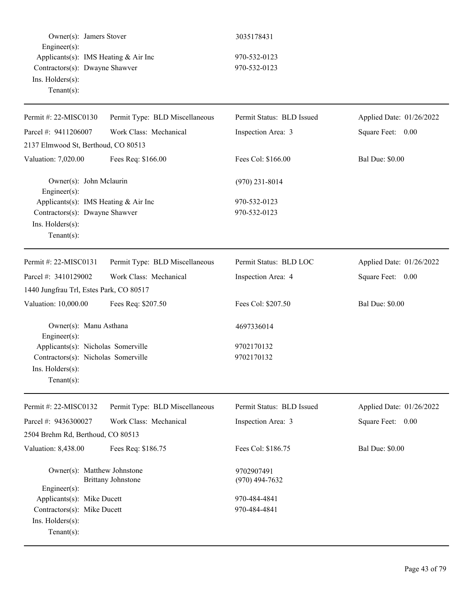Owner(s): Jamers Stover 3035178431 Engineer(s): Applicants(s): IMS Heating & Air Inc 970-532-0123 Contractors(s): Dwayne Shawver 970-532-0123 Ins. Holders(s): Tenant(s):

| Permit #: 22-MISC0130                                                                                           | Permit Type: BLD Miscellaneous | Permit Status: BLD Issued      | Applied Date: 01/26/2022 |
|-----------------------------------------------------------------------------------------------------------------|--------------------------------|--------------------------------|--------------------------|
| Parcel #: 9411206007                                                                                            | Work Class: Mechanical         | Inspection Area: 3             | Square Feet: 0.00        |
| 2137 Elmwood St, Berthoud, CO 80513                                                                             |                                |                                |                          |
| Valuation: 7,020.00                                                                                             | Fees Req: \$166.00             | Fees Col: \$166.00             | <b>Bal Due: \$0.00</b>   |
| Owner(s): John Mclaurin<br>Engineer(s):                                                                         |                                | $(970)$ 231-8014               |                          |
| Applicants(s): IMS Heating & Air Inc<br>Contractors(s): Dwayne Shawver<br>Ins. Holders(s):<br>Tenant $(s)$ :    |                                | 970-532-0123<br>970-532-0123   |                          |
| Permit #: 22-MISC0131                                                                                           | Permit Type: BLD Miscellaneous | Permit Status: BLD LOC         | Applied Date: 01/26/2022 |
| Parcel #: 3410129002                                                                                            | Work Class: Mechanical         | Inspection Area: 4             | Square Feet: 0.00        |
| 1440 Jungfrau Trl, Estes Park, CO 80517                                                                         |                                |                                |                          |
| Valuation: 10,000.00                                                                                            | Fees Req: \$207.50             | Fees Col: \$207.50             | <b>Bal Due: \$0.00</b>   |
| Owner(s): Manu Asthana<br>Engineer(s):                                                                          |                                | 4697336014                     |                          |
| Applicants(s): Nicholas Somerville<br>Contractors(s): Nicholas Somerville<br>Ins. Holders(s):<br>Tenant $(s)$ : |                                | 9702170132<br>9702170132       |                          |
| Permit #: 22-MISC0132                                                                                           | Permit Type: BLD Miscellaneous | Permit Status: BLD Issued      | Applied Date: 01/26/2022 |
| Parcel #: 9436300027                                                                                            | Work Class: Mechanical         | Inspection Area: 3             | Square Feet: 0.00        |
| 2504 Brehm Rd, Berthoud, CO 80513                                                                               |                                |                                |                          |
| Valuation: 8,438.00                                                                                             | Fees Req: \$186.75             | Fees Col: \$186.75             | <b>Bal Due: \$0.00</b>   |
| Owner(s): Matthew Johnstone<br>$Engineering(s)$ :                                                               | <b>Brittany Johnstone</b>      | 9702907491<br>$(970)$ 494-7632 |                          |
| Applicants(s): Mike Ducett<br>Contractors(s): Mike Ducett<br>Ins. Holders(s):<br>Tenant $(s)$ :                 |                                | 970-484-4841<br>970-484-4841   |                          |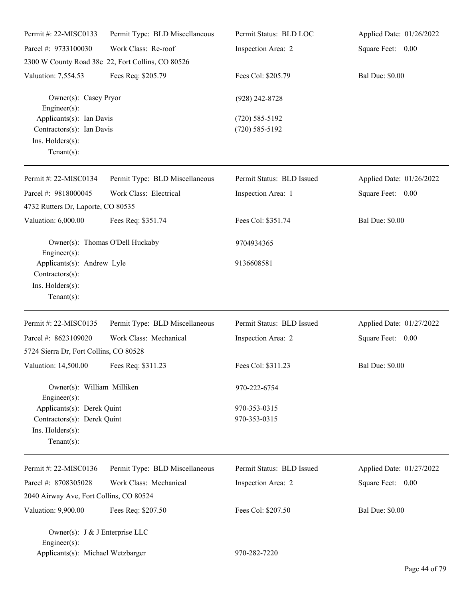| Permit #: 22-MISC0133                                                                           | Permit Type: BLD Miscellaneous                    | Permit Status: BLD LOC                   | Applied Date: 01/26/2022 |
|-------------------------------------------------------------------------------------------------|---------------------------------------------------|------------------------------------------|--------------------------|
| Parcel #: 9733100030                                                                            | Work Class: Re-roof                               | Inspection Area: 2                       | Square Feet: 0.00        |
|                                                                                                 | 2300 W County Road 38e 22, Fort Collins, CO 80526 |                                          |                          |
| Valuation: 7,554.53                                                                             | Fees Req: \$205.79                                | Fees Col: \$205.79                       | <b>Bal Due: \$0.00</b>   |
| $Engineer(s)$ :                                                                                 | Owner(s): Casey Pryor                             |                                          |                          |
| Applicants(s): Ian Davis<br>Contractors(s): Ian Davis<br>Ins. Holders(s):<br>Tenant $(s)$ :     |                                                   | $(720) 585 - 5192$<br>$(720) 585 - 5192$ |                          |
| Permit #: 22-MISC0134                                                                           | Permit Type: BLD Miscellaneous                    | Permit Status: BLD Issued                | Applied Date: 01/26/2022 |
| Parcel #: 9818000045<br>4732 Rutters Dr, Laporte, CO 80535                                      | Work Class: Electrical                            | Inspection Area: 1                       | Square Feet: 0.00        |
| Valuation: 6,000.00                                                                             | Fees Req: \$351.74                                | Fees Col: \$351.74                       | <b>Bal Due: \$0.00</b>   |
| Engineer(s):                                                                                    | Owner(s): Thomas O'Dell Huckaby                   | 9704934365                               |                          |
| Applicants(s): Andrew Lyle<br>Contractors(s):<br>Ins. Holders(s):<br>Tenant $(s)$ :             |                                                   | 9136608581                               |                          |
| Permit #: 22-MISC0135                                                                           | Permit Type: BLD Miscellaneous                    | Permit Status: BLD Issued                | Applied Date: 01/27/2022 |
| Parcel #: 8623109020                                                                            | Work Class: Mechanical                            | Inspection Area: 2                       | Square Feet: 0.00        |
| 5724 Sierra Dr, Fort Collins, CO 80528                                                          |                                                   |                                          |                          |
| Valuation: 14,500.00 Fees Req: \$311.23                                                         |                                                   | Fees Col: \$311.23                       | <b>Bal Due: \$0.00</b>   |
| Owner(s): William Milliken<br>$Engineer(s)$ :                                                   |                                                   | 970-222-6754                             |                          |
| Applicants(s): Derek Quint<br>Contractors(s): Derek Quint<br>Ins. Holders(s):<br>Tenant $(s)$ : |                                                   | 970-353-0315<br>970-353-0315             |                          |
| Permit #: 22-MISC0136                                                                           | Permit Type: BLD Miscellaneous                    | Permit Status: BLD Issued                | Applied Date: 01/27/2022 |
| Parcel #: 8708305028                                                                            | Work Class: Mechanical                            | Inspection Area: 2                       | Square Feet: 0.00        |
| 2040 Airway Ave, Fort Collins, CO 80524                                                         |                                                   |                                          |                          |
| Valuation: 9,900.00                                                                             | Fees Req: \$207.50                                | Fees Col: \$207.50                       | <b>Bal Due: \$0.00</b>   |
| Owner(s): J & J Enterprise LLC<br>Engineer $(s)$ :                                              |                                                   |                                          |                          |
| Applicants(s): Michael Wetzbarger                                                               |                                                   | 970-282-7220                             |                          |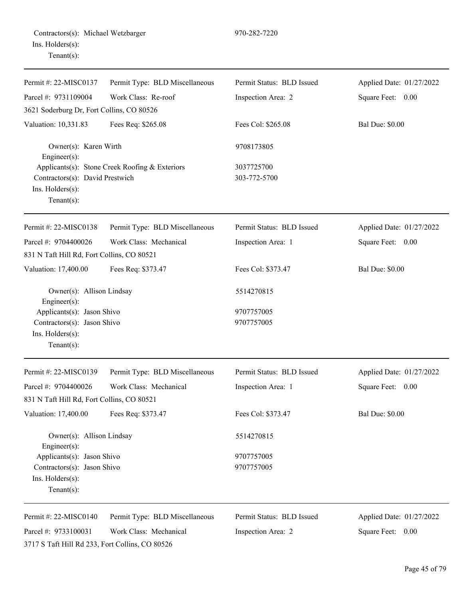| Permit #: 22-MISC0137                                                                                 | Permit Type: BLD Miscellaneous                 | Permit Status: BLD Issued  | Applied Date: 01/27/2022 |
|-------------------------------------------------------------------------------------------------------|------------------------------------------------|----------------------------|--------------------------|
| Parcel #: 9731109004                                                                                  | Work Class: Re-roof                            | Inspection Area: 2         | Square Feet: 0.00        |
| 3621 Soderburg Dr, Fort Collins, CO 80526                                                             |                                                |                            |                          |
| Valuation: 10,331.83                                                                                  | Fees Req: \$265.08                             | Fees Col: \$265.08         | <b>Bal Due: \$0.00</b>   |
| Owner(s): Karen Wirth<br>Engineer(s):                                                                 |                                                | 9708173805                 |                          |
| Contractors(s): David Prestwich<br>Ins. Holders(s):<br>$Tenant(s)$ :                                  | Applicants(s): Stone Creek Roofing & Exteriors | 3037725700<br>303-772-5700 |                          |
| Permit #: 22-MISC0138                                                                                 | Permit Type: BLD Miscellaneous                 | Permit Status: BLD Issued  | Applied Date: 01/27/2022 |
| Parcel #: 9704400026                                                                                  | Work Class: Mechanical                         | Inspection Area: 1         | Square Feet: 0.00        |
| 831 N Taft Hill Rd, Fort Collins, CO 80521                                                            |                                                |                            |                          |
| Valuation: 17,400.00                                                                                  | Fees Req: \$373.47                             | Fees Col: \$373.47         | <b>Bal Due: \$0.00</b>   |
| Owner(s): Allison Lindsay<br>Engineer(s):                                                             |                                                | 5514270815                 |                          |
| Applicants(s): Jason Shivo<br>Contractors(s): Jason Shivo<br>Ins. $H$ olders $(s)$ :<br>$Tenant(s)$ : |                                                | 9707757005<br>9707757005   |                          |
| Permit #: 22-MISC0139                                                                                 | Permit Type: BLD Miscellaneous                 | Permit Status: BLD Issued  | Applied Date: 01/27/2022 |
| Parcel #: 9704400026<br>831 N Taft Hill Rd, Fort Collins, CO 80521                                    | Work Class: Mechanical                         | Inspection Area: 1         | Square Feet: 0.00        |
| Valuation: 17,400.00                                                                                  | Fees Req: \$373.47                             | Fees Col: \$373.47         | <b>Bal Due: \$0.00</b>   |
| Owner(s): Allison Lindsay<br>Engineer(s):                                                             |                                                | 5514270815                 |                          |
| Applicants(s): Jason Shivo                                                                            |                                                | 9707757005                 |                          |
| Contractors(s): Jason Shivo<br>Ins. Holders(s):<br>Tenant $(s)$ :                                     |                                                | 9707757005                 |                          |
| Permit #: 22-MISC0140                                                                                 | Permit Type: BLD Miscellaneous                 | Permit Status: BLD Issued  | Applied Date: 01/27/2022 |
| Parcel #: 9733100031                                                                                  | Work Class: Mechanical                         | Inspection Area: 2         | Square Feet:<br>0.00     |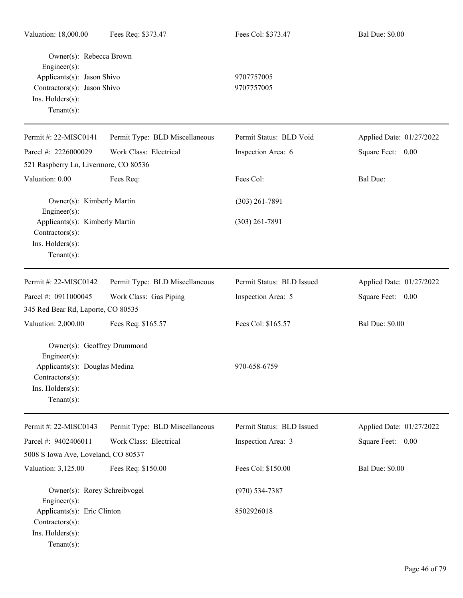| Valuation: 18,000.00                      | Fees Req: \$373.47             | Fees Col: \$373.47        | <b>Bal Due: \$0.00</b>   |
|-------------------------------------------|--------------------------------|---------------------------|--------------------------|
| Owner(s): Rebecca Brown<br>Engineer(s):   |                                |                           |                          |
| Applicants(s): Jason Shivo                |                                | 9707757005                |                          |
|                                           | Contractors(s): Jason Shivo    |                           |                          |
| Ins. Holders(s):                          |                                |                           |                          |
| Tenant $(s)$ :                            |                                |                           |                          |
| Permit #: 22-MISC0141                     | Permit Type: BLD Miscellaneous | Permit Status: BLD Void   | Applied Date: 01/27/2022 |
| Parcel #: 2226000029                      | Work Class: Electrical         | Inspection Area: 6        | Square Feet: 0.00        |
| 521 Raspberry Ln, Livermore, CO 80536     |                                |                           |                          |
| Valuation: 0.00                           | Fees Req:                      | Fees Col:                 | Bal Due:                 |
| Owner(s): Kimberly Martin<br>Engineer(s): |                                | $(303)$ 261-7891          |                          |
| Applicants(s): Kimberly Martin            |                                | $(303)$ 261-7891          |                          |
| Contractors(s):                           |                                |                           |                          |
| Ins. Holders(s):                          |                                |                           |                          |
| Tenant $(s)$ :                            |                                |                           |                          |
|                                           |                                |                           |                          |
| Permit #: 22-MISC0142                     | Permit Type: BLD Miscellaneous | Permit Status: BLD Issued | Applied Date: 01/27/2022 |
| Parcel #: 0911000045                      | Work Class: Gas Piping         | Inspection Area: 5        | Square Feet: 0.00        |
| 345 Red Bear Rd, Laporte, CO 80535        |                                |                           |                          |
| Valuation: 2,000.00                       | Fees Req: \$165.57             | Fees Col: \$165.57        | <b>Bal Due: \$0.00</b>   |
| Owner(s): Geoffrey Drummond               |                                |                           |                          |
| Engineer(s):                              |                                |                           |                          |
| Applicants(s): Douglas Medina             |                                | 970-658-6759              |                          |
| $Contractors(s)$ :                        |                                |                           |                          |
| Ins. Holders(s):<br>Tenant $(s)$ :        |                                |                           |                          |
|                                           |                                |                           |                          |
| Permit #: 22-MISC0143                     | Permit Type: BLD Miscellaneous | Permit Status: BLD Issued | Applied Date: 01/27/2022 |
| Parcel #: 9402406011                      | Work Class: Electrical         | Inspection Area: 3        | Square Feet: 0.00        |
| 5008 S Iowa Ave, Loveland, CO 80537       |                                |                           |                          |
| Valuation: 3,125.00                       | Fees Req: \$150.00             | Fees Col: \$150.00        | <b>Bal Due: \$0.00</b>   |
| Owner(s): Rorey Schreibvogel              |                                | $(970) 534 - 7387$        |                          |
| Engineer(s):                              |                                |                           |                          |
| Applicants(s): Eric Clinton               |                                | 8502926018                |                          |
| Contractors(s):                           |                                |                           |                          |

Ins. Holders(s): Tenant(s):

Page 46 of 79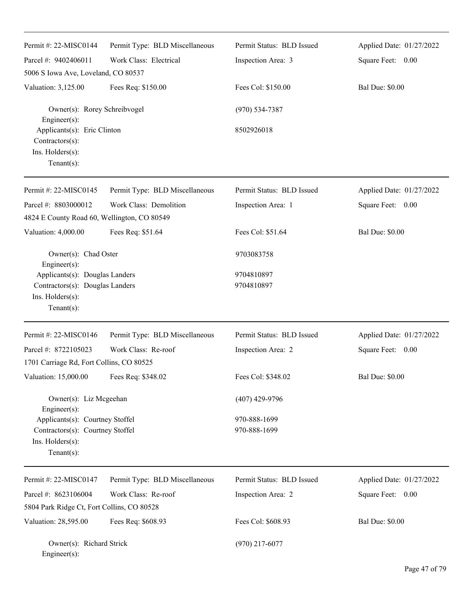| Permit#: 22-MISC0144                                                                                      | Permit Type: BLD Miscellaneous | Permit Status: BLD Issued    | Applied Date: 01/27/2022 |
|-----------------------------------------------------------------------------------------------------------|--------------------------------|------------------------------|--------------------------|
| Parcel #: 9402406011                                                                                      | Work Class: Electrical         | Inspection Area: 3           | Square Feet: 0.00        |
| 5006 S Iowa Ave, Loveland, CO 80537                                                                       |                                |                              |                          |
| Valuation: 3,125.00                                                                                       | Fees Req: \$150.00             | Fees Col: \$150.00           | <b>Bal Due: \$0.00</b>   |
| Owner(s): Rorey Schreibvogel<br>Engineer(s):                                                              |                                | $(970) 534 - 7387$           |                          |
| Applicants(s): Eric Clinton<br>Contractors(s):<br>Ins. Holders(s):<br>Tenant $(s)$ :                      |                                | 8502926018                   |                          |
| Permit #: 22-MISC0145                                                                                     | Permit Type: BLD Miscellaneous | Permit Status: BLD Issued    | Applied Date: 01/27/2022 |
| Parcel #: 8803000012                                                                                      | Work Class: Demolition         | Inspection Area: 1           | Square Feet: 0.00        |
| 4824 E County Road 60, Wellington, CO 80549                                                               |                                |                              |                          |
| Valuation: 4,000.00                                                                                       | Fees Req: \$51.64              | Fees Col: \$51.64            | <b>Bal Due: \$0.00</b>   |
| Owner(s): Chad Oster<br>Engineer(s):                                                                      |                                | 9703083758                   |                          |
| Applicants(s): Douglas Landers<br>Contractors(s): Douglas Landers<br>Ins. Holders(s):<br>Tenant $(s)$ :   |                                | 9704810897<br>9704810897     |                          |
| Permit #: 22-MISC0146                                                                                     | Permit Type: BLD Miscellaneous | Permit Status: BLD Issued    | Applied Date: 01/27/2022 |
| Parcel #: 8722105023                                                                                      | Work Class: Re-roof            | Inspection Area: 2           | Square Feet: 0.00        |
| 1701 Carriage Rd, Fort Collins, CO 80525                                                                  |                                |                              |                          |
| Valuation: 15,000.00                                                                                      | Fees Req: \$348.02             | Fees Col: \$348.02           | <b>Bal Due: \$0.00</b>   |
| Owner(s): Liz Mcgeehan<br>Engineer(s):                                                                    |                                | $(407)$ 429-9796             |                          |
| Applicants(s): Courtney Stoffel<br>Contractors(s): Courtney Stoffel<br>Ins. Holders(s):<br>Tenant $(s)$ : |                                | 970-888-1699<br>970-888-1699 |                          |
| Permit #: 22-MISC0147                                                                                     | Permit Type: BLD Miscellaneous | Permit Status: BLD Issued    | Applied Date: 01/27/2022 |
| Parcel #: 8623106004                                                                                      | Work Class: Re-roof            | Inspection Area: 2           | 0.00<br>Square Feet:     |
| 5804 Park Ridge Ct, Fort Collins, CO 80528                                                                |                                |                              |                          |
| Valuation: 28,595.00                                                                                      | Fees Req: \$608.93             | Fees Col: \$608.93           | <b>Bal Due: \$0.00</b>   |
| Owner(s): Richard Strick<br>Engineer(s):                                                                  |                                | $(970)$ 217-6077             |                          |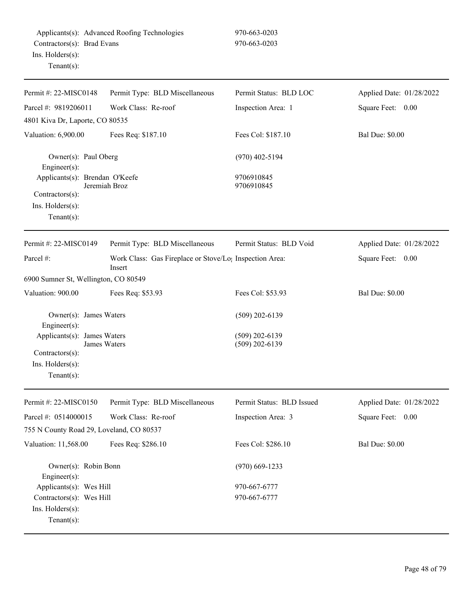| Permit #: 22-MISC0148                               | Permit Type: BLD Miscellaneous                                      | Permit Status: BLD LOC    | Applied Date: 01/28/2022 |
|-----------------------------------------------------|---------------------------------------------------------------------|---------------------------|--------------------------|
| Parcel #: 9819206011                                | Work Class: Re-roof                                                 | Inspection Area: 1        | Square Feet: 0.00        |
| 4801 Kiva Dr, Laporte, CO 80535                     |                                                                     |                           |                          |
| Valuation: 6,900.00                                 | Fees Req: \$187.10                                                  | Fees Col: \$187.10        | <b>Bal Due: \$0.00</b>   |
| Owner(s): Paul Oberg                                |                                                                     | $(970)$ 402-5194          |                          |
| Engineer(s):<br>Applicants(s): Brendan O'Keefe      |                                                                     | 9706910845                |                          |
|                                                     | Jeremiah Broz                                                       | 9706910845                |                          |
| Contractors(s):<br>Ins. Holders(s):                 |                                                                     |                           |                          |
| $Tenant(s)$ :                                       |                                                                     |                           |                          |
| Permit #: 22-MISC0149                               | Permit Type: BLD Miscellaneous                                      | Permit Status: BLD Void   | Applied Date: 01/28/2022 |
| Parcel #:                                           | Work Class: Gas Fireplace or Stove/Lo <sub>!</sub> Inspection Area: |                           | Square Feet: 0.00        |
|                                                     | Insert                                                              |                           |                          |
| 6900 Sumner St, Wellington, CO 80549                |                                                                     |                           |                          |
| Valuation: 900.00                                   | Fees Req: \$53.93                                                   | Fees Col: \$53.93         | <b>Bal Due: \$0.00</b>   |
|                                                     |                                                                     |                           |                          |
| Owner(s): James Waters<br>Engineer(s):              |                                                                     | $(509)$ 202-6139          |                          |
| Applicants(s): James Waters                         |                                                                     | $(509)$ 202-6139          |                          |
| James Waters<br>Contractors(s):                     |                                                                     | $(509)$ 202-6139          |                          |
| Ins. Holders(s):                                    |                                                                     |                           |                          |
| $Tenant(s)$ :                                       |                                                                     |                           |                          |
|                                                     |                                                                     |                           |                          |
| Permit #: 22-MISC0150                               | Permit Type: BLD Miscellaneous                                      | Permit Status: BLD Issued | Applied Date: 01/28/2022 |
| Parcel #: 0514000015                                | Work Class: Re-roof                                                 | Inspection Area: 3        | Square Feet: 0.00        |
| 755 N County Road 29, Loveland, CO 80537            |                                                                     |                           |                          |
| Valuation: 11,568.00                                | Fees Req: \$286.10                                                  | Fees Col: \$286.10        | <b>Bal Due: \$0.00</b>   |
| Owner(s): Robin Bonn                                |                                                                     | $(970)$ 669-1233          |                          |
| Engineer $(s)$ :                                    |                                                                     | 970-667-6777              |                          |
| Applicants(s): Wes Hill<br>Contractors(s): Wes Hill |                                                                     | 970-667-6777              |                          |
| Ins. Holders(s):                                    |                                                                     |                           |                          |
| Tenant(s):                                          |                                                                     |                           |                          |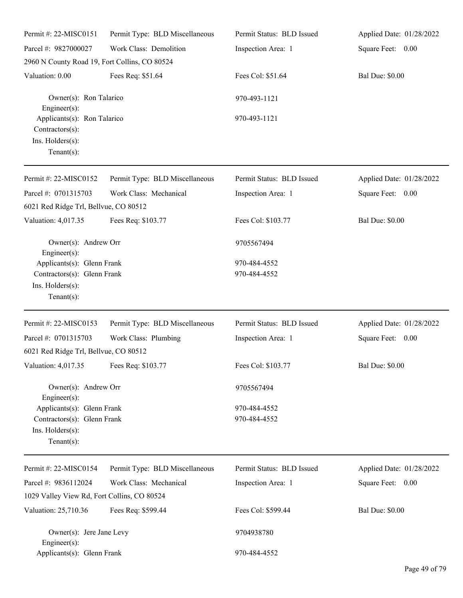| Permit #: 22-MISC0151                                                                           | Permit Type: BLD Miscellaneous | Permit Status: BLD Issued    | Applied Date: 01/28/2022 |
|-------------------------------------------------------------------------------------------------|--------------------------------|------------------------------|--------------------------|
| Parcel #: 9827000027                                                                            | Work Class: Demolition         | Inspection Area: 1           | Square Feet: 0.00        |
| 2960 N County Road 19, Fort Collins, CO 80524                                                   |                                |                              |                          |
| Valuation: 0.00                                                                                 | Fees Req: \$51.64              | Fees Col: \$51.64            | <b>Bal Due: \$0.00</b>   |
| Owner(s): Ron Talarico<br>Engineer(s):                                                          |                                | 970-493-1121                 |                          |
| Applicants(s): Ron Talarico<br>Contractors(s):<br>Ins. Holders(s):<br>$Tenant(s)$ :             |                                | 970-493-1121                 |                          |
| Permit #: 22-MISC0152                                                                           | Permit Type: BLD Miscellaneous | Permit Status: BLD Issued    | Applied Date: 01/28/2022 |
| Parcel #: 0701315703<br>6021 Red Ridge Trl, Bellvue, CO 80512                                   | Work Class: Mechanical         | Inspection Area: 1           | Square Feet: 0.00        |
| Valuation: 4,017.35                                                                             | Fees Req: \$103.77             | Fees Col: \$103.77           | <b>Bal Due: \$0.00</b>   |
| Owner(s): Andrew Orr<br>Engineer(s):                                                            |                                | 9705567494                   |                          |
| Applicants(s): Glenn Frank<br>Contractors(s): Glenn Frank<br>Ins. Holders(s):<br>Tenant $(s)$ : |                                | 970-484-4552<br>970-484-4552 |                          |
| Permit #: 22-MISC0153                                                                           | Permit Type: BLD Miscellaneous | Permit Status: BLD Issued    | Applied Date: 01/28/2022 |
| Parcel #: 0701315703                                                                            | Work Class: Plumbing           | Inspection Area: 1           | Square Feet: 0.00        |
| 6021 Red Ridge Trl, Bellvue, CO 80512<br>Valuation: 4,017.35 Fees Req: \$103.77                 |                                | Fees Col: \$103.77           | <b>Bal Due: \$0.00</b>   |
|                                                                                                 |                                |                              |                          |
| Owner(s): Andrew Orr<br>Engineer(s):                                                            |                                | 9705567494                   |                          |
| Applicants(s): Glenn Frank<br>Contractors(s): Glenn Frank<br>Ins. Holders(s):<br>$Tenant(s)$ :  |                                | 970-484-4552<br>970-484-4552 |                          |
| Permit #: 22-MISC0154                                                                           | Permit Type: BLD Miscellaneous | Permit Status: BLD Issued    | Applied Date: 01/28/2022 |
| Parcel #: 9836112024                                                                            | Work Class: Mechanical         | Inspection Area: 1           | Square Feet: 0.00        |
| 1029 Valley View Rd, Fort Collins, CO 80524                                                     |                                |                              |                          |
| Valuation: 25,710.36                                                                            | Fees Req: \$599.44             | Fees Col: \$599.44           | <b>Bal Due: \$0.00</b>   |
| Owner(s): Jere Jane Levy<br>Engineer(s):                                                        |                                | 9704938780                   |                          |
| Applicants(s): Glenn Frank                                                                      |                                | 970-484-4552                 |                          |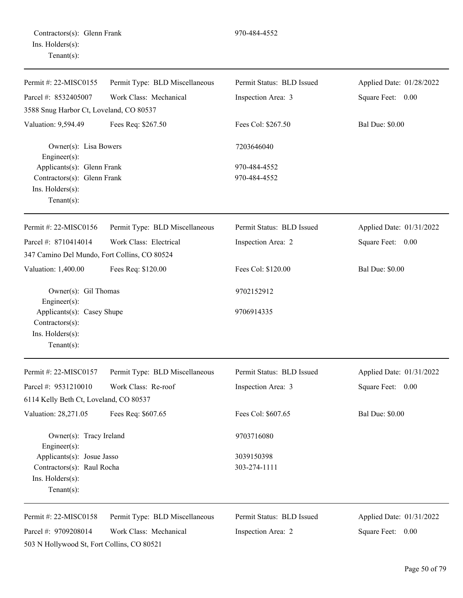| Permit #: 22-MISC0155                                                                               | Permit Type: BLD Miscellaneous | Permit Status: BLD Issued | Applied Date: 01/28/2022 |
|-----------------------------------------------------------------------------------------------------|--------------------------------|---------------------------|--------------------------|
| Parcel #: 8532405007                                                                                | Work Class: Mechanical         | Inspection Area: 3        | Square Feet: 0.00        |
| 3588 Snug Harbor Ct, Loveland, CO 80537                                                             |                                |                           |                          |
| Valuation: 9,594.49                                                                                 | Fees Req: \$267.50             | Fees Col: \$267.50        | <b>Bal Due: \$0.00</b>   |
| Owner(s): Lisa Bowers<br>Engineer(s):                                                               |                                | 7203646040                |                          |
| Applicants(s): Glenn Frank                                                                          |                                | 970-484-4552              |                          |
| Contractors(s): Glenn Frank                                                                         |                                | 970-484-4552              |                          |
| Ins. Holders(s):<br>Tenant $(s)$ :                                                                  |                                |                           |                          |
| Permit #: 22-MISC0156                                                                               | Permit Type: BLD Miscellaneous | Permit Status: BLD Issued | Applied Date: 01/31/2022 |
| Parcel #: 8710414014                                                                                | Work Class: Electrical         | Inspection Area: 2        | Square Feet: 0.00        |
| 347 Camino Del Mundo, Fort Collins, CO 80524                                                        |                                |                           |                          |
| Valuation: 1,400.00                                                                                 | Fees Req: \$120.00             | Fees Col: \$120.00        | <b>Bal Due: \$0.00</b>   |
| Owner(s): Gil Thomas                                                                                |                                | 9702152912                |                          |
| Engineer(s):<br>Applicants(s): Casey Shupe<br>Contractors(s):<br>Ins. Holders(s):<br>Tenant $(s)$ : |                                | 9706914335                |                          |
| Permit #: 22-MISC0157                                                                               | Permit Type: BLD Miscellaneous | Permit Status: BLD Issued | Applied Date: 01/31/2022 |
| Parcel #: 9531210010                                                                                | Work Class: Re-roof            | Inspection Area: 3        | Square Feet: 0.00        |
| 6114 Kelly Beth Ct, Loveland, CO 80537                                                              |                                |                           |                          |
| Valuation: 28,271.05                                                                                | Fees Req: \$607.65             | Fees Col: \$607.65        | <b>Bal Due: \$0.00</b>   |
| Owner(s): Tracy Ireland<br>Engineer(s):                                                             |                                | 9703716080                |                          |
| Applicants(s): Josue Jasso                                                                          |                                | 3039150398                |                          |
| Contractors(s): Raul Rocha                                                                          |                                | 303-274-1111              |                          |
| Ins. Holders(s):<br>Tenant $(s)$ :                                                                  |                                |                           |                          |
| Permit #: 22-MISC0158                                                                               | Permit Type: BLD Miscellaneous | Permit Status: BLD Issued | Applied Date: 01/31/2022 |
| Parcel #: 9709208014                                                                                | Work Class: Mechanical         | Inspection Area: 2        | Square Feet: 0.00        |
| 503 N Hollywood St, Fort Collins, CO 80521                                                          |                                |                           |                          |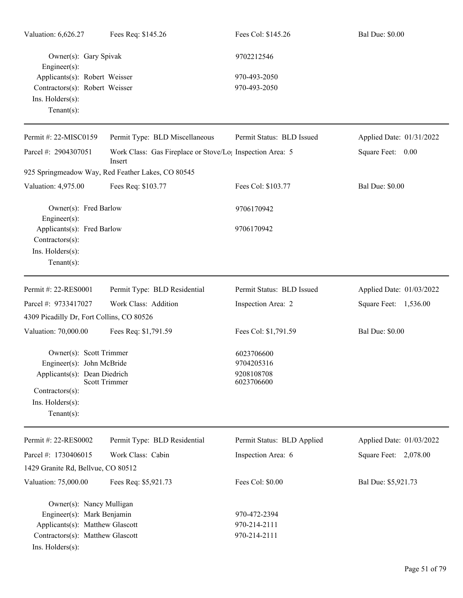| Valuation: 6,626.27                                                                | Fees Req: \$145.26                                                              | Fees Col: \$145.26         | <b>Bal Due: \$0.00</b>   |
|------------------------------------------------------------------------------------|---------------------------------------------------------------------------------|----------------------------|--------------------------|
| Owner(s): Gary Spivak<br>Engineer(s):                                              |                                                                                 | 9702212546                 |                          |
| Applicants(s): Robert Weisser                                                      |                                                                                 | 970-493-2050               |                          |
| Contractors(s): Robert Weisser                                                     |                                                                                 | 970-493-2050               |                          |
| Ins. Holders(s):<br>$Tenant(s)$ :                                                  |                                                                                 |                            |                          |
| Permit #: 22-MISC0159                                                              | Permit Type: BLD Miscellaneous                                                  | Permit Status: BLD Issued  | Applied Date: 01/31/2022 |
| Parcel #: 2904307051                                                               | Work Class: Gas Fireplace or Stove/Lo <sub>1</sub> Inspection Area: 5<br>Insert |                            | Square Feet: 0.00        |
|                                                                                    | 925 Springmeadow Way, Red Feather Lakes, CO 80545                               |                            |                          |
| Valuation: 4,975.00                                                                | Fees Req: \$103.77                                                              | Fees Col: \$103.77         | <b>Bal Due: \$0.00</b>   |
| Owner(s): Fred Barlow<br>Engineer(s):                                              |                                                                                 | 9706170942                 |                          |
| Applicants(s): Fred Barlow<br>Contractors(s):<br>Ins. Holders(s):<br>$Tenant(s)$ : |                                                                                 | 9706170942                 |                          |
| Permit #: 22-RES0001                                                               | Permit Type: BLD Residential                                                    | Permit Status: BLD Issued  | Applied Date: 01/03/2022 |
|                                                                                    |                                                                                 |                            |                          |
| Parcel #: 9733417027                                                               | Work Class: Addition                                                            | Inspection Area: 2         | Square Feet: 1,536.00    |
| 4309 Picadilly Dr, Fort Collins, CO 80526                                          |                                                                                 |                            |                          |
| Valuation: 70,000.00                                                               | Fees Req: \$1,791.59                                                            | Fees Col: \$1,791.59       | <b>Bal Due: \$0.00</b>   |
| Owner(s): Scott Trimmer                                                            |                                                                                 | 6023706600                 |                          |
| Engineer(s): John McBride                                                          |                                                                                 | 9704205316                 |                          |
| Applicants(s): Dean Diedrich                                                       |                                                                                 | 9208108708                 |                          |
| <b>Scott Trimmer</b><br>Contractors(s):                                            |                                                                                 | 6023706600                 |                          |
| Ins. Holders(s):                                                                   |                                                                                 |                            |                          |
| $Tenant(s)$ :                                                                      |                                                                                 |                            |                          |
| Permit #: 22-RES0002                                                               | Permit Type: BLD Residential                                                    | Permit Status: BLD Applied | Applied Date: 01/03/2022 |
| Parcel #: 1730406015                                                               | Work Class: Cabin                                                               | Inspection Area: 6         | Square Feet: 2,078.00    |
| 1429 Granite Rd, Bellvue, CO 80512                                                 |                                                                                 |                            |                          |
| Valuation: 75,000.00                                                               | Fees Req: \$5,921.73                                                            | Fees Col: \$0.00           | Bal Due: \$5,921.73      |
| Owner(s): Nancy Mulligan                                                           |                                                                                 |                            |                          |
| Engineer(s): Mark Benjamin                                                         |                                                                                 | 970-472-2394               |                          |
| Applicants(s): Matthew Glascott                                                    |                                                                                 | 970-214-2111               |                          |
| Contractors(s): Matthew Glascott                                                   |                                                                                 | 970-214-2111               |                          |
| Ins. Holders(s):                                                                   |                                                                                 |                            |                          |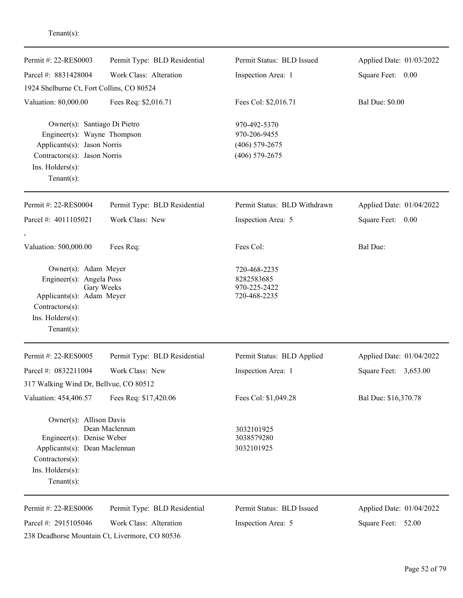| Permit #: 22-RES0003                                                                                                                                             | Permit Type: BLD Residential                                                                             | Permit Status: BLD Issued                                            | Applied Date: 01/03/2022                       |
|------------------------------------------------------------------------------------------------------------------------------------------------------------------|----------------------------------------------------------------------------------------------------------|----------------------------------------------------------------------|------------------------------------------------|
| Parcel #: 8831428004                                                                                                                                             | Work Class: Alteration                                                                                   | Inspection Area: 1                                                   | Square Feet: 0.00                              |
| 1924 Shelburne Ct, Fort Collins, CO 80524                                                                                                                        |                                                                                                          |                                                                      |                                                |
| Valuation: 80,000.00                                                                                                                                             | Fees Req: \$2,016.71                                                                                     | Fees Col: \$2,016.71                                                 | <b>Bal Due: \$0.00</b>                         |
| Owner(s): Santiago Di Pietro<br>Engineer(s): Wayne Thompson<br>Applicants(s): Jason Norris<br>Contractors(s): Jason Norris<br>Ins. Holders(s):<br>Tenant $(s)$ : |                                                                                                          | 970-492-5370<br>970-206-9455<br>$(406)$ 579-2675<br>$(406)$ 579-2675 |                                                |
| Permit #: 22-RES0004                                                                                                                                             | Permit Type: BLD Residential                                                                             | Permit Status: BLD Withdrawn                                         | Applied Date: 01/04/2022                       |
| Parcel #: 4011105021                                                                                                                                             | Work Class: New                                                                                          | Inspection Area: 5                                                   | Square Feet:<br>0.00                           |
| Valuation: 500,000.00                                                                                                                                            | Fees Req:                                                                                                | Fees Col:                                                            | <b>Bal Due:</b>                                |
| Owner(s): Adam Meyer<br>Engineer(s): Angela Poss<br>Applicants(s): Adam Meyer<br>Contractors(s):<br>Ins. Holders(s):<br>$Tenant(s)$ :                            | Gary Weeks                                                                                               | 720-468-2235<br>8282583685<br>970-225-2422<br>720-468-2235           |                                                |
| Permit #: 22-RES0005                                                                                                                                             | Permit Type: BLD Residential                                                                             | Permit Status: BLD Applied                                           | Applied Date: 01/04/2022                       |
| Parcel #: 0832211004                                                                                                                                             | Work Class: New                                                                                          | Inspection Area: 1                                                   | Square Feet:<br>3,653.00                       |
| 317 Walking Wind Dr, Bellvue, CO 80512                                                                                                                           |                                                                                                          |                                                                      |                                                |
| Valuation: 454,406.57                                                                                                                                            | Fees Req: \$17,420.06                                                                                    | Fees Col: \$1,049.28                                                 | Bal Due: \$16,370.78                           |
| Owner(s): Allison Davis<br>Engineer(s): Denise Weber<br>Applicants(s): Dean Maclennan<br>Contractors(s):<br>Ins. Holders(s):<br>Tenant $(s)$ :                   | Dean Maclennan                                                                                           | 3032101925<br>3038579280<br>3032101925                               |                                                |
| Permit #: 22-RES0006<br>Parcel #: 2915105046                                                                                                                     | Permit Type: BLD Residential<br>Work Class: Alteration<br>238 Deadhorse Mountain Ct, Livermore, CO 80536 | Permit Status: BLD Issued<br>Inspection Area: 5                      | Applied Date: 01/04/2022<br>Square Feet: 52.00 |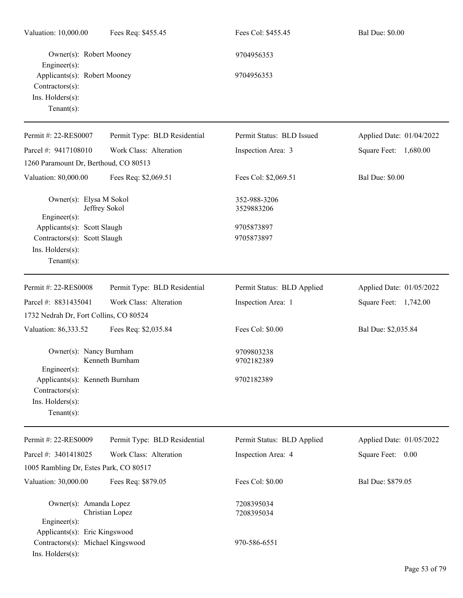| Valuation: 10,000.00                                                                                   | Fees Req: \$455.45           | Fees Col: \$455.45         | <b>Bal Due: \$0.00</b>   |
|--------------------------------------------------------------------------------------------------------|------------------------------|----------------------------|--------------------------|
| Owner(s): Robert Mooney<br>Engineer(s):                                                                |                              | 9704956353                 |                          |
| Applicants(s): Robert Mooney<br>Contractors(s):<br>Ins. Holders(s):<br>Tenant $(s)$ :                  |                              | 9704956353                 |                          |
| Permit #: 22-RES0007                                                                                   | Permit Type: BLD Residential | Permit Status: BLD Issued  | Applied Date: 01/04/2022 |
| Parcel #: 9417108010                                                                                   | Work Class: Alteration       | Inspection Area: 3         | Square Feet: 1,680.00    |
| 1260 Paramount Dr, Berthoud, CO 80513                                                                  |                              |                            |                          |
| Valuation: 80,000.00                                                                                   | Fees Req: \$2,069.51         | Fees Col: \$2,069.51       | <b>Bal Due: \$0.00</b>   |
| Owner(s): Elysa M Sokol<br>Engineer(s):                                                                | Jeffrey Sokol                | 352-988-3206<br>3529883206 |                          |
| Applicants(s): Scott Slaugh                                                                            |                              | 9705873897                 |                          |
| Contractors(s): Scott Slaugh                                                                           |                              | 9705873897                 |                          |
| Ins. Holders(s):<br>$Tenant(s)$ :                                                                      |                              |                            |                          |
| Permit #: 22-RES0008                                                                                   | Permit Type: BLD Residential | Permit Status: BLD Applied | Applied Date: 01/05/2022 |
| Parcel #: 8831435041                                                                                   | Work Class: Alteration       | Inspection Area: 1         | Square Feet: 1,742.00    |
| 1732 Nedrah Dr, Fort Collins, CO 80524                                                                 |                              |                            |                          |
| Valuation: 86,333.52                                                                                   | Fees Req: \$2,035.84         | Fees Col: \$0.00           | Bal Due: \$2,035.84      |
| Owner(s): Nancy Burnham<br>$Engineering(s)$ :                                                          | Kenneth Burnham              | 9709803238<br>9702182389   |                          |
| Applicants(s): Kenneth Burnham<br>Contractors(s):<br>Ins. Holders(s):<br>Tenant $(s)$ :                |                              | 9702182389                 |                          |
| Permit #: 22-RES0009                                                                                   | Permit Type: BLD Residential | Permit Status: BLD Applied | Applied Date: 01/05/2022 |
| Parcel #: 3401418025                                                                                   | Work Class: Alteration       | Inspection Area: 4         | Square Feet: 0.00        |
| 1005 Rambling Dr, Estes Park, CO 80517                                                                 |                              |                            |                          |
| Valuation: 30,000.00                                                                                   | Fees Req: \$879.05           | Fees Col: \$0.00           | Bal Due: \$879.05        |
| Owner(s): Amanda Lopez                                                                                 | Christian Lopez              | 7208395034<br>7208395034   |                          |
| Engineer(s):<br>Applicants(s): Eric Kingswood<br>Contractors(s): Michael Kingswood<br>Ins. Holders(s): |                              | 970-586-6551               |                          |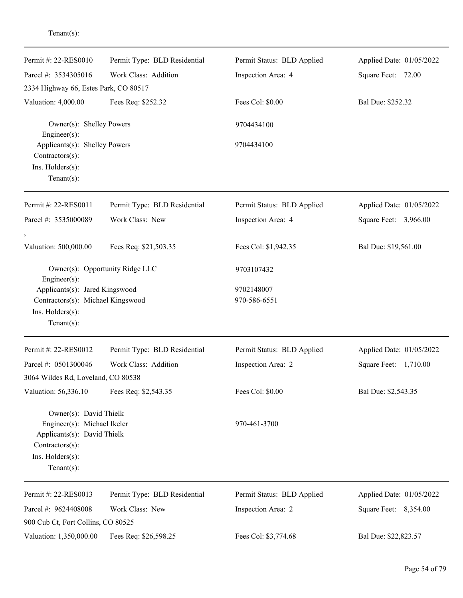| Permit #: 22-RES0010                                                                                                                          | Permit Type: BLD Residential | Permit Status: BLD Applied | Applied Date: 01/05/2022 |
|-----------------------------------------------------------------------------------------------------------------------------------------------|------------------------------|----------------------------|--------------------------|
| Parcel #: 3534305016                                                                                                                          | Work Class: Addition         | Inspection Area: 4         | Square Feet:<br>72.00    |
| 2334 Highway 66, Estes Park, CO 80517                                                                                                         |                              |                            |                          |
| Valuation: 4,000.00                                                                                                                           | Fees Req: \$252.32           | Fees Col: \$0.00           | Bal Due: \$252.32        |
| Owner(s): Shelley Powers<br>$Engineering(s)$ :                                                                                                |                              | 9704434100                 |                          |
| Applicants(s): Shelley Powers<br>Contractors(s):                                                                                              |                              | 9704434100                 |                          |
| Ins. Holders(s):<br>Tenant $(s)$ :                                                                                                            |                              |                            |                          |
| Permit #: 22-RES0011                                                                                                                          | Permit Type: BLD Residential | Permit Status: BLD Applied | Applied Date: 01/05/2022 |
| Parcel #: 3535000089                                                                                                                          | Work Class: New              | Inspection Area: 4         | Square Feet: 3,966.00    |
| Valuation: 500,000.00                                                                                                                         | Fees Req: \$21,503.35        | Fees Col: \$1,942.35       | Bal Due: \$19,561.00     |
| Owner(s): Opportunity Ridge LLC<br>Engineer(s):                                                                                               |                              | 9703107432                 |                          |
| Applicants(s): Jared Kingswood                                                                                                                |                              | 9702148007                 |                          |
| Contractors(s): Michael Kingswood<br>Ins. Holders(s):<br>Tenant $(s)$ :                                                                       |                              | 970-586-6551               |                          |
| Permit #: 22-RES0012                                                                                                                          | Permit Type: BLD Residential | Permit Status: BLD Applied | Applied Date: 01/05/2022 |
| Parcel #: 0501300046                                                                                                                          | Work Class: Addition         | Inspection Area: 2         | Square Feet: 1,710.00    |
| 3064 Wildes Rd, Loveland, CO 80538                                                                                                            |                              |                            |                          |
| Valuation: 56,336.10                                                                                                                          | Fees Req: \$2,543.35         | Fees Col: \$0.00           | Bal Due: \$2,543.35      |
| Owner(s): David Thielk<br>Engineer(s): Michael Ikeler<br>Applicants(s): David Thielk<br>Contractors(s):<br>Ins. Holders(s):<br>Tenant $(s)$ : |                              | 970-461-3700               |                          |
| Permit #: 22-RES0013                                                                                                                          | Permit Type: BLD Residential | Permit Status: BLD Applied | Applied Date: 01/05/2022 |
| Parcel #: 9624408008<br>900 Cub Ct, Fort Collins, CO 80525                                                                                    | Work Class: New              | Inspection Area: 2         | Square Feet: 8,354.00    |
| Valuation: 1,350,000.00                                                                                                                       | Fees Req: \$26,598.25        | Fees Col: \$3,774.68       | Bal Due: \$22,823.57     |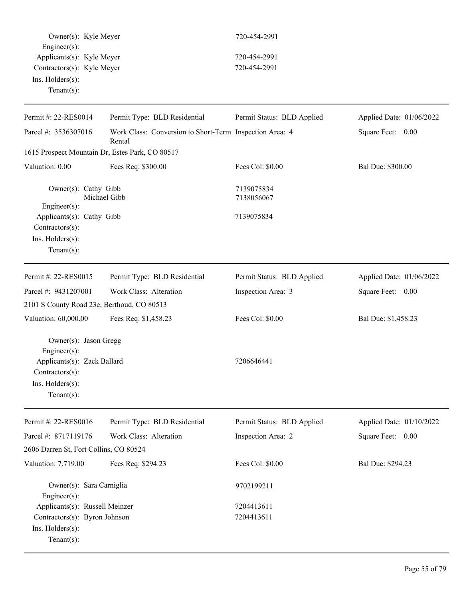| Owner(s): Kyle Meyer<br>Engineer(s):<br>Applicants(s): Kyle Meyer<br>Contractors(s): Kyle Meyer |                                                                   | 720-454-2991               |                          |  |
|-------------------------------------------------------------------------------------------------|-------------------------------------------------------------------|----------------------------|--------------------------|--|
|                                                                                                 |                                                                   | 720-454-2991               |                          |  |
|                                                                                                 |                                                                   | 720-454-2991               |                          |  |
| Ins. Holders(s):                                                                                |                                                                   |                            |                          |  |
| $Tenant(s)$ :                                                                                   |                                                                   |                            |                          |  |
|                                                                                                 |                                                                   |                            |                          |  |
| Permit #: 22-RES0014                                                                            | Permit Type: BLD Residential                                      | Permit Status: BLD Applied | Applied Date: 01/06/2022 |  |
| Parcel #: 3536307016                                                                            | Work Class: Conversion to Short-Term Inspection Area: 4<br>Rental |                            | Square Feet: 0.00        |  |
| 1615 Prospect Mountain Dr, Estes Park, CO 80517                                                 |                                                                   |                            |                          |  |
| Valuation: 0.00                                                                                 | Fees Req: \$300.00                                                | Fees Col: \$0.00           | Bal Due: \$300.00        |  |
| Owner(s): Cathy Gibb                                                                            | Michael Gibb                                                      | 7139075834<br>7138056067   |                          |  |
| Engineer(s):<br>Applicants(s): Cathy Gibb                                                       |                                                                   | 7139075834                 |                          |  |
| Contractors(s):                                                                                 |                                                                   |                            |                          |  |
| Ins. Holders(s):                                                                                |                                                                   |                            |                          |  |
| $Tenant(s)$ :                                                                                   |                                                                   |                            |                          |  |
| Permit #: 22-RES0015                                                                            | Permit Type: BLD Residential                                      | Permit Status: BLD Applied | Applied Date: 01/06/2022 |  |
| Parcel #: 9431207001                                                                            | Work Class: Alteration                                            | Inspection Area: 3         | Square Feet: 0.00        |  |
| 2101 S County Road 23e, Berthoud, CO 80513                                                      |                                                                   |                            |                          |  |
| Valuation: 60,000.00                                                                            | Fees Req: \$1,458.23                                              | Fees Col: \$0.00           | Bal Due: \$1,458.23      |  |
| Owner(s): Jason Gregg                                                                           |                                                                   |                            |                          |  |
| Engineer(s):                                                                                    |                                                                   |                            |                          |  |
| Applicants(s): Zack Ballard<br>$Contractors(s)$ :                                               |                                                                   | 7206646441                 |                          |  |
| Ins. Holders(s):                                                                                |                                                                   |                            |                          |  |
| Tenant $(s)$ :                                                                                  |                                                                   |                            |                          |  |
|                                                                                                 |                                                                   |                            |                          |  |
| Permit #: 22-RES0016                                                                            | Permit Type: BLD Residential                                      | Permit Status: BLD Applied | Applied Date: 01/10/2022 |  |
| Parcel #: 8717119176                                                                            | Work Class: Alteration                                            | Inspection Area: 2         | Square Feet: 0.00        |  |
| 2606 Darren St, Fort Collins, CO 80524                                                          |                                                                   |                            |                          |  |
| Valuation: 7,719.00                                                                             | Fees Req: \$294.23                                                | Fees Col: \$0.00           | Bal Due: \$294.23        |  |
| Owner(s): Sara Carniglia                                                                        |                                                                   | 9702199211                 |                          |  |
| Engineer(s):                                                                                    |                                                                   |                            |                          |  |
| Applicants(s): Russell Meinzer                                                                  |                                                                   | 7204413611                 |                          |  |
| Contractors(s): Byron Johnson                                                                   |                                                                   | 7204413611                 |                          |  |
| Ins. Holders(s):                                                                                |                                                                   |                            |                          |  |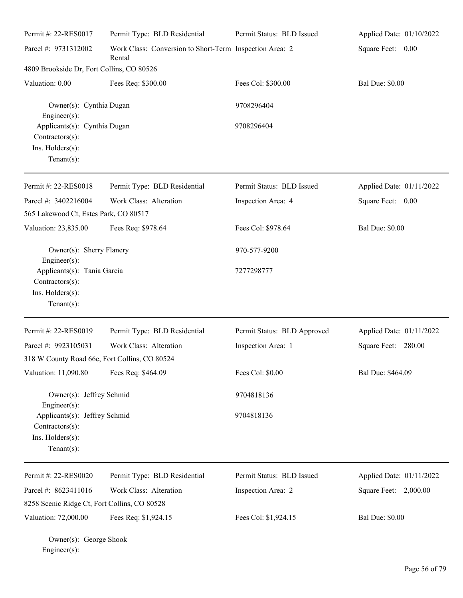| Permit #: 22-RES0017                                                                                 | Permit Type: BLD Residential                                      | Permit Status: BLD Issued   | Applied Date: 01/10/2022 |
|------------------------------------------------------------------------------------------------------|-------------------------------------------------------------------|-----------------------------|--------------------------|
| Parcel #: 9731312002                                                                                 | Work Class: Conversion to Short-Term Inspection Area: 2<br>Rental |                             | Square Feet: 0.00        |
| 4809 Brookside Dr, Fort Collins, CO 80526                                                            |                                                                   |                             |                          |
| Valuation: 0.00                                                                                      | Fees Req: \$300.00                                                | Fees Col: \$300.00          | <b>Bal Due: \$0.00</b>   |
| Owner(s): Cynthia Dugan<br>Engineer(s):                                                              |                                                                   | 9708296404                  |                          |
| Applicants(s): Cynthia Dugan<br>Contractors(s):<br>Ins. Holders(s):<br>Tenant $(s)$ :                |                                                                   | 9708296404                  |                          |
| Permit #: 22-RES0018                                                                                 | Permit Type: BLD Residential                                      | Permit Status: BLD Issued   | Applied Date: 01/11/2022 |
| Parcel #: 3402216004                                                                                 | Work Class: Alteration                                            | Inspection Area: 4          | Square Feet: 0.00        |
| 565 Lakewood Ct, Estes Park, CO 80517                                                                |                                                                   |                             |                          |
| Valuation: 23,835.00                                                                                 | Fees Req: \$978.64                                                | Fees Col: \$978.64          | <b>Bal Due: \$0.00</b>   |
| Owner(s): Sherry Flanery                                                                             |                                                                   | 970-577-9200                |                          |
| Engineer(s):<br>Applicants(s): Tania Garcia<br>Contractors(s):<br>Ins. Holders(s):<br>Tenant $(s)$ : |                                                                   | 7277298777                  |                          |
| Permit #: 22-RES0019                                                                                 | Permit Type: BLD Residential                                      | Permit Status: BLD Approved | Applied Date: 01/11/2022 |
| Parcel #: 9923105031                                                                                 | Work Class: Alteration                                            | Inspection Area: 1          | Square Feet: 280.00      |
| 318 W County Road 66e, Fort Collins, CO 80524                                                        |                                                                   |                             |                          |
| Valuation: 11,090.80                                                                                 | Fees Req: \$464.09                                                | Fees Col: \$0.00            | Bal Due: \$464.09        |
| Owner(s): Jeffrey Schmid<br>Engineer(s):                                                             |                                                                   | 9704818136                  |                          |
| Applicants(s): Jeffrey Schmid<br>Contractors(s):<br>Ins. Holders(s):<br>Tenant $(s)$ :               |                                                                   | 9704818136                  |                          |
| Permit #: 22-RES0020                                                                                 | Permit Type: BLD Residential                                      | Permit Status: BLD Issued   | Applied Date: 01/11/2022 |
| Parcel #: 8623411016                                                                                 | Work Class: Alteration                                            | Inspection Area: 2          | Square Feet: 2,000.00    |
| 8258 Scenic Ridge Ct, Fort Collins, CO 80528                                                         |                                                                   |                             |                          |
| Valuation: 72,000.00                                                                                 | Fees Req: \$1,924.15                                              | Fees Col: \$1,924.15        | <b>Bal Due: \$0.00</b>   |

Owner(s): George Shook Engineer(s):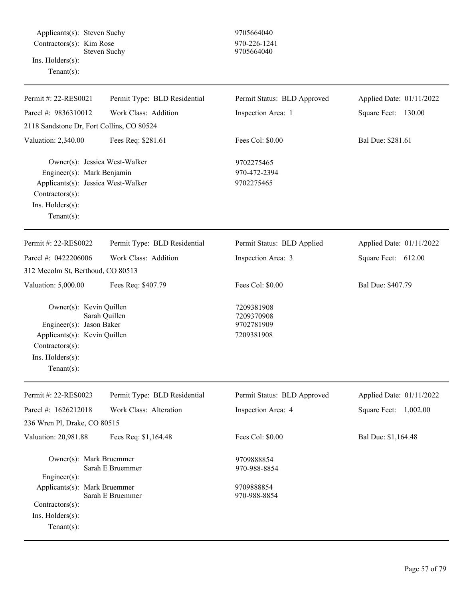Applicants(s): Steven Suchy 9705664040  $Contractors(s):$  Kim Rose 970-226-1241 Steven Suchy 9705664040 Ins. Holders(s):

| Permit #: 22-RES0021                                                                                                                                       | Permit Type: BLD Residential | Permit Status: BLD Approved                          | Applied Date: 01/11/2022 |
|------------------------------------------------------------------------------------------------------------------------------------------------------------|------------------------------|------------------------------------------------------|--------------------------|
| Parcel #: 9836310012                                                                                                                                       | Work Class: Addition         | Inspection Area: 1                                   | Square Feet: 130.00      |
| 2118 Sandstone Dr, Fort Collins, CO 80524                                                                                                                  |                              |                                                      |                          |
| Valuation: 2,340.00                                                                                                                                        | Fees Req: \$281.61           | Fees Col: \$0.00                                     | Bal Due: \$281.61        |
| Owner(s): Jessica West-Walker<br>Engineer(s): Mark Benjamin<br>Applicants(s): Jessica West-Walker<br>Contractors(s):<br>Ins. Holders(s):<br>Tenant $(s)$ : |                              | 9702275465<br>970-472-2394<br>9702275465             |                          |
| Permit #: 22-RES0022                                                                                                                                       | Permit Type: BLD Residential | Permit Status: BLD Applied                           | Applied Date: 01/11/2022 |
| Parcel #: 0422206006                                                                                                                                       | Work Class: Addition         | Inspection Area: 3                                   | Square Feet: 612.00      |
| 312 Mccolm St, Berthoud, CO 80513                                                                                                                          |                              |                                                      |                          |
| Valuation: 5,000.00                                                                                                                                        | Fees Req: \$407.79           | Fees Col: \$0.00                                     | Bal Due: \$407.79        |
| Owner(s): Kevin Quillen<br>Engineer(s): Jason Baker<br>Applicants(s): Kevin Quillen<br>Contractors(s):<br>Ins. Holders(s):<br>Tenant $(s)$ :               | Sarah Quillen                | 7209381908<br>7209370908<br>9702781909<br>7209381908 |                          |
| Permit #: 22-RES0023                                                                                                                                       | Permit Type: BLD Residential | Permit Status: BLD Approved                          | Applied Date: 01/11/2022 |
| Parcel #: 1626212018                                                                                                                                       | Work Class: Alteration       | Inspection Area: 4                                   | 1,002.00<br>Square Feet: |
| 236 Wren Pl, Drake, CO 80515                                                                                                                               |                              |                                                      |                          |
| Valuation: 20,981.88                                                                                                                                       | Fees Req: \$1,164.48         | Fees Col: \$0.00                                     | Bal Due: \$1,164.48      |
| Owner(s): Mark Bruemmer<br>$Engineering(s)$ :                                                                                                              | Sarah E Bruemmer             | 9709888854<br>970-988-8854                           |                          |
| Applicants(s): Mark Bruemmer<br>$Contractors(s)$ :<br>Ins. Holders(s):<br>Tenant $(s)$ :                                                                   | Sarah E Bruemmer             | 9709888854<br>970-988-8854                           |                          |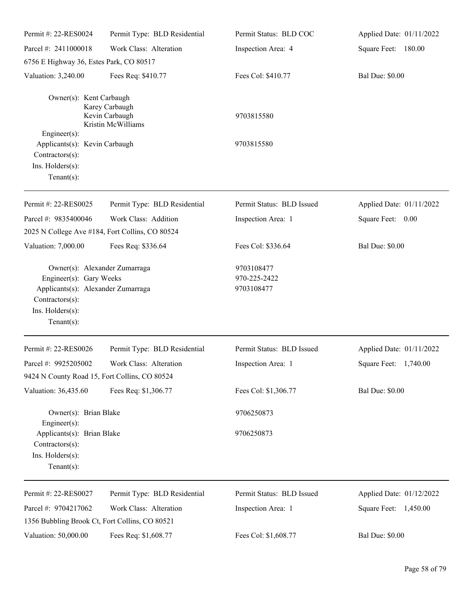| Permit #: 22-RES0024                                                                                                                                    | Permit Type: BLD Residential                                            | Permit Status: BLD COC                   | Applied Date: 01/11/2022 |
|---------------------------------------------------------------------------------------------------------------------------------------------------------|-------------------------------------------------------------------------|------------------------------------------|--------------------------|
| Parcel #: 2411000018                                                                                                                                    | Work Class: Alteration                                                  | Inspection Area: 4                       | Square Feet: 180.00      |
| 6756 E Highway 36, Estes Park, CO 80517                                                                                                                 |                                                                         |                                          |                          |
| Valuation: 3,240.00                                                                                                                                     | Fees Req: \$410.77                                                      | Fees Col: \$410.77                       | <b>Bal Due: \$0.00</b>   |
| Owner(s): Kent Carbaugh                                                                                                                                 | Karey Carbaugh<br>Kevin Carbaugh<br>Kristin McWilliams                  | 9703815580                               |                          |
| Engineer(s):<br>Applicants(s): Kevin Carbaugh<br>Contractors(s):<br>Ins. Holders(s):<br>Tenant $(s)$ :                                                  |                                                                         | 9703815580                               |                          |
| Permit #: 22-RES0025                                                                                                                                    | Permit Type: BLD Residential                                            | Permit Status: BLD Issued                | Applied Date: 01/11/2022 |
| Parcel #: 9835400046                                                                                                                                    | Work Class: Addition<br>2025 N College Ave #184, Fort Collins, CO 80524 | Inspection Area: 1                       | Square Feet: 0.00        |
| Valuation: 7,000.00                                                                                                                                     | Fees Req: \$336.64                                                      | Fees Col: \$336.64                       | <b>Bal Due: \$0.00</b>   |
| Owner(s): Alexander Zumarraga<br>Engineer(s): Gary Weeks<br>Applicants(s): Alexander Zumarraga<br>Contractors(s):<br>Ins. Holders(s):<br>Tenant $(s)$ : |                                                                         | 9703108477<br>970-225-2422<br>9703108477 |                          |
| Permit #: 22-RES0026                                                                                                                                    | Permit Type: BLD Residential                                            | Permit Status: BLD Issued                | Applied Date: 01/11/2022 |
| Parcel #: 9925205002                                                                                                                                    | Work Class: Alteration                                                  | Inspection Area: 1                       | Square Feet: 1,740.00    |
| 9424 N County Road 15, Fort Collins, CO 80524                                                                                                           |                                                                         |                                          |                          |
| Valuation: 36,435.60                                                                                                                                    | Fees Req: \$1,306.77                                                    | Fees Col: \$1,306.77                     | <b>Bal Due: \$0.00</b>   |
| Owner(s): Brian Blake<br>Engineer(s):                                                                                                                   |                                                                         | 9706250873                               |                          |
| Applicants(s): Brian Blake<br>Contractors(s):<br>Ins. Holders(s):<br>Tenant $(s)$ :                                                                     |                                                                         | 9706250873                               |                          |
| Permit #: 22-RES0027                                                                                                                                    | Permit Type: BLD Residential                                            | Permit Status: BLD Issued                | Applied Date: 01/12/2022 |
| Parcel #: 9704217062                                                                                                                                    | Work Class: Alteration                                                  | Inspection Area: 1                       | Square Feet: 1,450.00    |
| 1356 Bubbling Brook Ct, Fort Collins, CO 80521                                                                                                          |                                                                         |                                          |                          |
| Valuation: 50,000.00                                                                                                                                    | Fees Req: \$1,608.77                                                    | Fees Col: \$1,608.77                     | <b>Bal Due: \$0.00</b>   |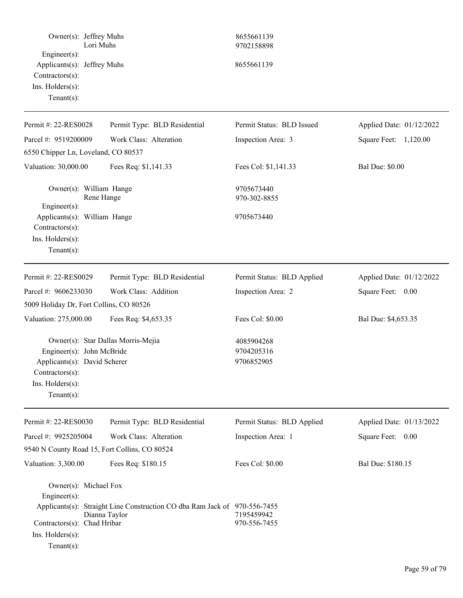| Owner(s): Jeffrey Muhs<br>Engineer(s):<br>Applicants(s): Jeffrey Muhs                                             | Lori Muhs                                                                                  | 8655661139<br>9702158898<br>8655661139 |                          |
|-------------------------------------------------------------------------------------------------------------------|--------------------------------------------------------------------------------------------|----------------------------------------|--------------------------|
| Contractors(s):<br>Ins. Holders(s):<br>Tenant $(s)$ :                                                             |                                                                                            |                                        |                          |
| Permit #: 22-RES0028                                                                                              | Permit Type: BLD Residential                                                               | Permit Status: BLD Issued              | Applied Date: 01/12/2022 |
| Parcel #: 9519200009                                                                                              | Work Class: Alteration                                                                     | Inspection Area: 3                     | Square Feet: 1,120.00    |
| 6550 Chipper Ln, Loveland, CO 80537                                                                               |                                                                                            |                                        |                          |
| Valuation: 30,000.00                                                                                              | Fees Req: \$1,141.33                                                                       | Fees Col: \$1,141.33                   | <b>Bal Due: \$0.00</b>   |
| Owner(s): William Hange<br>Engineer(s):                                                                           | Rene Hange                                                                                 | 9705673440<br>970-302-8855             |                          |
| Applicants(s): William Hange<br>Contractors(s):<br>Ins. Holders(s):<br>$Tenant(s)$ :                              |                                                                                            | 9705673440                             |                          |
| Permit #: 22-RES0029                                                                                              | Permit Type: BLD Residential                                                               | Permit Status: BLD Applied             | Applied Date: 01/12/2022 |
| Parcel #: 9606233030                                                                                              | Work Class: Addition                                                                       | Inspection Area: 2                     | Square Feet: 0.00        |
| 5009 Holiday Dr, Fort Collins, CO 80526                                                                           |                                                                                            |                                        |                          |
| Valuation: 275,000.00                                                                                             | Fees Req: \$4,653.35                                                                       | Fees Col: \$0.00                       | Bal Due: \$4,653.35      |
| Engineer(s): John McBride<br>Applicants(s): David Scherer<br>Contractors(s):<br>Ins. Holders(s):<br>$Tenant(s)$ : | Owner(s): Star Dallas Morris-Mejia                                                         | 4085904268<br>9704205316<br>9706852905 |                          |
| Permit #: 22-RES0030                                                                                              | Permit Type: BLD Residential                                                               | Permit Status: BLD Applied             | Applied Date: 01/13/2022 |
| Parcel #: 9925205004                                                                                              | Work Class: Alteration                                                                     | Inspection Area: 1                     | Square Feet: 0.00        |
|                                                                                                                   | 9540 N County Road 15, Fort Collins, CO 80524                                              |                                        |                          |
| Valuation: 3,300.00                                                                                               | Fees Req: \$180.15                                                                         | Fees Col: \$0.00                       | Bal Due: \$180.15        |
| Owner(s): Michael Fox<br>Engineer(s):<br>Contractors(s): Chad Hribar<br>Ins. Holders(s):<br>$Tenant(s)$ :         | Applicants(s): Straight Line Construction CO dba Ram Jack of 970-556-7455<br>Dianna Taylor | 7195459942<br>970-556-7455             |                          |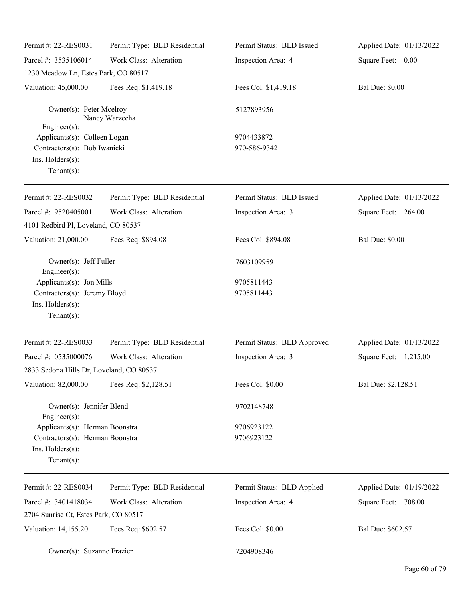| Permit #: 22-RES0031                                                                                   | Permit Type: BLD Residential | Permit Status: BLD Issued   | Applied Date: 01/13/2022 |
|--------------------------------------------------------------------------------------------------------|------------------------------|-----------------------------|--------------------------|
| Parcel #: 3535106014                                                                                   | Work Class: Alteration       | Inspection Area: 4          | Square Feet: 0.00        |
| 1230 Meadow Ln, Estes Park, CO 80517                                                                   |                              |                             |                          |
| Valuation: 45,000.00                                                                                   | Fees Req: \$1,419.18         | Fees Col: \$1,419.18        | <b>Bal Due: \$0.00</b>   |
| Owner(s): Peter Mcelroy                                                                                | Nancy Warzecha               | 5127893956                  |                          |
| $Engineering(s)$ :<br>Applicants(s): Colleen Logan                                                     |                              | 9704433872                  |                          |
| Contractors(s): Bob Iwanicki                                                                           |                              | 970-586-9342                |                          |
| Ins. Holders(s):<br>Tenant $(s)$ :                                                                     |                              |                             |                          |
| Permit #: 22-RES0032                                                                                   | Permit Type: BLD Residential | Permit Status: BLD Issued   | Applied Date: 01/13/2022 |
| Parcel #: 9520405001                                                                                   | Work Class: Alteration       | Inspection Area: 3          | Square Feet: 264.00      |
| 4101 Redbird Pl, Loveland, CO 80537                                                                    |                              |                             |                          |
| Valuation: 21,000.00                                                                                   | Fees Req: \$894.08           | Fees Col: \$894.08          | <b>Bal Due: \$0.00</b>   |
| Owner(s): Jeff Fuller<br>Engineer(s):                                                                  |                              | 7603109959                  |                          |
| Applicants(s): Jon Mills<br>Contractors(s): Jeremy Bloyd<br>Ins. Holders(s):<br>Tenant $(s)$ :         |                              | 9705811443<br>9705811443    |                          |
| Permit #: 22-RES0033                                                                                   | Permit Type: BLD Residential | Permit Status: BLD Approved | Applied Date: 01/13/2022 |
| Parcel #: 0535000076                                                                                   | Work Class: Alteration       | Inspection Area: 3          | Square Feet: 1,215.00    |
| 2833 Sedona Hills Dr, Loveland, CO 80537                                                               |                              |                             |                          |
| Valuation: 82,000.00                                                                                   | Fees Req: \$2,128.51         | Fees Col: \$0.00            | Bal Due: \$2,128.51      |
| Owner(s): Jennifer Blend<br>Engineer(s):                                                               |                              | 9702148748                  |                          |
| Applicants(s): Herman Boonstra<br>Contractors(s): Herman Boonstra<br>Ins. Holders(s):<br>$Tenant(s)$ : |                              | 9706923122<br>9706923122    |                          |
| Permit #: 22-RES0034                                                                                   | Permit Type: BLD Residential | Permit Status: BLD Applied  | Applied Date: 01/19/2022 |
| Parcel #: 3401418034                                                                                   | Work Class: Alteration       | Inspection Area: 4          | Square Feet: 708.00      |
| 2704 Sunrise Ct, Estes Park, CO 80517                                                                  |                              |                             |                          |
| Valuation: 14,155.20                                                                                   | Fees Req: \$602.57           | Fees Col: \$0.00            | Bal Due: \$602.57        |
| Owner(s): Suzanne Frazier                                                                              |                              | 7204908346                  |                          |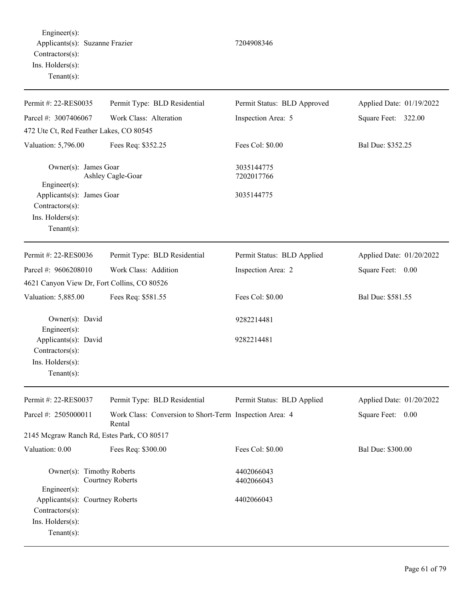Engineer(s): Applicants(s): Suzanne Frazier 7204908346 Contractors(s): Ins. Holders(s): Tenant(s):

| Permit #: 22-RES0035                                                                    | Permit Type: BLD Residential                                      | Permit Status: BLD Approved | Applied Date: 01/19/2022 |
|-----------------------------------------------------------------------------------------|-------------------------------------------------------------------|-----------------------------|--------------------------|
| Parcel #: 3007406067                                                                    | Work Class: Alteration                                            | Inspection Area: 5          | Square Feet: 322.00      |
| 472 Ute Ct, Red Feather Lakes, CO 80545                                                 |                                                                   |                             |                          |
| Valuation: 5,796.00                                                                     | Fees Req: \$352.25                                                | Fees Col: \$0.00            | Bal Due: \$352.25        |
| Owner(s): James Goar<br>Engineer(s):                                                    | Ashley Cagle-Goar                                                 | 3035144775<br>7202017766    |                          |
| Applicants(s): James Goar<br>Contractors(s):<br>Ins. Holders(s):<br>$Tenant(s)$ :       |                                                                   | 3035144775                  |                          |
| Permit #: 22-RES0036                                                                    | Permit Type: BLD Residential                                      | Permit Status: BLD Applied  | Applied Date: 01/20/2022 |
| Parcel #: 9606208010                                                                    | Work Class: Addition                                              | Inspection Area: 2          | Square Feet: 0.00        |
| 4621 Canyon View Dr, Fort Collins, CO 80526                                             |                                                                   |                             |                          |
| Valuation: 5,885.00                                                                     | Fees Req: \$581.55                                                | Fees Col: \$0.00            | Bal Due: \$581.55        |
| Owner(s): David<br>Engineer(s):                                                         |                                                                   | 9282214481                  |                          |
| Applicants(s): David                                                                    |                                                                   | 9282214481                  |                          |
| Contractors(s):<br>Ins. Holders(s):                                                     |                                                                   |                             |                          |
| $Tenant(s)$ :                                                                           |                                                                   |                             |                          |
| Permit #: 22-RES0037                                                                    | Permit Type: BLD Residential                                      | Permit Status: BLD Applied  | Applied Date: 01/20/2022 |
| Parcel #: 2505000011                                                                    | Work Class: Conversion to Short-Term Inspection Area: 4<br>Rental |                             | Square Feet: 0.00        |
| 2145 Mcgraw Ranch Rd, Estes Park, CO 80517                                              |                                                                   |                             |                          |
| Valuation: 0.00                                                                         | Fees Req: \$300.00                                                | Fees Col: \$0.00            | Bal Due: \$300.00        |
| Owner(s): Timothy Roberts<br>Engineer(s):                                               | <b>Courtney Roberts</b>                                           | 4402066043<br>4402066043    |                          |
| Applicants(s): Courtney Roberts<br>Contractors(s):<br>Ins. Holders(s):<br>$Tenant(s)$ : |                                                                   | 4402066043                  |                          |

# Page 61 of 79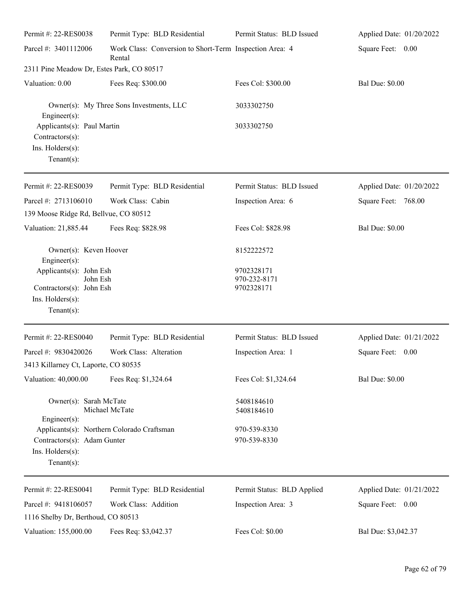| Permit #: 22-RES0038                                                                                  | Permit Type: BLD Residential                                      | Permit Status: BLD Issued                | Applied Date: 01/20/2022 |
|-------------------------------------------------------------------------------------------------------|-------------------------------------------------------------------|------------------------------------------|--------------------------|
| Parcel #: 3401112006                                                                                  | Work Class: Conversion to Short-Term Inspection Area: 4<br>Rental |                                          | Square Feet: 0.00        |
| 2311 Pine Meadow Dr, Estes Park, CO 80517                                                             |                                                                   |                                          |                          |
| Valuation: 0.00                                                                                       | Fees Req: \$300.00                                                | Fees Col: \$300.00                       | <b>Bal Due: \$0.00</b>   |
| $Engineering(s)$ :                                                                                    | Owner(s): My Three Sons Investments, LLC                          | 3033302750                               |                          |
| Applicants(s): Paul Martin<br>Contractors(s):<br>Ins. Holders(s):<br>Tenant $(s)$ :                   |                                                                   | 3033302750                               |                          |
| Permit #: 22-RES0039                                                                                  | Permit Type: BLD Residential                                      | Permit Status: BLD Issued                | Applied Date: 01/20/2022 |
| Parcel #: 2713106010                                                                                  | Work Class: Cabin                                                 | Inspection Area: 6                       | Square Feet: 768.00      |
| 139 Moose Ridge Rd, Bellvue, CO 80512                                                                 |                                                                   |                                          |                          |
| Valuation: 21,885.44                                                                                  | Fees Req: \$828.98                                                | Fees Col: \$828.98                       | <b>Bal Due: \$0.00</b>   |
| Owner(s): Keven Hoover<br>$Engineer(s)$ :                                                             |                                                                   | 8152222572                               |                          |
| Applicants(s): John Esh<br>John Esh<br>Contractors(s): John Esh<br>Ins. Holders(s):<br>Tenant $(s)$ : |                                                                   | 9702328171<br>970-232-8171<br>9702328171 |                          |
| Permit #: 22-RES0040                                                                                  | Permit Type: BLD Residential                                      | Permit Status: BLD Issued                | Applied Date: 01/21/2022 |
| Parcel #: 9830420026                                                                                  | Work Class: Alteration                                            | Inspection Area: 1                       | Square Feet:<br>0.00     |
| 3413 Killarney Ct, Laporte, CO 80535                                                                  |                                                                   |                                          |                          |
| Valuation: 40,000.00                                                                                  | Fees Req: \$1,324.64                                              | Fees Col: \$1,324.64                     | <b>Bal Due: \$0.00</b>   |
| Owner(s): Sarah McTate<br>$Engineering(s)$ :                                                          | Michael McTate                                                    | 5408184610<br>5408184610                 |                          |
| Contractors(s): Adam Gunter<br>Ins. Holders(s):<br>Tenant $(s)$ :                                     | Applicants(s): Northern Colorado Craftsman                        | 970-539-8330<br>970-539-8330             |                          |
| Permit #: 22-RES0041                                                                                  | Permit Type: BLD Residential                                      | Permit Status: BLD Applied               | Applied Date: 01/21/2022 |
| Parcel #: 9418106057<br>1116 Shelby Dr, Berthoud, CO 80513                                            | Work Class: Addition                                              | Inspection Area: 3                       | Square Feet: 0.00        |
| Valuation: 155,000.00                                                                                 | Fees Req: \$3,042.37                                              | Fees Col: \$0.00                         | Bal Due: \$3,042.37      |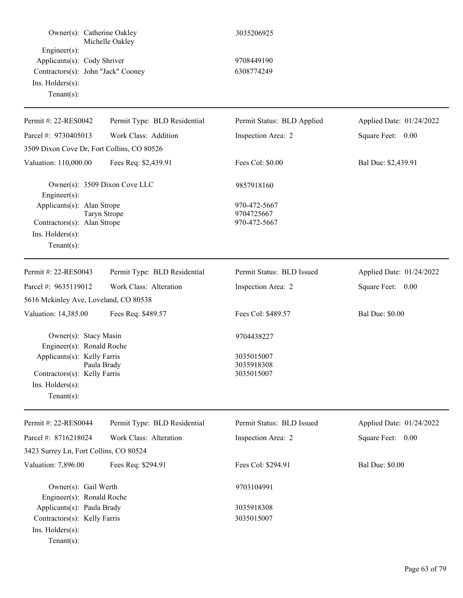| Owner(s): Catherine Oakley                                                                                                                              | Michelle Oakley               | 3035206925                                           |                          |
|---------------------------------------------------------------------------------------------------------------------------------------------------------|-------------------------------|------------------------------------------------------|--------------------------|
| Engineer(s):<br>Applicants(s): Cody Shriver<br>Contractors(s): John "Jack" Cooney<br>Ins. Holders(s):<br>Tenant $(s)$ :                                 |                               | 9708449190<br>6308774249                             |                          |
| Permit #: 22-RES0042                                                                                                                                    | Permit Type: BLD Residential  | Permit Status: BLD Applied                           | Applied Date: 01/24/2022 |
| Parcel #: 9730405013                                                                                                                                    | Work Class: Addition          | Inspection Area: 2                                   | Square Feet: 0.00        |
| 3509 Dixon Cove Dr, Fort Collins, CO 80526                                                                                                              |                               |                                                      |                          |
| Valuation: 110,000.00                                                                                                                                   | Fees Req: \$2,439.91          | Fees Col: \$0.00                                     | Bal Due: \$2,439.91      |
| $Engineering(s)$ :                                                                                                                                      | Owner(s): 3509 Dixon Cove LLC | 9857918160                                           |                          |
| Applicants(s): Alan Strope<br>Contractors(s): Alan Strope<br>Ins. $H$ olders $(s)$ :<br>Tenant $(s)$ :                                                  | <b>Taryn Strope</b>           | 970-472-5667<br>9704725667<br>970-472-5667           |                          |
| Permit #: 22-RES0043                                                                                                                                    | Permit Type: BLD Residential  | Permit Status: BLD Issued                            | Applied Date: 01/24/2022 |
| Parcel #: 9635119012                                                                                                                                    | Work Class: Alteration        | Inspection Area: 2                                   | Square Feet: 0.00        |
| 5616 Mckinley Ave, Loveland, CO 80538                                                                                                                   |                               |                                                      |                          |
| Valuation: 14,385.00                                                                                                                                    | Fees Req: \$489.57            | Fees Col: \$489.57                                   | <b>Bal Due: \$0.00</b>   |
| Owner(s): Stacy Masin<br>Engineer(s): Ronald Roche<br>Applicants(s): Kelly Farris<br>Contractors(s): Kelly Farris<br>Ins. Holders(s):<br>Tenant $(s)$ : | Paula Brady                   | 9704438227<br>3035015007<br>3035918308<br>3035015007 |                          |
| Permit #: 22-RES0044                                                                                                                                    | Permit Type: BLD Residential  | Permit Status: BLD Issued                            | Applied Date: 01/24/2022 |
| Parcel #: 8716218024                                                                                                                                    | Work Class: Alteration        | Inspection Area: 2                                   | Square Feet: 0.00        |
| 3423 Surrey Ln, Fort Collins, CO 80524                                                                                                                  |                               |                                                      |                          |
| Valuation: 7,896.00                                                                                                                                     | Fees Req: \$294.91            | Fees Col: \$294.91                                   | <b>Bal Due: \$0.00</b>   |
| Owner(s): Gail Werth<br>Engineer(s): Ronald Roche                                                                                                       |                               | 9703104991                                           |                          |
| Applicants(s): Paula Brady                                                                                                                              |                               | 3035918308                                           |                          |
| Contractors(s): Kelly Farris<br>Ins. Holders(s):<br>Tenant $(s)$ :                                                                                      |                               | 3035015007                                           |                          |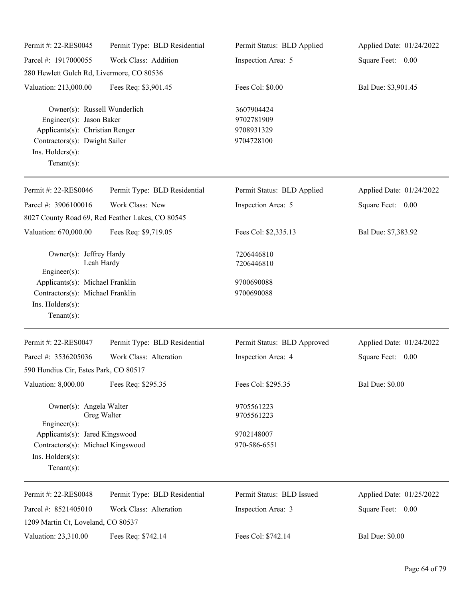| Permit #: 22-RES0045                                                                                                                                                      | Permit Type: BLD Residential                     | Permit Status: BLD Applied                           | Applied Date: 01/24/2022 |
|---------------------------------------------------------------------------------------------------------------------------------------------------------------------------|--------------------------------------------------|------------------------------------------------------|--------------------------|
| Parcel #: 1917000055                                                                                                                                                      | Work Class: Addition                             | Inspection Area: 5                                   | Square Feet: 0.00        |
| 280 Hewlett Gulch Rd, Livermore, CO 80536                                                                                                                                 |                                                  |                                                      |                          |
| Valuation: 213,000.00                                                                                                                                                     | Fees Req: \$3,901.45                             | Fees Col: \$0.00                                     | Bal Due: \$3,901.45      |
| Owner(s): Russell Wunderlich<br>Engineer(s): Jason Baker<br>Applicants(s): Christian Renger<br>Contractors(s): Dwight Sailer<br>Ins. $H$ olders $(s)$ :<br>Tenant $(s)$ : |                                                  | 3607904424<br>9702781909<br>9708931329<br>9704728100 |                          |
| Permit #: 22-RES0046                                                                                                                                                      | Permit Type: BLD Residential                     | Permit Status: BLD Applied                           | Applied Date: 01/24/2022 |
| Parcel #: 3906100016                                                                                                                                                      | Work Class: New                                  | Inspection Area: 5                                   | Square Feet: 0.00        |
|                                                                                                                                                                           | 8027 County Road 69, Red Feather Lakes, CO 80545 |                                                      |                          |
| Valuation: 670,000.00                                                                                                                                                     | Fees Req: \$9,719.05                             | Fees Col: \$2,335.13                                 | Bal Due: \$7,383.92      |
| Owner(s): Jeffrey Hardy<br>Leah Hardy<br>Engineer(s):                                                                                                                     |                                                  | 7206446810<br>7206446810                             |                          |
| Applicants(s): Michael Franklin                                                                                                                                           |                                                  | 9700690088                                           |                          |
| Contractors(s): Michael Franklin                                                                                                                                          |                                                  | 9700690088                                           |                          |
| Ins. $H$ olders $(s)$ :                                                                                                                                                   |                                                  |                                                      |                          |
| Tenant $(s)$ :                                                                                                                                                            |                                                  |                                                      |                          |
| Permit #: 22-RES0047                                                                                                                                                      | Permit Type: BLD Residential                     | Permit Status: BLD Approved                          | Applied Date: 01/24/2022 |
| Parcel #: 3536205036                                                                                                                                                      | Work Class: Alteration                           | Inspection Area: 4                                   | Square Feet:<br>$0.00\,$ |
| 590 Hondius Cir, Estes Park, CO 80517                                                                                                                                     |                                                  |                                                      |                          |
| Valuation: 8,000.00                                                                                                                                                       | Fees Req: \$295.35                               | Fees Col: \$295.35                                   | <b>Bal Due: \$0.00</b>   |
| Owner(s): Angela Walter<br>Greg Walter<br>Engineer(s):                                                                                                                    |                                                  | 9705561223<br>9705561223                             |                          |
| Applicants(s): Jared Kingswood                                                                                                                                            |                                                  | 9702148007                                           |                          |
| Contractors(s): Michael Kingswood                                                                                                                                         |                                                  | 970-586-6551                                         |                          |
| Ins. Holders(s):<br>Tenant $(s)$ :                                                                                                                                        |                                                  |                                                      |                          |
| Permit #: 22-RES0048                                                                                                                                                      | Permit Type: BLD Residential                     | Permit Status: BLD Issued                            | Applied Date: 01/25/2022 |
| Parcel #: 8521405010                                                                                                                                                      | Work Class: Alteration                           | Inspection Area: 3                                   | Square Feet: 0.00        |
| 1209 Martin Ct, Loveland, CO 80537                                                                                                                                        |                                                  |                                                      |                          |
| Valuation: 23,310.00                                                                                                                                                      | Fees Req: \$742.14                               | Fees Col: \$742.14                                   | <b>Bal Due: \$0.00</b>   |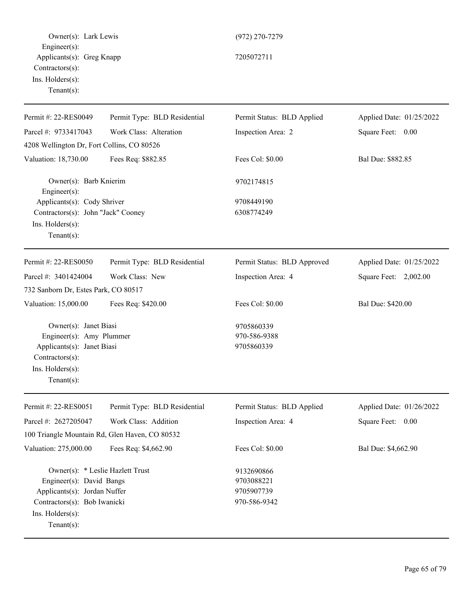Owner(s): Lark Lewis (972) 270-7279 Engineer(s): Applicants(s): Greg Knapp 7205072711 Contractors(s): Ins. Holders(s): Tenant(s): Permit #: 22-RES0049 Parcel #: 9733417043 Permit Type: BLD Residential Work Class: Alteration Permit Status: BLD Applied Inspection Area: 2 Applied Date: 01/25/2022 Square Feet: 0.00 4208 Wellington Dr, Fort Collins, CO 80526 Valuation: 18,730.00 Fees Req: \$882.85 Fees Col: \$0.00 Bal Due: \$882.85 Owner(s): Barb Knierim 9702174815 Engineer(s): Applicants(s): Cody Shriver 9708449190 Contractors(s): John "Jack" Cooney 6308774249 Ins. Holders(s): Tenant(s): Permit #: 22-RES0050 Parcel #: 3401424004 Permit Type: BLD Residential Work Class: New Permit Status: BLD Approved Inspection Area: 4 Applied Date: 01/25/2022 Square Feet: 2,002.00 732 Sanborn Dr, Estes Park, CO 80517 Valuation: 15,000.00 Fees Req: \$420.00 Fees Col: \$0.00 Bal Due: \$420.00 Owner(s): Janet Biasi 9705860339 Engineer(s): Amy Plummer 970-586-9388 Applicants(s): Janet Biasi 9705860339 Contractors(s): Ins. Holders(s): Tenant(s): Permit #: 22-RES0051 Parcel #: 2627205047 Permit Type: BLD Residential Work Class: Addition Permit Status: BLD Applied Inspection Area: 4 Applied Date: 01/26/2022 Square Feet: 0.00 100 Triangle Mountain Rd, Glen Haven, CO 80532 Valuation: 275,000.00 Fees Req: \$4,662.90 Fees Col: \$0.00 Bal Due: \$4,662.90 Owner(s): \* Leslie Hazlett Trust 9132690866 Engineer(s): David Bangs 9703088221 Applicants(s): Jordan Nuffer 9705907739 Contractors(s): Bob Iwanicki 970-586-9342 Ins. Holders(s): Tenant(s):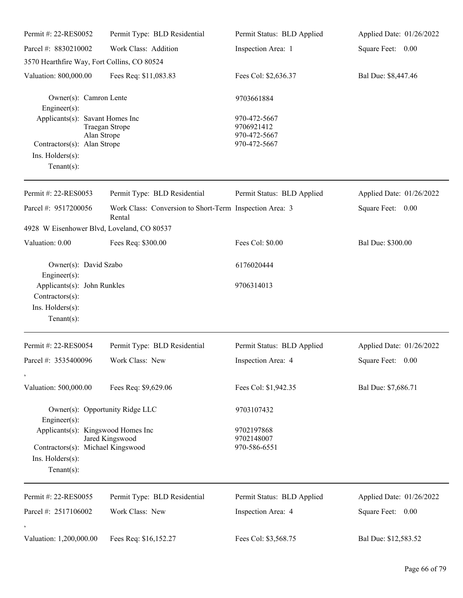| Permit #: 22-RES0052                                                                 | Permit Type: BLD Residential                                      | Permit Status: BLD Applied                 | Applied Date: 01/26/2022 |
|--------------------------------------------------------------------------------------|-------------------------------------------------------------------|--------------------------------------------|--------------------------|
| Parcel #: 8830210002                                                                 | Work Class: Addition                                              | Inspection Area: 1                         | Square Feet: 0.00        |
| 3570 Hearthfire Way, Fort Collins, CO 80524                                          |                                                                   |                                            |                          |
| Valuation: 800,000.00                                                                | Fees Req: \$11,083.83                                             | Fees Col: \$2,636.37                       | Bal Due: \$8,447.46      |
| Owner(s): Camron Lente<br>$Engineering(s)$ :                                         |                                                                   | 9703661884                                 |                          |
| Applicants(s): Savant Homes Inc<br>Alan Strope                                       | Traegan Strope                                                    | 970-472-5667<br>9706921412<br>970-472-5667 |                          |
| Contractors(s): Alan Strope<br>Ins. Holders(s):<br>Tenant $(s)$ :                    |                                                                   | 970-472-5667                               |                          |
| Permit #: 22-RES0053                                                                 | Permit Type: BLD Residential                                      | Permit Status: BLD Applied                 | Applied Date: 01/26/2022 |
| Parcel #: 9517200056                                                                 | Work Class: Conversion to Short-Term Inspection Area: 3<br>Rental |                                            | Square Feet: 0.00        |
| 4928 W Eisenhower Blvd, Loveland, CO 80537                                           |                                                                   |                                            |                          |
| Valuation: 0.00                                                                      | Fees Req: \$300.00                                                | Fees Col: \$0.00                           | Bal Due: \$300.00        |
| Owner(s): David Szabo<br>$Engineering(s)$ :                                          |                                                                   | 6176020444                                 |                          |
| Applicants(s): John Runkles<br>Contractors(s):<br>Ins. Holders(s):<br>Tenant $(s)$ : |                                                                   | 9706314013                                 |                          |
| Permit #: 22-RES0054                                                                 | Permit Type: BLD Residential                                      | Permit Status: BLD Applied                 | Applied Date: 01/26/2022 |
| Parcel #: 3535400096                                                                 | Work Class: New                                                   | Inspection Area: 4                         | Square Feet: 0.00        |
| Valuation: 500,000.00                                                                | Fees Req: \$9,629.06                                              | Fees Col: \$1,942.35                       | Bal Due: \$7,686.71      |
| Engineer(s):                                                                         | Owner(s): Opportunity Ridge LLC                                   | 9703107432                                 |                          |
| Applicants(s): Kingswood Homes Inc                                                   |                                                                   | 9702197868                                 |                          |
| Contractors(s): Michael Kingswood                                                    | Jared Kingswood                                                   | 9702148007<br>970-586-6551                 |                          |
| Ins. Holders(s):<br>Tenant $(s)$ :                                                   |                                                                   |                                            |                          |
| Permit #: 22-RES0055                                                                 | Permit Type: BLD Residential                                      | Permit Status: BLD Applied                 | Applied Date: 01/26/2022 |
| Parcel #: 2517106002                                                                 | Work Class: New                                                   | Inspection Area: 4                         | Square Feet:<br>0.00     |
| Valuation: 1,200,000.00                                                              | Fees Req: \$16,152.27                                             | Fees Col: \$3,568.75                       | Bal Due: \$12,583.52     |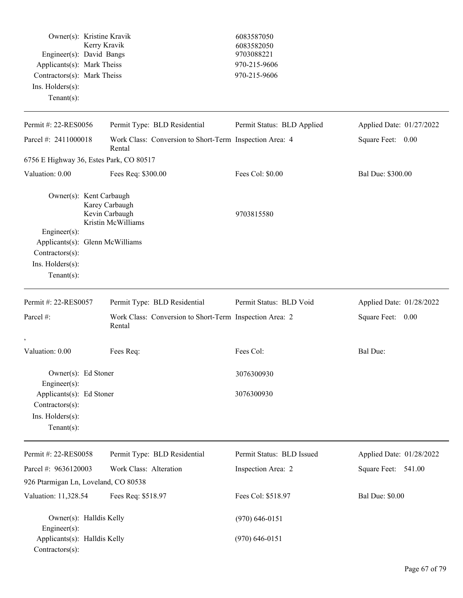| Owner(s): Kristine Kravik<br>Engineer(s): David Bangs<br>Applicants(s): Mark Theiss<br>Contractors(s): Mark Theiss<br>$Ins.$ Holders $(s)$ :<br>Tenant $(s)$ : | Kerry Kravik                                                      | 6083587050<br>6083582050<br>9703088221<br>970-215-9606<br>970-215-9606 |                          |
|----------------------------------------------------------------------------------------------------------------------------------------------------------------|-------------------------------------------------------------------|------------------------------------------------------------------------|--------------------------|
| Permit #: 22-RES0056                                                                                                                                           | Permit Type: BLD Residential                                      | Permit Status: BLD Applied                                             | Applied Date: 01/27/2022 |
| Parcel #: 2411000018                                                                                                                                           | Work Class: Conversion to Short-Term Inspection Area: 4<br>Rental |                                                                        | Square Feet: 0.00        |
| 6756 E Highway 36, Estes Park, CO 80517                                                                                                                        |                                                                   |                                                                        |                          |
| Valuation: 0.00                                                                                                                                                | Fees Req: \$300.00                                                | Fees Col: \$0.00                                                       | Bal Due: \$300.00        |
| Owner(s): Kent Carbaugh<br>Engineer(s):                                                                                                                        | Karey Carbaugh<br>Kevin Carbaugh<br>Kristin McWilliams            | 9703815580                                                             |                          |
| Applicants(s): Glenn McWilliams<br>Contractors(s):<br>Ins. Holders(s):<br>Tenant $(s)$ :                                                                       |                                                                   |                                                                        |                          |
| Permit #: 22-RES0057                                                                                                                                           | Permit Type: BLD Residential                                      | Permit Status: BLD Void                                                | Applied Date: 01/28/2022 |
| Parcel #:                                                                                                                                                      | Work Class: Conversion to Short-Term Inspection Area: 2<br>Rental |                                                                        | Square Feet: 0.00        |
| Valuation: 0.00                                                                                                                                                | Fees Req:                                                         | Fees Col:                                                              | <b>Bal Due:</b>          |
| Owner(s): Ed Stoner<br>Engineer(s):                                                                                                                            |                                                                   | 3076300930                                                             |                          |
| Applicants(s): Ed Stoner<br>Contractors(s):<br>Ins. Holders(s):<br>Tenant $(s)$ :                                                                              |                                                                   | 3076300930                                                             |                          |
| Permit #: 22-RES0058                                                                                                                                           | Permit Type: BLD Residential                                      | Permit Status: BLD Issued                                              | Applied Date: 01/28/2022 |
| Parcel #: 9636120003                                                                                                                                           | Work Class: Alteration                                            | Inspection Area: 2                                                     | Square Feet: 541.00      |
| 926 Ptarmigan Ln, Loveland, CO 80538                                                                                                                           |                                                                   |                                                                        |                          |
| Valuation: 11,328.54                                                                                                                                           | Fees Req: \$518.97                                                | Fees Col: \$518.97                                                     | <b>Bal Due: \$0.00</b>   |
| Owner(s): Halldis Kelly<br>Engineer(s):<br>Applicants(s): Halldis Kelly<br>Contractors(s):                                                                     |                                                                   | $(970) 646 - 0151$<br>$(970)$ 646-0151                                 |                          |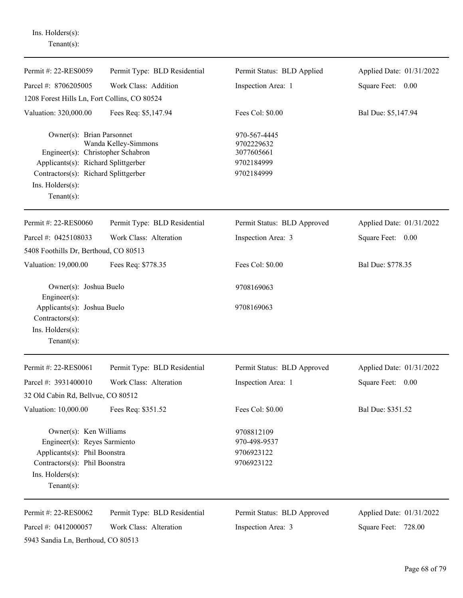Ins. Holders(s): Tenant(s):

| Permit #: 22-RES0059                                                                                                                                                                | Permit Type: BLD Residential                           | Permit Status: BLD Applied                                           | Applied Date: 01/31/2022                           |
|-------------------------------------------------------------------------------------------------------------------------------------------------------------------------------------|--------------------------------------------------------|----------------------------------------------------------------------|----------------------------------------------------|
| Parcel #: 8706205005                                                                                                                                                                | Work Class: Addition                                   | Inspection Area: 1                                                   | Square Feet: 0.00                                  |
| 1208 Forest Hills Ln, Fort Collins, CO 80524                                                                                                                                        |                                                        |                                                                      |                                                    |
| Valuation: 320,000.00                                                                                                                                                               | Fees Req: \$5,147.94                                   | Fees Col: \$0.00                                                     | Bal Due: \$5,147.94                                |
| Owner(s): Brian Parsonnet<br>Engineer(s): Christopher Schabron<br>Applicants(s): Richard Splittgerber<br>Contractors(s): Richard Splittgerber<br>Ins. Holders(s):<br>Tenant $(s)$ : | Wanda Kelley-Simmons                                   | 970-567-4445<br>9702229632<br>3077605661<br>9702184999<br>9702184999 |                                                    |
| Permit #: 22-RES0060                                                                                                                                                                | Permit Type: BLD Residential                           | Permit Status: BLD Approved                                          | Applied Date: 01/31/2022                           |
| Parcel #: 0425108033                                                                                                                                                                | Work Class: Alteration                                 | Inspection Area: 3                                                   | Square Feet: 0.00                                  |
| 5408 Foothills Dr, Berthoud, CO 80513                                                                                                                                               |                                                        |                                                                      |                                                    |
| Valuation: 19,000.00                                                                                                                                                                | Fees Req: \$778.35                                     | Fees Col: \$0.00                                                     | Bal Due: \$778.35                                  |
| Owner(s): Joshua Buelo<br>Engineer(s):                                                                                                                                              |                                                        | 9708169063                                                           |                                                    |
| Applicants(s): Joshua Buelo<br>Contractors(s):<br>Ins. Holders(s):<br>Tenant $(s)$ :                                                                                                |                                                        | 9708169063                                                           |                                                    |
| Permit #: 22-RES0061                                                                                                                                                                | Permit Type: BLD Residential                           | Permit Status: BLD Approved                                          | Applied Date: 01/31/2022                           |
| Parcel #: 3931400010                                                                                                                                                                | Work Class: Alteration                                 | Inspection Area: 1                                                   | Square Feet:<br>0.00                               |
| 32 Old Cabin Rd, Bellvue, CO 80512                                                                                                                                                  |                                                        |                                                                      |                                                    |
| Valuation: 10,000.00                                                                                                                                                                | Fees Req: \$351.52                                     | Fees Col: \$0.00                                                     | Bal Due: \$351.52                                  |
| Owner(s): Ken Williams<br>Engineer(s): Reyes Sarmiento<br>Applicants(s): Phil Boonstra<br>Contractors(s): Phil Boonstra<br>Ins. Holders(s):<br>Tenant $(s)$ :                       |                                                        | 9708812109<br>970-498-9537<br>9706923122<br>9706923122               |                                                    |
| Permit #: 22-RES0062<br>Parcel #: 0412000057<br>5943 Sandia Ln, Berthoud, CO 80513                                                                                                  | Permit Type: BLD Residential<br>Work Class: Alteration | Permit Status: BLD Approved<br>Inspection Area: 3                    | Applied Date: 01/31/2022<br>Square Feet:<br>728.00 |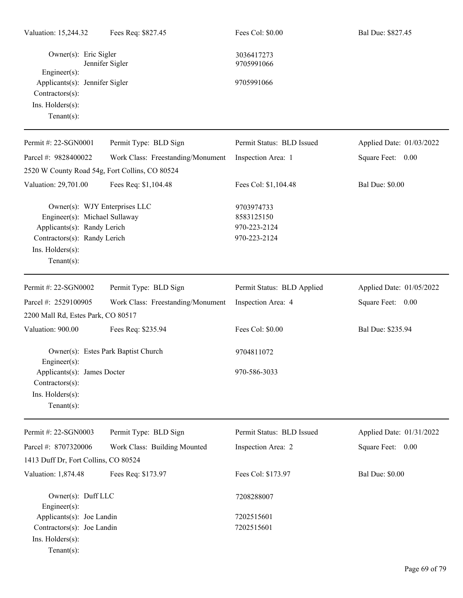| Valuation: 15,244.32                                                                             | Fees Req: \$827.45                                             | Fees Col: \$0.00                                         | Bal Due: \$827.45        |
|--------------------------------------------------------------------------------------------------|----------------------------------------------------------------|----------------------------------------------------------|--------------------------|
| Owner(s): Eric Sigler<br>$Engineering(s)$ :                                                      | Jennifer Sigler                                                | 3036417273<br>9705991066                                 |                          |
| Applicants(s): Jennifer Sigler<br>Contractors(s):<br>Ins. Holders(s):<br>Tenant $(s)$ :          |                                                                | 9705991066                                               |                          |
| Permit #: 22-SGN0001                                                                             | Permit Type: BLD Sign                                          | Permit Status: BLD Issued                                | Applied Date: 01/03/2022 |
| Parcel #: 9828400022                                                                             | Work Class: Freestanding/Monument                              | Inspection Area: 1                                       | Square Feet: 0.00        |
|                                                                                                  | 2520 W County Road 54g, Fort Collins, CO 80524                 |                                                          |                          |
| Valuation: 29,701.00                                                                             | Fees Req: \$1,104.48                                           | Fees Col: \$1,104.48                                     | <b>Bal Due: \$0.00</b>   |
| Applicants(s): Randy Lerich<br>Contractors(s): Randy Lerich<br>Ins. Holders(s):<br>$Tenant(s)$ : | Owner(s): WJY Enterprises LLC<br>Engineer(s): Michael Sullaway | 9703974733<br>8583125150<br>970-223-2124<br>970-223-2124 |                          |
| Permit #: 22-SGN0002                                                                             | Permit Type: BLD Sign                                          | Permit Status: BLD Applied                               | Applied Date: 01/05/2022 |
| Parcel #: 2529100905                                                                             | Work Class: Freestanding/Monument                              | Inspection Area: 4                                       | Square Feet: 0.00        |
| 2200 Mall Rd, Estes Park, CO 80517                                                               |                                                                |                                                          |                          |
| Valuation: 900.00                                                                                | Fees Req: \$235.94                                             | Fees Col: \$0.00                                         | Bal Due: \$235.94        |
| $Engineering(s)$ :                                                                               | Owner(s): Estes Park Baptist Church                            | 9704811072                                               |                          |
| Applicants(s): James Docter<br>Contractors(s):<br>Ins. Holders(s):<br>$Tenant(s)$ :              |                                                                | 970-586-3033                                             |                          |
| Permit #: 22-SGN0003                                                                             | Permit Type: BLD Sign                                          | Permit Status: BLD Issued                                | Applied Date: 01/31/2022 |
| Parcel #: 8707320006<br>1413 Duff Dr, Fort Collins, CO 80524                                     | Work Class: Building Mounted                                   | Inspection Area: 2                                       | Square Feet: 0.00        |
| Valuation: 1,874.48                                                                              | Fees Req: \$173.97                                             | Fees Col: \$173.97                                       | <b>Bal Due: \$0.00</b>   |
| Owner(s): Duff LLC<br>Engineer(s):                                                               |                                                                | 7208288007                                               |                          |
| Applicants(s): Joe Landin<br>Contractors(s): Joe Landin<br>Ins. Holders(s):<br>Tenant $(s)$ :    |                                                                | 7202515601<br>7202515601                                 |                          |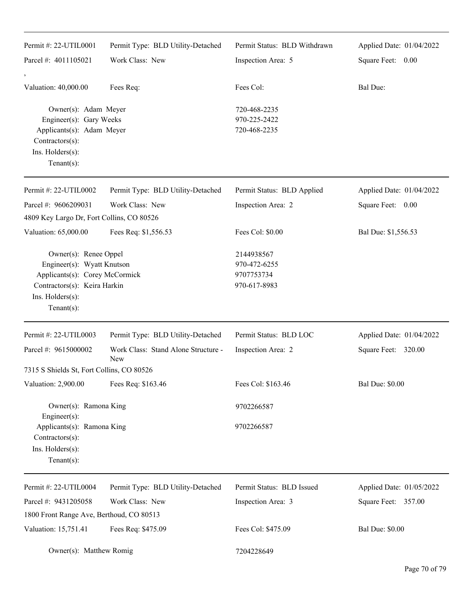| Permit #: 22-UTIL0001                                                                                                                                       | Permit Type: BLD Utility-Detached                 | Permit Status: BLD Withdrawn                             | Applied Date: 01/04/2022 |
|-------------------------------------------------------------------------------------------------------------------------------------------------------------|---------------------------------------------------|----------------------------------------------------------|--------------------------|
| Parcel #: 4011105021                                                                                                                                        | Work Class: New                                   | Inspection Area: 5                                       | Square Feet: 0.00        |
|                                                                                                                                                             |                                                   |                                                          |                          |
| Valuation: 40,000.00                                                                                                                                        | Fees Req:                                         | Fees Col:                                                | Bal Due:                 |
| Owner(s): Adam Meyer<br>Engineer(s): Gary Weeks<br>Applicants(s): Adam Meyer<br>Contractors(s):<br>Ins. Holders(s):<br>Tenant $(s)$ :                       |                                                   | 720-468-2235<br>970-225-2422<br>720-468-2235             |                          |
| Permit #: 22-UTIL0002                                                                                                                                       | Permit Type: BLD Utility-Detached                 | Permit Status: BLD Applied                               | Applied Date: 01/04/2022 |
| Parcel #: 9606209031                                                                                                                                        | Work Class: New                                   | Inspection Area: 2                                       | Square Feet: 0.00        |
| 4809 Key Largo Dr, Fort Collins, CO 80526                                                                                                                   |                                                   |                                                          |                          |
| Valuation: 65,000.00                                                                                                                                        | Fees Req: \$1,556.53                              | Fees Col: \$0.00                                         | Bal Due: \$1,556.53      |
| Owner(s): Renee Oppel<br>Engineer(s): Wyatt Knutson<br>Applicants(s): Corey McCormick<br>Contractors(s): Keira Harkin<br>Ins. Holders(s):<br>Tenant $(s)$ : |                                                   | 2144938567<br>970-472-6255<br>9707753734<br>970-617-8983 |                          |
| Permit #: 22-UTIL0003                                                                                                                                       | Permit Type: BLD Utility-Detached                 | Permit Status: BLD LOC                                   | Applied Date: 01/04/2022 |
| Parcel #: 9615000002                                                                                                                                        | Work Class: Stand Alone Structure -<br><b>New</b> | Inspection Area: 2                                       | Square Feet: 320.00      |
| 7315 S Shields St, Fort Collins, CO 80526                                                                                                                   |                                                   |                                                          |                          |
| Valuation: 2,900.00                                                                                                                                         | Fees Req: \$163.46                                | Fees Col: \$163.46                                       | <b>Bal Due: \$0.00</b>   |
| Owner(s): Ramona King<br>Engineer(s):                                                                                                                       |                                                   | 9702266587                                               |                          |
| Applicants(s): Ramona King<br>Contractors(s):<br>Ins. Holders(s):<br>Tenant $(s)$ :                                                                         |                                                   | 9702266587                                               |                          |
| Permit #: 22-UTIL0004                                                                                                                                       | Permit Type: BLD Utility-Detached                 | Permit Status: BLD Issued                                | Applied Date: 01/05/2022 |
| Parcel #: 9431205058<br>1800 Front Range Ave, Berthoud, CO 80513                                                                                            | Work Class: New                                   | Inspection Area: 3                                       | Square Feet: 357.00      |
| Valuation: 15,751.41                                                                                                                                        | Fees Req: \$475.09                                | Fees Col: \$475.09                                       | <b>Bal Due: \$0.00</b>   |
| Owner(s): Matthew Romig                                                                                                                                     |                                                   | 7204228649                                               |                          |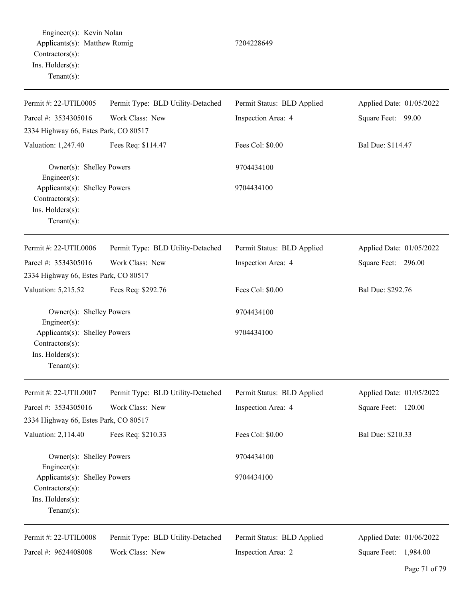Engineer(s): Kevin Nolan Applicants(s): Matthew Romig 7204228649 Contractors(s): Ins. Holders(s): Tenant(s):

Permit #: 22-UTIL0005 Parcel #: 3534305016 Permit Type: BLD Utility-Detached Work Class: New Permit Status: BLD Applied Inspection Area: 4 Applied Date: 01/05/2022 Square Feet: 99.00 2334 Highway 66, Estes Park, CO 80517 Valuation: 1,247.40 Fees Req: \$114.47 Fees Col: \$0.00 Bal Due: \$114.47 Owner(s): Shelley Powers 9704434100 Engineer(s): Applicants(s): Shelley Powers 9704434100 Contractors(s): Ins. Holders(s): Tenant(s): Permit #: 22-UTIL0006 Parcel #: 3534305016 Permit Type: BLD Utility-Detached Work Class: New Permit Status: BLD Applied Inspection Area: 4 Applied Date: 01/05/2022 Square Feet: 296.00 2334 Highway 66, Estes Park, CO 80517 Valuation: 5,215.52 Fees Req: \$292.76 Fees Col: \$0.00 Bal Due: \$292.76 Owner(s): Shelley Powers 9704434100 Engineer(s): Applicants(s): Shelley Powers 9704434100 Contractors(s): Ins. Holders(s): Tenant(s): Permit #: 22-UTIL0007 Parcel #: 3534305016 Permit Type: BLD Utility-Detached Work Class: New Permit Status: BLD Applied Inspection Area: 4 Applied Date: 01/05/2022 Square Feet: 120.00 2334 Highway 66, Estes Park, CO 80517 Valuation: 2,114.40 Fees Req: \$210.33 Fees Col: \$0.00 Bal Due: \$210.33 Owner(s): Shelley Powers 9704434100 Engineer(s): Applicants(s): Shelley Powers 9704434100 Contractors(s): Ins. Holders(s): Tenant(s): Permit #: 22-UTIL0008 Parcel #: 9624408008 Permit Type: BLD Utility-Detached Work Class: New Permit Status: BLD Applied Inspection Area: 2 Applied Date: 01/06/2022 Square Feet: 1,984.00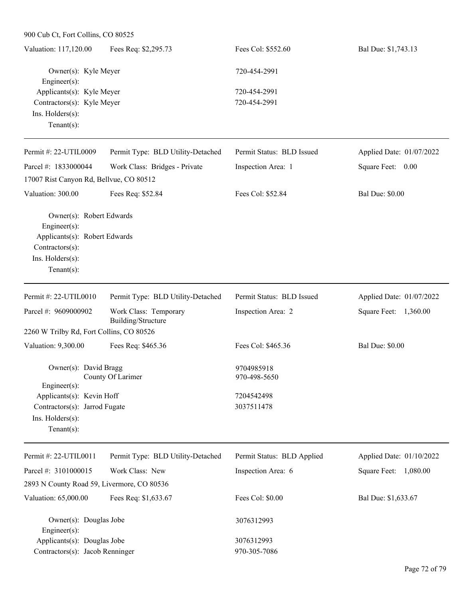| Valuation: 117,120.00                    | Fees Req: \$2,295.73              | Fees Col: \$552.60        | Bal Due: \$1,743.13      |
|------------------------------------------|-----------------------------------|---------------------------|--------------------------|
| Owner(s): Kyle Meyer<br>Engineer $(s)$ : |                                   | 720-454-2991              |                          |
| Applicants(s): Kyle Meyer                |                                   | 720-454-2991              |                          |
| Contractors(s): Kyle Meyer               |                                   | 720-454-2991              |                          |
| $Ins.$ Holders $(s)$ :                   |                                   |                           |                          |
| Tenant $(s)$ :                           |                                   |                           |                          |
| Permit #: $22$ -UTIL0009                 | Permit Type: BLD Utility-Detached | Permit Status: BLD Issued | Applied Date: 01/07/2022 |
| Parcel #: 1833000044                     | Work Class: Bridges - Private     | Inspection Area: 1        | Square Feet:<br>0.00     |
| 17007 Rist Canyon Rd, Bellvue, CO 80512  |                                   |                           |                          |
| Valuation: 300.00                        | Fees Req: \$52.84                 | Fees Col: \$52.84         | <b>Bal Due: \$0.00</b>   |
| Owner(s): Robert Edwards                 |                                   |                           |                          |
| $Engineering(s)$ :                       |                                   |                           |                          |
| Applicants(s): Robert Edwards            |                                   |                           |                          |
| $Contractors(s)$ :                       |                                   |                           |                          |

Ins. Holders(s):

| Permit #: $22$ -UTIL0010<br>Permit Status: BLD Issued<br>Applied Date: 01/07/2022<br>Permit Type: BLD Utility-Detached<br>Parcel #: $9609000902$<br>Work Class: Temporary<br>Inspection Area: 2<br>Square Feet:<br>1,360.00<br>Building/Structure<br>2260 W Trilby Rd, Fort Collins, CO 80526<br><b>Bal Due: \$0.00</b><br>Valuation: 9,300.00<br>Fees Req: \$465.36<br>Fees Col: \$465.36<br>Owner(s): David Bragg<br>9704985918<br>County Of Larimer<br>970-498-5650<br>Engineer $(s)$ :<br>Applicants(s): Kevin Hoff<br>7204542498<br>3037511478<br>Contractors(s): Jarrod Fugate<br>$Ins.$ Holders $(s)$ : |                |  |  |
|----------------------------------------------------------------------------------------------------------------------------------------------------------------------------------------------------------------------------------------------------------------------------------------------------------------------------------------------------------------------------------------------------------------------------------------------------------------------------------------------------------------------------------------------------------------------------------------------------------------|----------------|--|--|
|                                                                                                                                                                                                                                                                                                                                                                                                                                                                                                                                                                                                                |                |  |  |
|                                                                                                                                                                                                                                                                                                                                                                                                                                                                                                                                                                                                                |                |  |  |
|                                                                                                                                                                                                                                                                                                                                                                                                                                                                                                                                                                                                                |                |  |  |
|                                                                                                                                                                                                                                                                                                                                                                                                                                                                                                                                                                                                                |                |  |  |
|                                                                                                                                                                                                                                                                                                                                                                                                                                                                                                                                                                                                                |                |  |  |
|                                                                                                                                                                                                                                                                                                                                                                                                                                                                                                                                                                                                                |                |  |  |
|                                                                                                                                                                                                                                                                                                                                                                                                                                                                                                                                                                                                                |                |  |  |
|                                                                                                                                                                                                                                                                                                                                                                                                                                                                                                                                                                                                                |                |  |  |
|                                                                                                                                                                                                                                                                                                                                                                                                                                                                                                                                                                                                                |                |  |  |
|                                                                                                                                                                                                                                                                                                                                                                                                                                                                                                                                                                                                                |                |  |  |
|                                                                                                                                                                                                                                                                                                                                                                                                                                                                                                                                                                                                                | Tenant $(s)$ : |  |  |

| Permit #: 22-UTIL0011                      | Permit Type: BLD Utility-Detached | Permit Status: BLD Applied | Applied Date: 01/10/2022 |
|--------------------------------------------|-----------------------------------|----------------------------|--------------------------|
| Parcel #: 3101000015                       | Work Class: New                   | Inspection Area: 6         | 1,080.00<br>Square Feet: |
| 2893 N County Road 59, Livermore, CO 80536 |                                   |                            |                          |
| Valuation: 65,000.00                       | Fees Req: \$1,633.67              | Fees Col: $$0.00$          | Bal Due: \$1,633.67      |
| Owner(s): Douglas Jobe                     |                                   | 3076312993                 |                          |
| $Engineering(s)$ :                         |                                   |                            |                          |
| Applicants(s): Douglas Jobe                |                                   | 3076312993                 |                          |
| Contractors(s): Jacob Renninger            |                                   | 970-305-7086               |                          |
|                                            |                                   |                            |                          |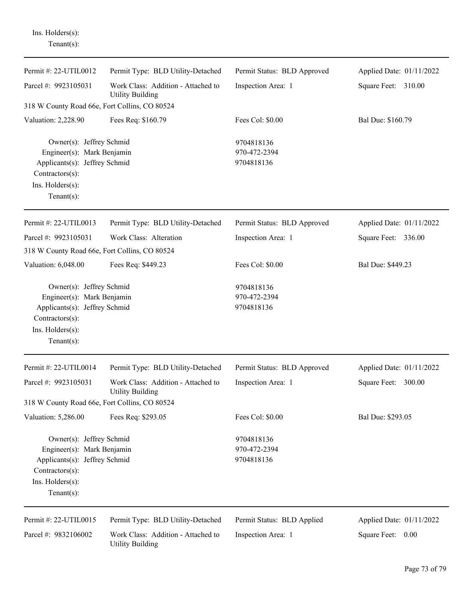Ins. Holders(s): Tenant(s):

| Permit #: 22-UTIL0012                                                                                                                            | Permit Type: BLD Utility-Detached                             | Permit Status: BLD Approved              | Applied Date: 01/11/2022 |
|--------------------------------------------------------------------------------------------------------------------------------------------------|---------------------------------------------------------------|------------------------------------------|--------------------------|
| Parcel #: 9923105031                                                                                                                             | Work Class: Addition - Attached to<br><b>Utility Building</b> | Inspection Area: 1                       | Square Feet: 310.00      |
| 318 W County Road 66e, Fort Collins, CO 80524                                                                                                    |                                                               |                                          |                          |
| Valuation: 2,228.90                                                                                                                              | Fees Req: \$160.79                                            | Fees Col: \$0.00                         | Bal Due: \$160.79        |
| Owner(s): Jeffrey Schmid<br>Engineer(s): Mark Benjamin<br>Applicants(s): Jeffrey Schmid<br>Contractors(s):<br>Ins. Holders(s):<br>Tenant $(s)$ : |                                                               | 9704818136<br>970-472-2394<br>9704818136 |                          |
| Permit #: 22-UTIL0013                                                                                                                            | Permit Type: BLD Utility-Detached                             | Permit Status: BLD Approved              | Applied Date: 01/11/2022 |
| Parcel #: 9923105031<br>318 W County Road 66e, Fort Collins, CO 80524                                                                            | Work Class: Alteration                                        | Inspection Area: 1                       | Square Feet: 336.00      |
| Valuation: 6,048.00                                                                                                                              | Fees Req: \$449.23                                            | Fees Col: \$0.00                         | Bal Due: \$449.23        |
| Owner(s): Jeffrey Schmid<br>Engineer(s): Mark Benjamin<br>Applicants(s): Jeffrey Schmid<br>Contractors(s):<br>Ins. Holders(s):<br>Tenant $(s)$ : |                                                               | 9704818136<br>970-472-2394<br>9704818136 |                          |
| Permit #: 22-UTIL0014                                                                                                                            | Permit Type: BLD Utility-Detached                             | Permit Status: BLD Approved              | Applied Date: 01/11/2022 |
| Parcel #: 9923105031                                                                                                                             | Work Class: Addition - Attached to<br><b>Utility Building</b> | Inspection Area: 1                       | Square Feet: 300.00      |
| 318 W County Road 66e, Fort Collins, CO 80524                                                                                                    |                                                               |                                          |                          |
| Valuation: 5,286.00                                                                                                                              | Fees Req: \$293.05                                            | Fees Col: \$0.00                         | Bal Due: \$293.05        |
| Owner(s): Jeffrey Schmid<br>Engineer(s): Mark Benjamin<br>Applicants(s): Jeffrey Schmid<br>Contractors(s):<br>Ins. Holders(s):<br>Tenant $(s)$ : |                                                               | 9704818136<br>970-472-2394<br>9704818136 |                          |
| Permit #: 22-UTIL0015                                                                                                                            | Permit Type: BLD Utility-Detached                             | Permit Status: BLD Applied               | Applied Date: 01/11/2022 |
| Parcel #: 9832106002                                                                                                                             | Work Class: Addition - Attached to<br><b>Utility Building</b> | Inspection Area: 1                       | Square Feet: 0.00        |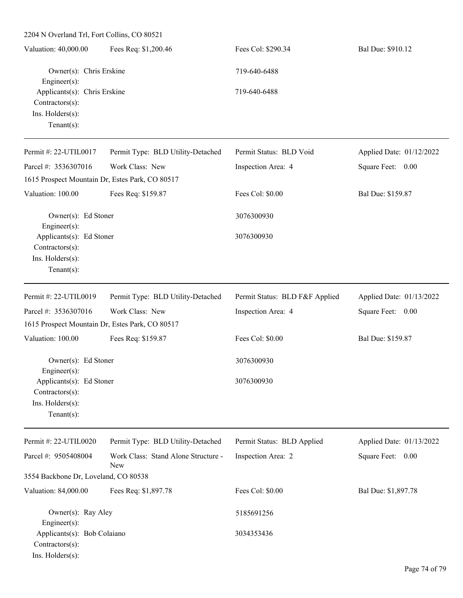2204 N Overland Trl, Fort Collins, CO 80521 Valuation: 40,000.00 Fees Req: \$1,200.46 Fees Col: \$290.34 Bal Due: \$910.12 Owner(s): Chris Erskine 719-640-6488 Engineer(s): Applicants(s): Chris Erskine 719-640-6488 Contractors(s): Ins. Holders(s): Tenant(s): Permit #: 22-UTIL0017 Parcel #: 3536307016 Permit Type: BLD Utility-Detached Work Class: New Permit Status: BLD Void Inspection Area: 4 Applied Date: 01/12/2022 Square Feet: 0.00 1615 Prospect Mountain Dr, Estes Park, CO 80517 Valuation: 100.00 Fees Req: \$159.87 Fees Col: \$0.00 Bal Due: \$159.87 Owner(s): Ed Stoner 3076300930 Engineer(s): Applicants(s): Ed Stoner 3076300930 Contractors(s): Ins. Holders(s): Tenant(s): Permit #: 22-UTIL0019 Parcel #: 3536307016 Permit Type: BLD Utility-Detached Work Class: New Permit Status: BLD F&F Applied Inspection Area: 4 Applied Date: 01/13/2022 Square Feet: 0.00 1615 Prospect Mountain Dr, Estes Park, CO 80517 Valuation: 100.00 Fees Req: \$159.87 Fees Col: \$0.00 Bal Due: \$159.87 Owner(s): Ed Stoner 3076300930 Engineer(s): Applicants(s): Ed Stoner 3076300930 Contractors(s): Ins. Holders(s): Tenant(s):

Permit #: 22-UTIL0020 Parcel #: 9505408004 Permit Type: BLD Utility-Detached Work Class: Stand Alone Structure - New Permit Status: BLD Applied Inspection Area: 2 Applied Date: 01/13/2022 Square Feet: 0.00 3554 Backbone Dr, Loveland, CO 80538 Valuation: 84,000.00 Fees Req: \$1,897.78 Fees Col: \$0.00 Bal Due: \$1,897.78 Owner(s): Ray Aley 5185691256 Engineer(s): Applicants(s): Bob Colaiano 3034353436 Contractors(s):

Ins. Holders(s):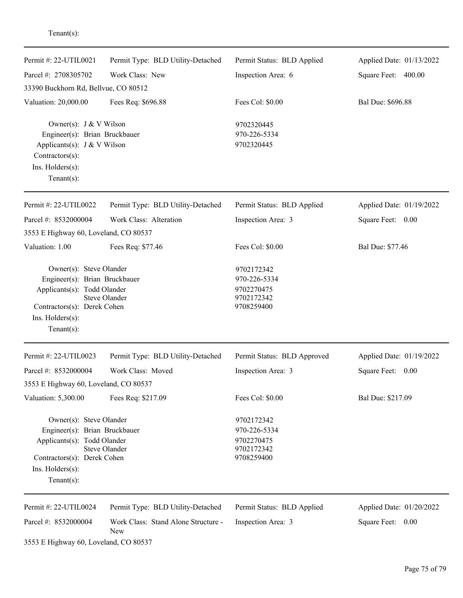| Permit #: 22-UTIL0021<br>Parcel #: 2708305702                                                                                                                | Permit Type: BLD Utility-Detached<br>Work Class: New | Permit Status: BLD Applied<br>Inspection Area: 6                     | Applied Date: 01/13/2022<br>Square Feet: 400.00 |
|--------------------------------------------------------------------------------------------------------------------------------------------------------------|------------------------------------------------------|----------------------------------------------------------------------|-------------------------------------------------|
| 33390 Buckhorn Rd, Bellvue, CO 80512                                                                                                                         |                                                      |                                                                      |                                                 |
| Valuation: 20,000.00                                                                                                                                         | Fees Req: \$696.88                                   | Fees Col: \$0.00                                                     | Bal Due: \$696.88                               |
| Owner(s): $J & V$ Wilson<br>Engineer(s): Brian Bruckbauer<br>Applicants(s): $J & W$ Wilson<br>Contractors(s):<br>Ins. Holders(s):<br>$Tenant(s)$ :           |                                                      | 9702320445<br>970-226-5334<br>9702320445                             |                                                 |
| Permit #: 22-UTIL0022                                                                                                                                        | Permit Type: BLD Utility-Detached                    | Permit Status: BLD Applied                                           | Applied Date: 01/19/2022                        |
| Parcel #: 8532000004                                                                                                                                         | Work Class: Alteration                               | Inspection Area: 3                                                   | Square Feet: 0.00                               |
| 3553 E Highway 60, Loveland, CO 80537                                                                                                                        |                                                      |                                                                      |                                                 |
| Valuation: 1.00                                                                                                                                              | Fees Req: \$77.46                                    | Fees Col: \$0.00                                                     | Bal Due: \$77.46                                |
| Owner(s): Steve Olander<br>Engineer(s): Brian Bruckbauer<br>Applicants(s): Todd Olander<br>Contractors(s): Derek Cohen<br>Ins. Holders(s):<br>Tenant $(s)$ : | <b>Steve Olander</b>                                 | 9702172342<br>970-226-5334<br>9702270475<br>9702172342<br>9708259400 |                                                 |
| Permit #: 22-UTIL0023                                                                                                                                        | Permit Type: BLD Utility-Detached                    | Permit Status: BLD Approved                                          | Applied Date: 01/19/2022                        |
| Parcel #: 8532000004<br>3553 E Highway 60, Loveland, CO 80537                                                                                                | Work Class: Moved                                    | Inspection Area: 3                                                   | Square Feet:<br>0.00                            |
| Valuation: 5,300.00                                                                                                                                          | Fees Req: \$217.09                                   | Fees Col: \$0.00                                                     | Bal Due: \$217.09                               |
| Owner(s): Steve Olander<br>Engineer(s): Brian Bruckbauer<br>Applicants(s): Todd Olander<br>Contractors(s): Derek Cohen<br>Ins. Holders(s):<br>Tenant $(s)$ : | Steve Olander                                        | 9702172342<br>970-226-5334<br>9702270475<br>9702172342<br>9708259400 |                                                 |
| Permit #: 22-UTIL0024                                                                                                                                        | Permit Type: BLD Utility-Detached                    | Permit Status: BLD Applied                                           | Applied Date: 01/20/2022                        |
| Parcel #: 8532000004                                                                                                                                         | Work Class: Stand Alone Structure -<br>New           | Inspection Area: 3                                                   | Square Feet: 0.00                               |
| 3553 E Highway 60, Loveland, CO 80537                                                                                                                        |                                                      |                                                                      |                                                 |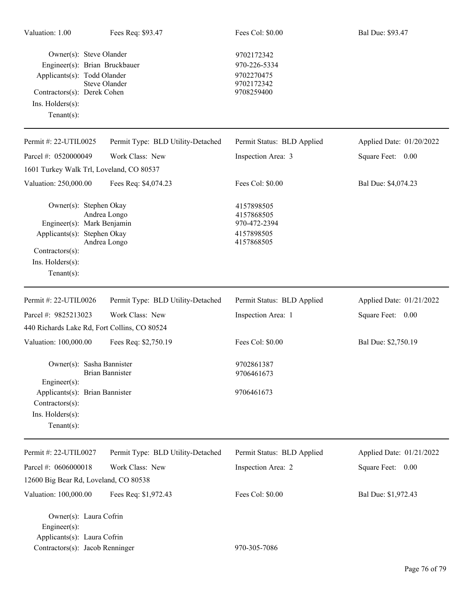| Valuation: 1.00                                                                                                                              | Fees Req: \$93.47                                     | Fees Col: \$0.00                                                     | Bal Due: \$93.47         |
|----------------------------------------------------------------------------------------------------------------------------------------------|-------------------------------------------------------|----------------------------------------------------------------------|--------------------------|
| Owner(s): Steve Olander<br>Applicants(s): Todd Olander<br>Contractors(s): Derek Cohen<br>Ins. Holders(s):<br>Tenant $(s)$ :                  | Engineer(s): Brian Bruckbauer<br><b>Steve Olander</b> | 9702172342<br>970-226-5334<br>9702270475<br>9702172342<br>9708259400 |                          |
| Permit #: 22-UTIL0025                                                                                                                        | Permit Type: BLD Utility-Detached                     | Permit Status: BLD Applied                                           | Applied Date: 01/20/2022 |
| Parcel #: 0520000049                                                                                                                         | Work Class: New                                       | Inspection Area: 3                                                   | Square Feet: 0.00        |
|                                                                                                                                              | 1601 Turkey Walk Trl, Loveland, CO 80537              |                                                                      |                          |
| Valuation: 250,000.00                                                                                                                        | Fees Req: \$4,074.23                                  | Fees Col: \$0.00                                                     | Bal Due: \$4,074.23      |
| Owner(s): Stephen Okay<br>Engineer(s): Mark Benjamin<br>Applicants(s): Stephen Okay<br>Contractors(s):<br>Ins. Holders(s):<br>Tenant $(s)$ : | Andrea Longo<br>Andrea Longo                          | 4157898505<br>4157868505<br>970-472-2394<br>4157898505<br>4157868505 |                          |
| Permit#: 22-UTIL0026                                                                                                                         | Permit Type: BLD Utility-Detached                     | Permit Status: BLD Applied                                           | Applied Date: 01/21/2022 |
| Parcel #: 9825213023                                                                                                                         | Work Class: New                                       | Inspection Area: 1                                                   | Square Feet: 0.00        |
|                                                                                                                                              | 440 Richards Lake Rd, Fort Collins, CO 80524          |                                                                      |                          |
| Valuation: 100,000.00                                                                                                                        | Fees Req: \$2,750.19                                  | Fees Col: \$0.00                                                     | Bal Due: \$2,750.19      |
| Engineer(s):                                                                                                                                 | Owner(s): Sasha Bannister<br><b>Brian Bannister</b>   | 9702861387<br>9706461673                                             |                          |
| Applicants(s): Brian Bannister<br>Contractors(s):<br>Ins. Holders(s):<br>Tenant $(s)$ :                                                      |                                                       | 9706461673                                                           |                          |
| Permit #: 22-UTIL0027                                                                                                                        | Permit Type: BLD Utility-Detached                     | Permit Status: BLD Applied                                           | Applied Date: 01/21/2022 |
| Parcel #: 0606000018                                                                                                                         | Work Class: New                                       | Inspection Area: 2                                                   | Square Feet: 0.00        |
| 12600 Big Bear Rd, Loveland, CO 80538                                                                                                        |                                                       |                                                                      |                          |
| Valuation: 100,000.00                                                                                                                        | Fees Req: \$1,972.43                                  | Fees Col: \$0.00                                                     | Bal Due: \$1,972.43      |
| Owner(s): Laura Cofrin<br>Engineer(s):<br>Applicants(s): Laura Cofrin<br>Contractors(s): Jacob Renninger                                     |                                                       | 970-305-7086                                                         |                          |
|                                                                                                                                              |                                                       |                                                                      |                          |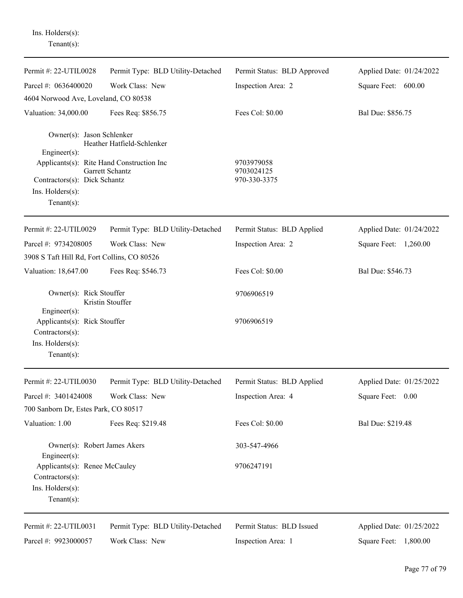Ins. Holders(s): Tenant(s):

| Permit #: 22-UTIL0028                                                                                                                                                    | Permit Type: BLD Utility-Detached             | Permit Status: BLD Approved              | Applied Date: 01/24/2022 |
|--------------------------------------------------------------------------------------------------------------------------------------------------------------------------|-----------------------------------------------|------------------------------------------|--------------------------|
| Parcel #: 0636400020                                                                                                                                                     | Work Class: New                               | Inspection Area: 2                       | Square Feet: 600.00      |
| 4604 Norwood Ave, Loveland, CO 80538                                                                                                                                     |                                               |                                          |                          |
| Valuation: 34,000.00                                                                                                                                                     | Fees Req: \$856.75                            | Fees Col: \$0.00                         | Bal Due: \$856.75        |
| Owner(s): Jason Schlenker<br>$Engineering(s)$ :<br>Applicants(s): Rite Hand Construction Inc<br>Contractors(s): Dick Schantz<br>$Ins.$ Holders $(s)$ :<br>Tenant $(s)$ : | Heather Hatfield-Schlenker<br>Garrett Schantz | 9703979058<br>9703024125<br>970-330-3375 |                          |
| Permit #: 22-UTIL0029                                                                                                                                                    | Permit Type: BLD Utility-Detached             | Permit Status: BLD Applied               | Applied Date: 01/24/2022 |
| Parcel #: 9734208005                                                                                                                                                     | Work Class: New                               | Inspection Area: 2                       | Square Feet: 1,260.00    |
| 3908 S Taft Hill Rd, Fort Collins, CO 80526                                                                                                                              |                                               |                                          |                          |
| Valuation: 18,647.00                                                                                                                                                     | Fees Req: \$546.73                            | Fees Col: \$0.00                         | Bal Due: \$546.73        |
| Owner(s): Rick Stouffer<br>Kristin Stouffer<br>$Engineering(s)$ :                                                                                                        |                                               | 9706906519                               |                          |
| Applicants(s): Rick Stouffer<br>Contractors(s):<br>Ins. Holders(s):<br>Tenant $(s)$ :                                                                                    |                                               | 9706906519                               |                          |
| Permit #: 22-UTIL0030                                                                                                                                                    | Permit Type: BLD Utility-Detached             | Permit Status: BLD Applied               | Applied Date: 01/25/2022 |
| Parcel #: $3401424008$                                                                                                                                                   | Work Class: New                               | Inspection Area: 4                       | Square Feet: 0.00        |
| 700 Sanborn Dr, Estes Park, CO 80517                                                                                                                                     |                                               |                                          |                          |
| Valuation: 1.00                                                                                                                                                          | Fees Req: \$219.48                            | Fees Col: \$0.00                         | Bal Due: \$219.48        |
| Owner(s): Robert James Akers<br>Engineer $(s)$ :                                                                                                                         |                                               | 303-547-4966                             |                          |
| Applicants(s): Renee McCauley<br>Contractors(s):<br>Ins. Holders(s):<br>Tenant $(s)$ :                                                                                   |                                               | 9706247191                               |                          |
| Permit #: 22-UTIL0031                                                                                                                                                    | Permit Type: BLD Utility-Detached             | Permit Status: BLD Issued                | Applied Date: 01/25/2022 |
| Parcel #: 9923000057                                                                                                                                                     | Work Class: New                               | Inspection Area: 1                       | Square Feet: 1,800.00    |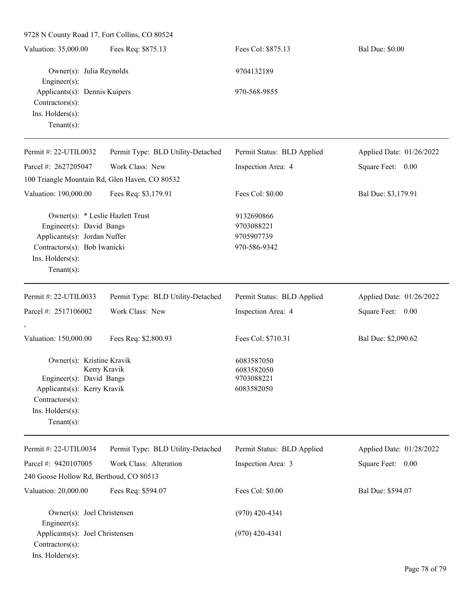9728 N County Road 17, Fort Collins, CO 80524 Valuation: 35,000.00 Fees Req: \$875.13 Fees Col: \$875.13 Bal Due: \$0.00 Owner(s): Julia Reynolds 9704132189 Engineer(s): Applicants(s): Dennis Kuipers 970-568-9855 Contractors(s): Ins. Holders(s): Tenant(s): Permit #: 22-UTIL0032 Parcel #: 2627205047 Permit Type: BLD Utility-Detached Work Class: New Permit Status: BLD Applied Inspection Area: 4 Applied Date: 01/26/2022 Square Feet: 0.00 100 Triangle Mountain Rd, Glen Haven, CO 80532 Valuation: 190,000.00 Fees Req: \$3,179.91 Fees Col: \$0.00 Bal Due: \$3,179.91 Owner(s): \* Leslie Hazlett Trust 9132690866 Engineer(s): David Bangs 9703088221 Applicants(s): Jordan Nuffer 9705907739 Contractors(s): Bob Iwanicki 970-586-9342 Ins. Holders(s): Tenant(s): Permit #: 22-UTIL0033 Parcel #: 2517106002 Permit Type: BLD Utility-Detached Work Class: New Permit Status: BLD Applied Inspection Area: 4 Applied Date: 01/26/2022 Square Feet: 0.00 , Valuation: 150,000.00 Fees Req: \$2,800.93 Fees Col: \$710.31 Bal Due: \$2,090.62 Owner(s): Kristine Kravik 6083587050 Kerry Kravik 6083582050 Engineer(s): David Bangs 9703088221 Applicants(s): Kerry Kravik 6083582050 Contractors(s): Ins. Holders(s): Tenant(s): Permit #: 22-UTIL0034 Parcel #: 9420107005 Permit Type: BLD Utility-Detached Work Class: Alteration Permit Status: BLD Applied Inspection Area: 3 Applied Date: 01/28/2022 Square Feet: 0.00 240 Goose Hollow Rd, Berthoud, CO 80513 Valuation: 20,000.00 Fees Req: \$594.07 Fees Col: \$0.00 Bal Due: \$594.07 Owner(s): Joel Christensen (970) 420-4341 Engineer(s): Applicants(s): Joel Christensen (970) 420-4341 Contractors(s): Ins. Holders(s):